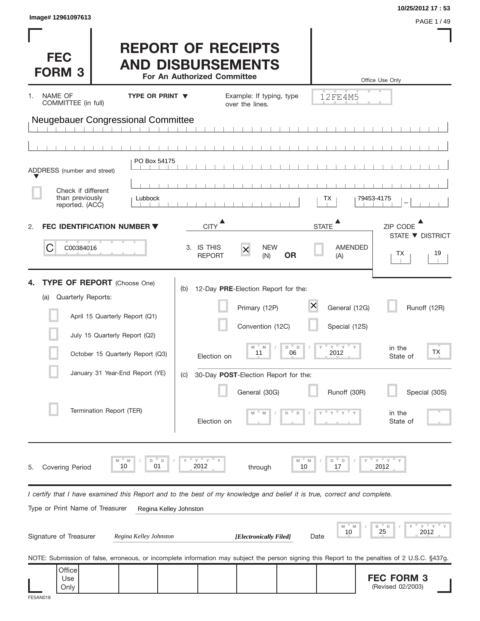| Image# 12961097613                                                                                                                                                                                                                    |                                                                                                                                                                                                                    | 10/25/2012 17:53<br>PAGE 1 / 49                                                                                                                                      |
|---------------------------------------------------------------------------------------------------------------------------------------------------------------------------------------------------------------------------------------|--------------------------------------------------------------------------------------------------------------------------------------------------------------------------------------------------------------------|----------------------------------------------------------------------------------------------------------------------------------------------------------------------|
| <b>FEC</b><br><b>FORM 3</b>                                                                                                                                                                                                           | <b>REPORT OF RECEIPTS</b><br><b>AND DISBURSEMENTS</b><br>For An Authorized Committee                                                                                                                               | Office Use Only                                                                                                                                                      |
| NAME OF<br>TYPE OR PRINT $\blacktriangledown$<br>1.<br>COMMITTEE (in full)                                                                                                                                                            | Example: If typing, type<br>over the lines.                                                                                                                                                                        | 12FE4M5                                                                                                                                                              |
| <b>Neugebauer Congressional Committee</b>                                                                                                                                                                                             |                                                                                                                                                                                                                    |                                                                                                                                                                      |
|                                                                                                                                                                                                                                       |                                                                                                                                                                                                                    |                                                                                                                                                                      |
| PO Box 54175<br>ADDRESS (number and street)                                                                                                                                                                                           |                                                                                                                                                                                                                    |                                                                                                                                                                      |
| Check if different<br>than previously<br>Lubbock<br>reported. (ACC)                                                                                                                                                                   |                                                                                                                                                                                                                    | 79453-4175<br>ТX                                                                                                                                                     |
| FEC IDENTIFICATION NUMBER ▼<br>2.                                                                                                                                                                                                     | <b>CITY</b>                                                                                                                                                                                                        | <b>STATE</b><br>ZIP CODE                                                                                                                                             |
| C<br>C00384016                                                                                                                                                                                                                        | <b>NEW</b><br>3. IS THIS<br>$\boldsymbol{\times}$<br><b>OR</b><br><b>REPORT</b><br>(N)                                                                                                                             | STATE ▼ DISTRICT<br><b>AMENDED</b><br>19<br>ТX<br>(A)                                                                                                                |
| <b>TYPE OF REPORT</b> (Choose One)<br>Quarterly Reports:<br>(a)<br>April 15 Quarterly Report (Q1)<br>July 15 Quarterly Report (Q2)<br>October 15 Quarterly Report (Q3)<br>January 31 Year-End Report (YE)<br>Termination Report (TER) | 12-Day PRE-Election Report for the:<br>(b)<br>Primary (12P)<br>Convention (12C)<br>M<br>D<br>$\Box$<br>M<br>11<br>06<br>Election on<br>30-Day POST-Election Report for the:<br>(C)<br>General (30G)<br>Election on | X<br>General (12G)<br>Runoff (12R)<br>Special (12S)<br>$Y = Y = Y$<br>in the<br><b>TX</b><br>2012<br>State of<br>Runoff (30R)<br>Special (30S)<br>in the<br>State of |
| D<br>M<br>M<br>10<br>01<br><b>Covering Period</b><br>5.                                                                                                                                                                               | <u>"γ</u><br>D<br>Y<br>2012<br>10<br>through                                                                                                                                                                       | $Y$ $Y$<br>D<br>D<br>2012<br>17                                                                                                                                      |
| Type or Print Name of Treasurer                                                                                                                                                                                                       | I certify that I have examined this Report and to the best of my knowledge and belief it is true, correct and complete.<br>Regina Kelley Johnston                                                                  |                                                                                                                                                                      |
| Signature of Treasurer<br>Regina Kelley Johnston                                                                                                                                                                                      | [Electronically Filed]                                                                                                                                                                                             | Υ<br>D<br>D<br>25<br>10<br>2012<br>Date                                                                                                                              |
|                                                                                                                                                                                                                                       |                                                                                                                                                                                                                    | NOTE: Submission of false, erroneous, or incomplete information may subject the person signing this Report to the penalties of 2 U.S.C. §437g.                       |
| Office<br>Use<br>Only<br>FE5AN018                                                                                                                                                                                                     |                                                                                                                                                                                                                    | <b>FEC FORM 3</b><br>(Revised 02/2003)                                                                                                                               |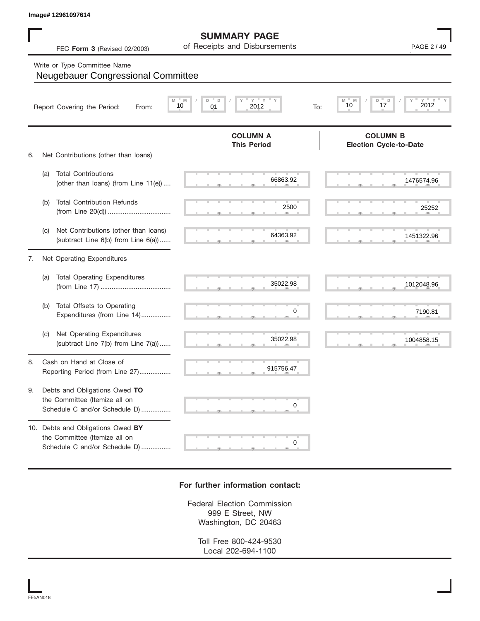## Write or Type Committee Name

|    |     | Image# 12961097614                                                                                  |                                                       |                                                                   |
|----|-----|-----------------------------------------------------------------------------------------------------|-------------------------------------------------------|-------------------------------------------------------------------|
|    |     | FEC Form 3 (Revised 02/2003)                                                                        | <b>SUMMARY PAGE</b><br>of Receipts and Disbursements  | PAGE 2 / 49                                                       |
|    |     | Write or Type Committee Name<br>Neugebauer Congressional Committee                                  |                                                       |                                                                   |
|    |     | Report Covering the Period:<br>From:                                                                | Y<br>Y<br>M<br>D<br>D<br>M<br>10<br>01<br>2012<br>To: | $\gamma$ = $\gamma$ = $\gamma$<br>D<br>M<br>D<br>2012<br>17<br>10 |
| 6. |     | Net Contributions (other than loans)                                                                | <b>COLUMN A</b><br><b>This Period</b>                 | <b>COLUMN B</b><br><b>Election Cycle-to-Date</b>                  |
|    | (a) | <b>Total Contributions</b><br>(other than loans) (from Line 11(e))                                  | 66863.92                                              | 1476574.96                                                        |
|    | (b) | <b>Total Contribution Refunds</b>                                                                   | 2500                                                  | 25252                                                             |
|    | (C) | Net Contributions (other than loans)<br>(subtract Line 6(b) from Line 6(a))                         | 64363.92                                              | 1451322.96                                                        |
| 7. |     | Net Operating Expenditures                                                                          |                                                       |                                                                   |
|    | (a) | <b>Total Operating Expenditures</b>                                                                 | 35022.98                                              | 1012048.96                                                        |
|    | (b) | Total Offsets to Operating<br>Expenditures (from Line 14)                                           | 0                                                     | 7190.81                                                           |
|    | (C) | Net Operating Expenditures<br>(subtract Line 7(b) from Line 7(a))                                   | 35022.98                                              | 1004858.15                                                        |
| 8  |     | Cash on Hand at Close of<br>Reporting Period (from Line 27)                                         | 915756.47                                             |                                                                   |
| 9. |     | Debts and Obligations Owed TO<br>the Committee (Itemize all on<br>Schedule C and/or Schedule D)     | 0                                                     |                                                                   |
|    |     | 10. Debts and Obligations Owed BY<br>the Committee (Itemize all on<br>Schedule C and/or Schedule D) | 0                                                     |                                                                   |

## **For further information contact:**

Federal Election Commission 999 E Street, NW Washington, DC 20463

> Toll Free 800-424-9530 Local 202-694-1100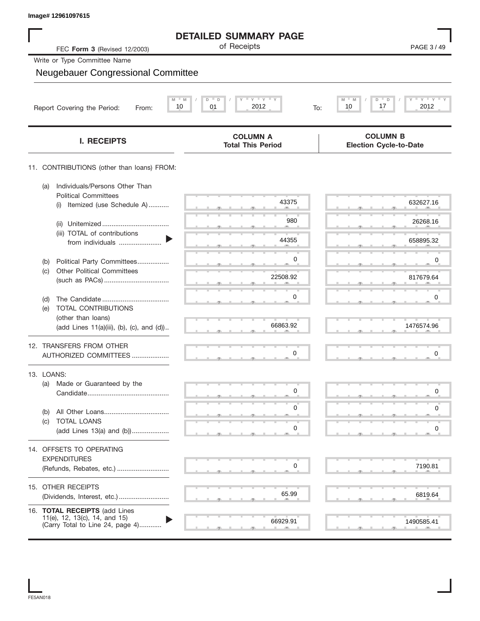| Image# 12961097615                                                                                 |                                                                 |                                                  |
|----------------------------------------------------------------------------------------------------|-----------------------------------------------------------------|--------------------------------------------------|
|                                                                                                    | <b>DETAILED SUMMARY PAGE</b>                                    |                                                  |
| FEC Form 3 (Revised 12/2003)                                                                       | of Receipts                                                     | PAGE 3/49                                        |
| Write or Type Committee Name                                                                       |                                                                 |                                                  |
| <b>Neugebauer Congressional Committee</b>                                                          |                                                                 |                                                  |
| Report Covering the Period:<br>From:                                                               | $Y$ $Y$ $Y$ $Y$<br>$M = M$<br>D<br>D<br>2012<br>10<br>01<br>To: | $Y'$ $Y'$ $Y$<br>M<br>D<br>10<br>17<br>2012      |
| <b>I. RECEIPTS</b>                                                                                 | <b>COLUMN A</b><br><b>Total This Period</b>                     | <b>COLUMN B</b><br><b>Election Cycle-to-Date</b> |
| 11. CONTRIBUTIONS (other than loans) FROM:                                                         |                                                                 |                                                  |
| Individuals/Persons Other Than<br>(a)<br><b>Political Committees</b>                               |                                                                 |                                                  |
| Itemized (use Schedule A)<br>(i)                                                                   | 43375                                                           | 632627.16                                        |
| (ii)                                                                                               | 980                                                             | 26268.16                                         |
| (iii) TOTAL of contributions<br>from individuals                                                   | 44355                                                           | 658895.32                                        |
| Political Party Committees<br>(b)                                                                  | 0                                                               | 0                                                |
| <b>Other Political Committees</b><br>(c)                                                           | 22508.92                                                        | 817679.64                                        |
| (d)                                                                                                | 0                                                               | 0                                                |
| TOTAL CONTRIBUTIONS<br>(e)                                                                         |                                                                 |                                                  |
| (other than loans)<br>(add Lines 11(a)(iii), (b), (c), and (d))                                    | 66863.92                                                        | 1476574.96                                       |
| 12. TRANSFERS FROM OTHER<br>AUTHORIZED COMMITTEES                                                  | 0                                                               | 0                                                |
| 13. LOANS:                                                                                         |                                                                 |                                                  |
| Made or Guaranteed by the<br>(a)                                                                   | 0                                                               | 0                                                |
| (b)                                                                                                | 0                                                               | 0                                                |
| TOTAL LOANS<br>(c)<br>(add Lines 13(a) and (b))                                                    | 0                                                               | 0                                                |
| 14. OFFSETS TO OPERATING                                                                           |                                                                 |                                                  |
| <b>EXPENDITURES</b>                                                                                |                                                                 |                                                  |
| (Refunds, Rebates, etc.)                                                                           | 0                                                               | 7190.81                                          |
| 15. OTHER RECEIPTS<br>(Dividends, Interest, etc.)                                                  | 65.99                                                           | 6819.64                                          |
|                                                                                                    |                                                                 |                                                  |
| 16. TOTAL RECEIPTS (add Lines<br>11(e), 12, 13(c), 14, and 15)<br>(Carry Total to Line 24, page 4) | 66929.91                                                        | 1490585.41                                       |

FE5AN018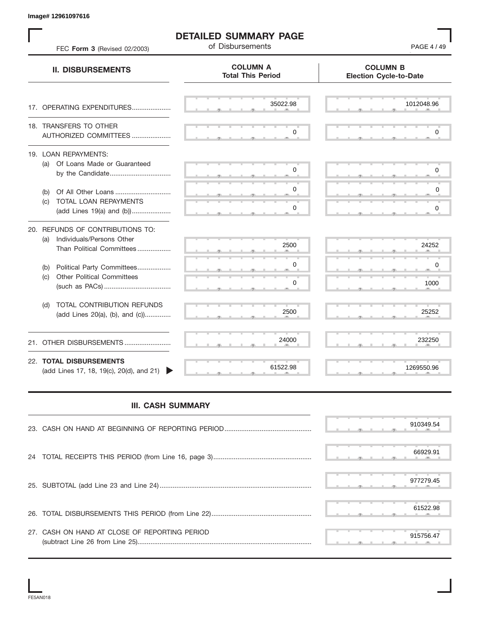S S S , , . S S S , , . S S S , , . S S S , , . S S S , , . S S S , , . S S S , , . S S S , , . S S S , , . S S S , , . S S S , , . S S S , , . S S S , , . S S S , , . S S S , , . S S S , , . S S S , , . S S S , , .  $\frac{2322}{2}$  S S S S S S **COLUMN B Election Cycle-to-Date COLUMN A Total This Period** 17. OPERATING EXPENDITURES.................... 18. TRANSFERS TO OTHER AUTHORIZED COMMITTEES ..................... 19. LOAN REPAYMENTS: (a) Of Loans Made or Guaranteed by the Candidate ................................. (b) Of All Other Loans .............................. (c) TOTAL LOAN REPAYMENTS (add Lines 19(a) and (b)) ..................... 20. REFUNDS OF CONTRIBUTIONS TO: (a) Individuals/Persons Other Than Political Committees ................. (b) Political Party Committees.................. (c) Other Political Committees (such as PACs) .................................... (d) TOTAL CONTRIBUTION REFUNDS (add Lines 20(a), (b), and (c)).............. 21. OTHER DISBURSEMENTS ......................... 22. **TOTAL DISBURSEMENTS**   $(\text{add Lines 17}, 18, 19(c), 20(d), \text{and } 21)$ **II. DISBURSEMENTS** FEC **Form 3** (Revised 02/2003) **of Disbursements FEC <b>Form 3** (Revised 02/2003) , , . , , . 0<br>
0<br>
0<br>
0<br>
24252<br>
0<br>
1000<br>
25252<br>
232250<br>
232250<br>
269550.96<br>
910349.54<br>
66929.91<br>
977279.45<br>
61522.98<br>
915756.47 0  $\begin{array}{|c|c|} \hline 0 & 1000 \ \hline 2500 & 25252 \ \hline 24000 & 232250 \ \hline 61522.98 & 1269550.96 \ \hline \end{array}$ 0<br>0<br>24252<br>0<br>1000<br>25252 0 PAGE 4 / 49<br>
COLUMN B<br>
Election Cycle-to-Date<br>
22.98<br>
0<br>
0<br>
0<br>
0<br>
2500<br>
24252 910349.54 0  $\begin{array}{|c|c|} \hline \rule{0.2cm}{0.2cm} \rule{0.2cm}{0.2cm} \rule{0.2cm}{0.2cm} \rule{0.2cm}{0.2cm} \rule{0.2cm}{0.2cm} \rule{0.2cm}{0.2cm} \rule{0.2cm}{0.2cm} \rule{0.2cm}{0.2cm} \rule{0.2cm}{0.2cm} \rule{0.2cm}{0.2cm} \rule{0.2cm}{0.2cm} \rule{0.2cm}{0.2cm} \rule{0.2cm}{0.2cm} \rule{0.2cm}{0.2cm} \rule{0.2cm}{0.2cm} \rule{0.2cm}{0.2$ 0 0<br>1000<br>25252<br>232250<br>289550.96<br>269550.96<br>910349.54<br>66929.91<br>977279.45 0  $\begin{array}{|c|c|c|}\hline \rule{0pt}{1ex}\hline \rule{0pt}{2ex}\hline \rule{0pt}{2ex}\hline \rule{0pt}{2ex}\hline \rule{0pt}{2ex}\hline \rule{0pt}{2ex}\hline \rule{0pt}{2ex}\hline \rule{0pt}{2ex}\hline \rule{0pt}{2ex}\hline \rule{0pt}{2ex}\hline \rule{0pt}{2ex}\hline \rule{0pt}{2ex}\hline \rule{0pt}{2ex}\hline \rule{0pt}{2ex}\hline \rule{0pt}{2ex}\hline \rule{0pt}{2ex}\hline \rule{0pt}{2ex}\hline \rule{0pt}{2ex}\hline \rule{0pt}{2$ 35022.98 2500 1269550.96

**DETAILED SUMMARY PAGE**

## **III. CASH SUMMARY**

|                                               | 910349.54 |
|-----------------------------------------------|-----------|
|                                               | 66929.91  |
|                                               | 977279.45 |
|                                               | 61522.98  |
| 27. CASH ON HAND AT CLOSE OF REPORTING PERIOD | 915756.47 |

**Image# 12961097616**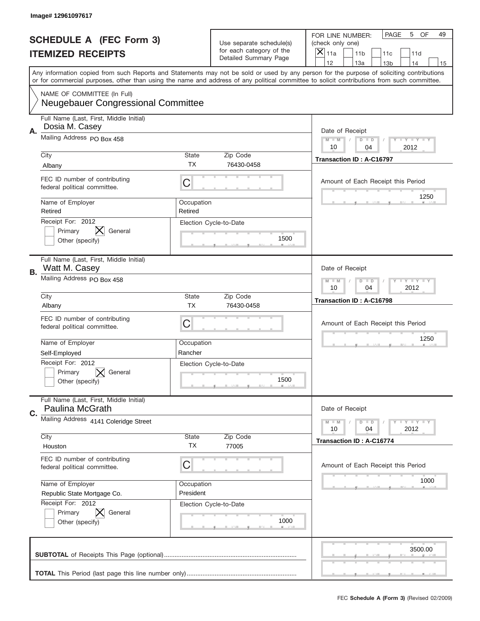|    | Image# 12961097617                                                       |                         |                                                   |                                                                                                                                                                                       |
|----|--------------------------------------------------------------------------|-------------------------|---------------------------------------------------|---------------------------------------------------------------------------------------------------------------------------------------------------------------------------------------|
|    | <b>SCHEDULE A (FEC Form 3)</b>                                           |                         | Use separate schedule(s)                          | PAGE<br>5<br>OF<br>49<br>FOR LINE NUMBER:<br>(check only one)                                                                                                                         |
|    | <b>ITEMIZED RECEIPTS</b>                                                 |                         | for each category of the<br>Detailed Summary Page | $\times$<br>11a<br>11 <sub>b</sub><br>11c<br>11d                                                                                                                                      |
|    |                                                                          |                         |                                                   | 12<br>13a<br>13 <sub>b</sub><br>14<br>15<br>Any information copied from such Reports and Statements may not be sold or used by any person for the purpose of soliciting contributions |
|    |                                                                          |                         |                                                   | or for commercial purposes, other than using the name and address of any political committee to solicit contributions from such committee.                                            |
|    | NAME OF COMMITTEE (In Full)<br><b>Neugebauer Congressional Committee</b> |                         |                                                   |                                                                                                                                                                                       |
| А. | Full Name (Last, First, Middle Initial)<br>Dosia M. Casey                |                         |                                                   | Date of Receipt                                                                                                                                                                       |
|    | Mailing Address PO Box 458                                               |                         |                                                   | Y TY TY TY<br>$M$ $M$<br>$D$ $D$<br>10<br>2012<br>04                                                                                                                                  |
|    | City<br>Albany                                                           | State<br>ТX             | Zip Code<br>76430-0458                            | Transaction ID: A-C16797                                                                                                                                                              |
|    | FEC ID number of contributing<br>federal political committee.            | C                       |                                                   | Amount of Each Receipt this Period                                                                                                                                                    |
|    | Name of Employer<br>Retired                                              | Occupation<br>Retired   |                                                   | 1250                                                                                                                                                                                  |
|    | Receipt For: 2012<br>Primary<br>General<br>Other (specify)               |                         | Election Cycle-to-Date<br>1500                    |                                                                                                                                                                                       |
| В. | Full Name (Last, First, Middle Initial)<br>Watt M. Casey                 |                         |                                                   | Date of Receipt                                                                                                                                                                       |
|    | Mailing Address PO Box 458                                               |                         |                                                   | $T$ $Y$ $T$ $Y$ $T$ $Y$<br>$M - M$<br>$D$ $D$<br>10<br>04<br>2012                                                                                                                     |
|    | City<br>Albany                                                           | State<br><b>TX</b>      | Zip Code<br>76430-0458                            | Transaction ID: A-C16798                                                                                                                                                              |
|    | FEC ID number of contributing<br>federal political committee.            | C                       |                                                   | Amount of Each Receipt this Period                                                                                                                                                    |
|    | Name of Employer                                                         | Occupation              |                                                   | 1250                                                                                                                                                                                  |
|    | Self-Employed<br>Receipt For: 2012                                       | Rancher                 |                                                   |                                                                                                                                                                                       |
|    | General<br>Primary<br>Other (specify)                                    |                         | Election Cycle-to-Date<br>1500                    |                                                                                                                                                                                       |
| C. | Full Name (Last, First, Middle Initial)<br>Paulina McGrath               |                         |                                                   | Date of Receipt                                                                                                                                                                       |
|    | Mailing Address 4141 Coleridge Street                                    |                         |                                                   | $T + Y = Y + Y$<br>$M - M$<br>$D$ $D$<br>2012<br>10<br>04                                                                                                                             |
|    | City<br>Houston                                                          | State<br><b>TX</b>      | Zip Code<br>77005                                 | Transaction ID: A-C16774                                                                                                                                                              |
|    | FEC ID number of contributing<br>federal political committee.            | C                       |                                                   | Amount of Each Receipt this Period                                                                                                                                                    |
|    | Name of Employer<br>Republic State Mortgage Co.                          | Occupation<br>President |                                                   | 1000                                                                                                                                                                                  |
|    | Receipt For: 2012<br>Primary<br>General<br>Other (specify)               |                         | Election Cycle-to-Date<br>1000                    |                                                                                                                                                                                       |
|    |                                                                          |                         |                                                   | 3500.00                                                                                                                                                                               |
|    |                                                                          |                         |                                                   |                                                                                                                                                                                       |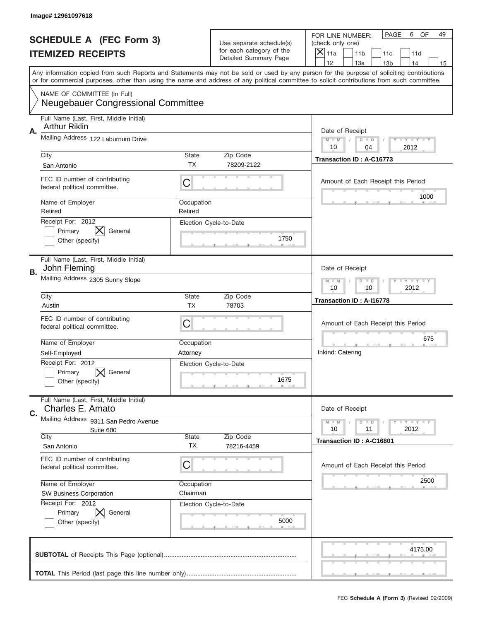|    | Image# 12961097618                                                              |                       |                                                   |                                                                                                                                                                                       |
|----|---------------------------------------------------------------------------------|-----------------------|---------------------------------------------------|---------------------------------------------------------------------------------------------------------------------------------------------------------------------------------------|
|    | <b>SCHEDULE A (FEC Form 3)</b>                                                  |                       | Use separate schedule(s)                          | <b>PAGE</b><br>6<br>OF<br>49<br>FOR LINE NUMBER:<br>(check only one)                                                                                                                  |
|    | <b>ITEMIZED RECEIPTS</b>                                                        |                       | for each category of the<br>Detailed Summary Page | $\overline{X} _{11a}$<br>11 <sub>b</sub><br>11c<br>11d                                                                                                                                |
|    |                                                                                 |                       |                                                   | 12<br>13a<br>14<br>13 <sub>b</sub><br>15<br>Any information copied from such Reports and Statements may not be sold or used by any person for the purpose of soliciting contributions |
|    |                                                                                 |                       |                                                   | or for commercial purposes, other than using the name and address of any political committee to solicit contributions from such committee.                                            |
|    | NAME OF COMMITTEE (In Full)<br><b>Neugebauer Congressional Committee</b>        |                       |                                                   |                                                                                                                                                                                       |
| А. | Full Name (Last, First, Middle Initial)<br><b>Arthur Riklin</b>                 |                       |                                                   | Date of Receipt                                                                                                                                                                       |
|    | Mailing Address 122 Laburnum Drive                                              |                       |                                                   | Y FY FY FY<br>$M - M$<br>$D$ $D$<br>10<br>04<br>2012                                                                                                                                  |
|    | City<br>San Antonio                                                             | State<br><b>TX</b>    | Zip Code<br>78209-2122                            | Transaction ID: A-C16773                                                                                                                                                              |
|    | FEC ID number of contributing<br>federal political committee.                   | C                     |                                                   | Amount of Each Receipt this Period                                                                                                                                                    |
|    | Name of Employer<br>Retired                                                     | Occupation<br>Retired |                                                   | 1000                                                                                                                                                                                  |
|    | Receipt For: 2012<br>$\bm{\mathsf{X}}$<br>General<br>Primary<br>Other (specify) |                       | Election Cycle-to-Date<br>1750                    |                                                                                                                                                                                       |
| В. | Full Name (Last, First, Middle Initial)<br>John Fleming                         |                       |                                                   | Date of Receipt                                                                                                                                                                       |
|    | Mailing Address 2305 Sunny Slope                                                |                       |                                                   | Y TY TY TY<br>$M - M$<br>$D$ $D$<br>10<br>10<br>2012                                                                                                                                  |
|    | City                                                                            | State<br><b>TX</b>    | Zip Code<br>78703                                 | Transaction ID: A-I16778                                                                                                                                                              |
|    | Austin                                                                          |                       |                                                   |                                                                                                                                                                                       |
|    | FEC ID number of contributing<br>federal political committee.                   | C                     |                                                   | Amount of Each Receipt this Period                                                                                                                                                    |
|    | Name of Employer                                                                | Occupation            |                                                   | 675                                                                                                                                                                                   |
|    | Self-Employed                                                                   | Attorney              |                                                   | Inkind: Catering                                                                                                                                                                      |
|    | Receipt For: 2012<br>General<br>Primary<br>Other (specify)                      |                       | Election Cycle-to-Date<br>1675                    |                                                                                                                                                                                       |
| C. | Full Name (Last, First, Middle Initial)<br>Charles E. Amato                     |                       |                                                   | Date of Receipt                                                                                                                                                                       |
|    | Mailing Address 9311 San Pedro Avenue                                           |                       |                                                   | Y LY LY LY<br>$M - M$<br>$D$ $D$<br>2012<br>10<br>11                                                                                                                                  |
|    | Suite 600<br>City                                                               | State                 | Zip Code                                          | Transaction ID: A-C16801                                                                                                                                                              |
|    | San Antonio                                                                     | TX                    | 78216-4459                                        |                                                                                                                                                                                       |
|    | FEC ID number of contributing<br>federal political committee.                   | C                     |                                                   | Amount of Each Receipt this Period                                                                                                                                                    |
|    | Name of Employer                                                                | Occupation            |                                                   | 2500                                                                                                                                                                                  |
|    | SW Business Corporation                                                         | Chairman              |                                                   |                                                                                                                                                                                       |
|    | Receipt For: 2012<br>Primary<br>General<br>Other (specify)                      |                       | Election Cycle-to-Date<br>5000                    |                                                                                                                                                                                       |
|    |                                                                                 |                       |                                                   | 4175.00                                                                                                                                                                               |
|    |                                                                                 |                       |                                                   |                                                                                                                                                                                       |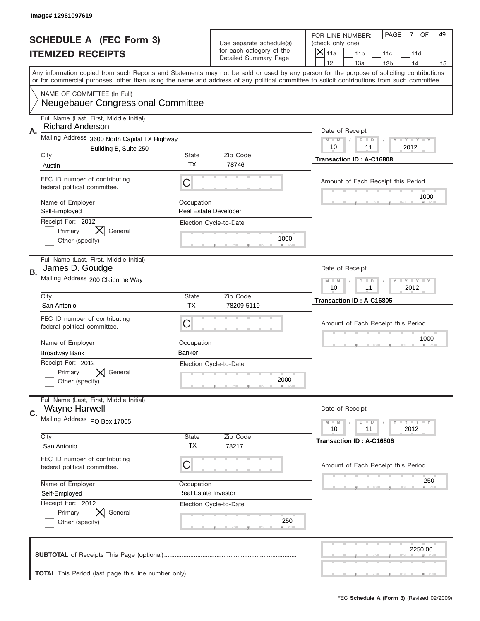|    | Image# 12961097619                                                       |                      |                                                   |                                                                                                                                                                                                                                                                                         |
|----|--------------------------------------------------------------------------|----------------------|---------------------------------------------------|-----------------------------------------------------------------------------------------------------------------------------------------------------------------------------------------------------------------------------------------------------------------------------------------|
|    | <b>SCHEDULE A (FEC Form 3)</b>                                           |                      | Use separate schedule(s)                          | PAGE<br>7 OF<br>49<br>FOR LINE NUMBER:<br>(check only one)                                                                                                                                                                                                                              |
|    | <b>ITEMIZED RECEIPTS</b>                                                 |                      | for each category of the<br>Detailed Summary Page | ×<br>11a<br>11 <sub>b</sub><br>11c<br>11d                                                                                                                                                                                                                                               |
|    |                                                                          |                      |                                                   | 12<br>13a<br>14<br>13 <sub>b</sub><br>15                                                                                                                                                                                                                                                |
|    |                                                                          |                      |                                                   | Any information copied from such Reports and Statements may not be sold or used by any person for the purpose of soliciting contributions<br>or for commercial purposes, other than using the name and address of any political committee to solicit contributions from such committee. |
|    | NAME OF COMMITTEE (In Full)<br><b>Neugebauer Congressional Committee</b> |                      |                                                   |                                                                                                                                                                                                                                                                                         |
| Α. | Full Name (Last, First, Middle Initial)<br><b>Richard Anderson</b>       |                      |                                                   | Date of Receipt                                                                                                                                                                                                                                                                         |
|    | Mailing Address 3600 North Capital TX Highway                            |                      |                                                   | $M$ $M$<br><b>LYLYLY</b><br>$D$ $D$                                                                                                                                                                                                                                                     |
|    | Building B, Suite 250<br>City                                            | State                | Zip Code                                          | 2012<br>10<br>11                                                                                                                                                                                                                                                                        |
|    | Austin                                                                   | ТX                   | 78746                                             | Transaction ID: A-C16808                                                                                                                                                                                                                                                                |
|    | FEC ID number of contributing<br>federal political committee.            | C                    |                                                   | Amount of Each Receipt this Period                                                                                                                                                                                                                                                      |
|    | Name of Employer<br>Self-Employed                                        | Occupation           | <b>Real Estate Developer</b>                      | 1000                                                                                                                                                                                                                                                                                    |
|    | Receipt For: 2012<br>Primary<br>General<br>Other (specify)               |                      | Election Cycle-to-Date<br>1000                    |                                                                                                                                                                                                                                                                                         |
| В. | Full Name (Last, First, Middle Initial)<br>James D. Goudge               |                      |                                                   | Date of Receipt                                                                                                                                                                                                                                                                         |
|    | Mailing Address 200 Claiborne Way                                        |                      |                                                   | <b>LY LY LY</b><br>$M - M$<br>$D$ $D$<br>10<br>11<br>2012                                                                                                                                                                                                                               |
|    | City                                                                     | State                | Zip Code                                          | Transaction ID: A-C16805                                                                                                                                                                                                                                                                |
|    | San Antonio                                                              | <b>TX</b>            | 78209-5119                                        |                                                                                                                                                                                                                                                                                         |
|    | FEC ID number of contributing<br>federal political committee.            | C                    |                                                   | Amount of Each Receipt this Period                                                                                                                                                                                                                                                      |
|    |                                                                          |                      |                                                   |                                                                                                                                                                                                                                                                                         |
|    | Name of Employer                                                         | Occupation           |                                                   | 1000                                                                                                                                                                                                                                                                                    |
|    | <b>Broadway Bank</b>                                                     | Banker               |                                                   |                                                                                                                                                                                                                                                                                         |
|    | Receipt For: 2012<br>Primary<br>General<br>Other (specify)               |                      | Election Cycle-to-Date<br>2000                    |                                                                                                                                                                                                                                                                                         |
|    | Full Name (Last, First, Middle Initial)<br><b>Wayne Harwell</b>          |                      |                                                   | Date of Receipt                                                                                                                                                                                                                                                                         |
| C. | Mailing Address PO Box 17065                                             |                      |                                                   | $T$ $Y$ $Y$ $Y$ $Y$<br>$M - M$<br>$D$ $D$<br>2012<br>10<br>11                                                                                                                                                                                                                           |
|    | City<br>San Antonio                                                      | State<br><b>TX</b>   | Zip Code<br>78217                                 | Transaction ID: A-C16806                                                                                                                                                                                                                                                                |
|    | FEC ID number of contributing<br>federal political committee.            | C                    |                                                   | Amount of Each Receipt this Period                                                                                                                                                                                                                                                      |
|    | Name of Employer                                                         | Occupation           |                                                   | 250                                                                                                                                                                                                                                                                                     |
|    | Self-Employed                                                            | Real Estate Investor |                                                   |                                                                                                                                                                                                                                                                                         |
|    | Receipt For: 2012<br>Primary<br>General<br>Other (specify)               |                      | Election Cycle-to-Date<br>250                     |                                                                                                                                                                                                                                                                                         |
|    |                                                                          |                      |                                                   | 2250.00                                                                                                                                                                                                                                                                                 |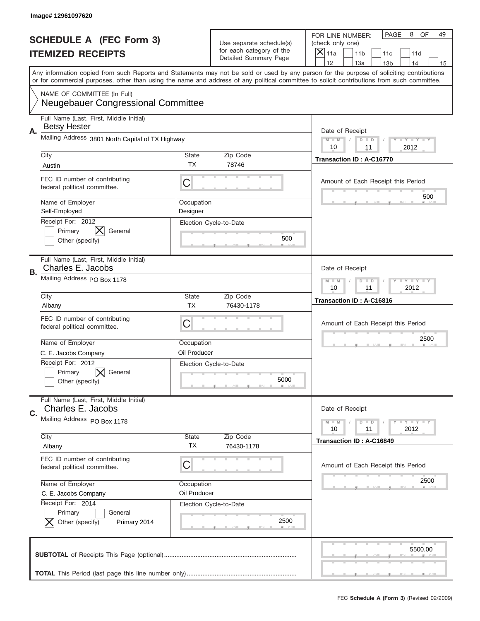|    | Image# 12961097620                                                                                                                         |                        |                                                   |                                                                                                                                           |
|----|--------------------------------------------------------------------------------------------------------------------------------------------|------------------------|---------------------------------------------------|-------------------------------------------------------------------------------------------------------------------------------------------|
|    | <b>SCHEDULE A (FEC Form 3)</b>                                                                                                             |                        | Use separate schedule(s)                          | PAGE<br>8<br>OF<br>49<br>FOR LINE NUMBER:<br>(check only one)                                                                             |
|    | <b>ITEMIZED RECEIPTS</b>                                                                                                                   |                        | for each category of the<br>Detailed Summary Page | ×<br>11a<br>11 <sub>b</sub><br>11c<br>11d                                                                                                 |
|    |                                                                                                                                            |                        |                                                   | 12<br>13a<br>14<br>13 <sub>b</sub><br>15                                                                                                  |
|    | or for commercial purposes, other than using the name and address of any political committee to solicit contributions from such committee. |                        |                                                   | Any information copied from such Reports and Statements may not be sold or used by any person for the purpose of soliciting contributions |
|    | NAME OF COMMITTEE (In Full)<br><b>Neugebauer Congressional Committee</b>                                                                   |                        |                                                   |                                                                                                                                           |
| А. | Full Name (Last, First, Middle Initial)<br><b>Betsy Hester</b>                                                                             |                        |                                                   | Date of Receipt                                                                                                                           |
|    | Mailing Address 3801 North Capital of TX Highway                                                                                           |                        |                                                   | $M$ M<br><b>LEY LEY LEY</b><br>$D$ $D$<br>2012<br>10<br>11                                                                                |
|    | City<br>Austin                                                                                                                             | State<br><b>TX</b>     | Zip Code<br>78746                                 | <b>Transaction ID: A-C16770</b>                                                                                                           |
|    | FEC ID number of contributing<br>federal political committee.                                                                              | C                      |                                                   | Amount of Each Receipt this Period                                                                                                        |
|    | Name of Employer<br>Self-Employed                                                                                                          | Occupation<br>Designer |                                                   | 500                                                                                                                                       |
|    | Receipt For: 2012<br>$\bm{\mathsf{X}}$<br>Primary<br>General<br>Other (specify)                                                            |                        | Election Cycle-to-Date<br>500                     |                                                                                                                                           |
| В. | Full Name (Last, First, Middle Initial)<br>Charles E. Jacobs                                                                               |                        |                                                   | Date of Receipt                                                                                                                           |
|    | Mailing Address PO Box 1178                                                                                                                |                        |                                                   | <b>LY LY LY</b><br>$M - M$<br>$D$ $D$<br>10<br>11<br>2012                                                                                 |
|    | City<br>Albany                                                                                                                             | State<br><b>TX</b>     | Zip Code<br>76430-1178                            | Transaction ID: A-C16816                                                                                                                  |
|    | FEC ID number of contributing<br>federal political committee.                                                                              | C                      |                                                   | Amount of Each Receipt this Period                                                                                                        |
|    | Name of Employer                                                                                                                           | Occupation             |                                                   | 2500                                                                                                                                      |
|    | C. E. Jacobs Company<br>Receipt For: 2012<br>Primary<br>General<br>Other (specify)                                                         | Oil Producer           | Election Cycle-to-Date<br>5000                    |                                                                                                                                           |
|    | Full Name (Last, First, Middle Initial)                                                                                                    |                        |                                                   |                                                                                                                                           |
| C. | Charles E. Jacobs<br>Mailing Address PO Box 1178                                                                                           |                        |                                                   | Date of Receipt                                                                                                                           |
|    |                                                                                                                                            |                        |                                                   | <b>LYLYLY</b><br>$M - M$<br>$D$ $D$<br>2012<br>10<br>11                                                                                   |
|    | City<br>Albany                                                                                                                             | State<br>ТX            | Zip Code<br>76430-1178                            | Transaction ID: A-C16849                                                                                                                  |
|    | FEC ID number of contributing<br>federal political committee.                                                                              | C                      |                                                   | Amount of Each Receipt this Period                                                                                                        |
|    | Name of Employer                                                                                                                           | Occupation             |                                                   | 2500                                                                                                                                      |
|    | C. E. Jacobs Company<br>Receipt For: 2014                                                                                                  | Oil Producer           | Election Cycle-to-Date                            |                                                                                                                                           |
|    | Primary<br>General<br>Other (specify)<br>Primary 2014                                                                                      |                        | 2500                                              |                                                                                                                                           |
|    |                                                                                                                                            |                        |                                                   | 5500.00                                                                                                                                   |
|    |                                                                                                                                            |                        |                                                   |                                                                                                                                           |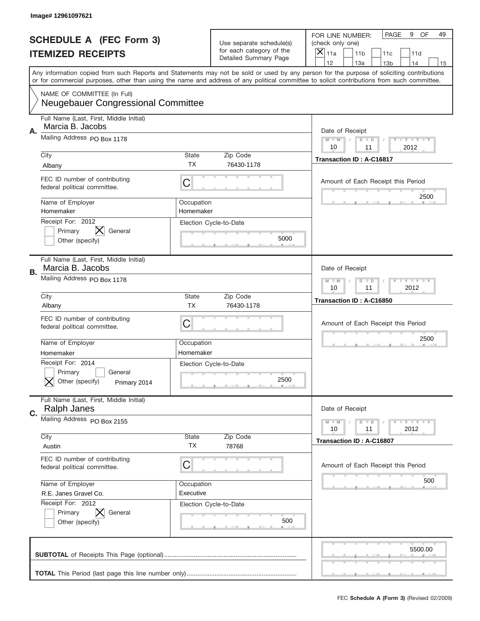|    | Image# 12961097621                                                         |                         |                                                      |                                                                                                                                                                                                                                                                                                                                     |
|----|----------------------------------------------------------------------------|-------------------------|------------------------------------------------------|-------------------------------------------------------------------------------------------------------------------------------------------------------------------------------------------------------------------------------------------------------------------------------------------------------------------------------------|
|    | <b>SCHEDULE A (FEC Form 3)</b>                                             |                         | Use separate schedule(s)<br>for each category of the | PAGE<br>OF<br>9<br>49<br>FOR LINE NUMBER:<br>(check only one)                                                                                                                                                                                                                                                                       |
|    | <b>ITEMIZED RECEIPTS</b>                                                   |                         | Detailed Summary Page                                | ×<br>11a<br>11 <sub>b</sub><br>11c<br>11d                                                                                                                                                                                                                                                                                           |
|    |                                                                            |                         |                                                      | 12<br>13a<br>14<br>13 <sub>b</sub><br>15<br>Any information copied from such Reports and Statements may not be sold or used by any person for the purpose of soliciting contributions<br>or for commercial purposes, other than using the name and address of any political committee to solicit contributions from such committee. |
|    | NAME OF COMMITTEE (In Full)<br><b>Neugebauer Congressional Committee</b>   |                         |                                                      |                                                                                                                                                                                                                                                                                                                                     |
| Α. | Full Name (Last, First, Middle Initial)<br>Marcia B. Jacobs                |                         |                                                      | Date of Receipt                                                                                                                                                                                                                                                                                                                     |
|    | Mailing Address PO Box 1178                                                |                         |                                                      | $M - M$<br><b>LY LY LY</b><br>$D$ $D$<br>10<br>11<br>2012                                                                                                                                                                                                                                                                           |
|    | City<br>Albany                                                             | State<br><b>TX</b>      | Zip Code<br>76430-1178                               | Transaction ID: A-C16817                                                                                                                                                                                                                                                                                                            |
|    | FEC ID number of contributing<br>federal political committee.              | C                       |                                                      | Amount of Each Receipt this Period                                                                                                                                                                                                                                                                                                  |
|    | Name of Employer<br>Homemaker<br>Receipt For: 2012                         | Occupation<br>Homemaker |                                                      | 2500                                                                                                                                                                                                                                                                                                                                |
|    | Primary<br>General<br>Other (specify)                                      |                         | Election Cycle-to-Date<br>5000                       |                                                                                                                                                                                                                                                                                                                                     |
| В. | Full Name (Last, First, Middle Initial)<br>Marcia B. Jacobs                |                         |                                                      | Date of Receipt                                                                                                                                                                                                                                                                                                                     |
|    | Mailing Address PO Box 1178                                                |                         |                                                      | $M$ M<br>$D$ $D$<br><b>LYLYLY</b><br>10<br>11<br>2012                                                                                                                                                                                                                                                                               |
|    | City<br>Albany                                                             | State<br><b>TX</b>      | Zip Code<br>76430-1178                               | Transaction ID: A-C16850                                                                                                                                                                                                                                                                                                            |
|    | FEC ID number of contributing<br>federal political committee.              | C                       |                                                      | Amount of Each Receipt this Period                                                                                                                                                                                                                                                                                                  |
|    | Name of Employer<br>Homemaker                                              | Occupation<br>Homemaker |                                                      | 2500                                                                                                                                                                                                                                                                                                                                |
|    | Receipt For: 2014<br>General<br>Primary<br>Other (specify)<br>Primary 2014 |                         | Election Cycle-to-Date<br>2500                       |                                                                                                                                                                                                                                                                                                                                     |
| C. | Full Name (Last, First, Middle Initial)<br><b>Ralph Janes</b>              |                         |                                                      | Date of Receipt                                                                                                                                                                                                                                                                                                                     |
|    | Mailing Address PO Box 2155                                                |                         |                                                      | $D$ $D$<br>$T - Y = T - Y = T - Y$<br>$M - M$<br>10<br>2012<br>11                                                                                                                                                                                                                                                                   |
|    | City<br>Austin                                                             | State<br>TX             | Zip Code<br>78768                                    | Transaction ID: A-C16807                                                                                                                                                                                                                                                                                                            |
|    | FEC ID number of contributing<br>federal political committee.              | C                       |                                                      | Amount of Each Receipt this Period                                                                                                                                                                                                                                                                                                  |
|    | Name of Employer<br>R.E. Janes Gravel Co.                                  | Occupation<br>Executive |                                                      | 500                                                                                                                                                                                                                                                                                                                                 |
|    | Receipt For: 2012<br>Primary<br>General<br>Other (specify)                 |                         | Election Cycle-to-Date<br>500                        |                                                                                                                                                                                                                                                                                                                                     |
|    |                                                                            |                         |                                                      | 5500.00                                                                                                                                                                                                                                                                                                                             |
|    |                                                                            |                         |                                                      |                                                                                                                                                                                                                                                                                                                                     |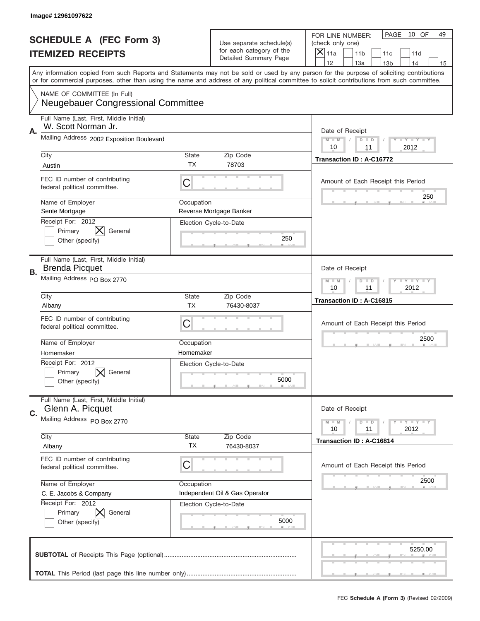|    | Image# 12961097622                                                       |                    |                                                   |                                                                                                                                                                                                                                                                                         |
|----|--------------------------------------------------------------------------|--------------------|---------------------------------------------------|-----------------------------------------------------------------------------------------------------------------------------------------------------------------------------------------------------------------------------------------------------------------------------------------|
|    | <b>SCHEDULE A (FEC Form 3)</b>                                           |                    | Use separate schedule(s)                          | PAGE<br>10 OF<br>49<br>FOR LINE NUMBER:<br>(check only one)                                                                                                                                                                                                                             |
|    | <b>ITEMIZED RECEIPTS</b>                                                 |                    | for each category of the<br>Detailed Summary Page | ×<br>11a<br>11 <sub>b</sub><br>11c<br>11d                                                                                                                                                                                                                                               |
|    |                                                                          |                    |                                                   | 12<br>13a<br>14<br>13 <sub>b</sub><br>15                                                                                                                                                                                                                                                |
|    |                                                                          |                    |                                                   | Any information copied from such Reports and Statements may not be sold or used by any person for the purpose of soliciting contributions<br>or for commercial purposes, other than using the name and address of any political committee to solicit contributions from such committee. |
|    | NAME OF COMMITTEE (In Full)<br><b>Neugebauer Congressional Committee</b> |                    |                                                   |                                                                                                                                                                                                                                                                                         |
|    | Full Name (Last, First, Middle Initial)<br>W. Scott Norman Jr.           |                    |                                                   |                                                                                                                                                                                                                                                                                         |
| Α. | Mailing Address 2002 Exposition Boulevard                                |                    |                                                   | Date of Receipt<br>$M$ $M$<br><b>LYLYLY</b><br>$D$ $D$<br>2012<br>10<br>11                                                                                                                                                                                                              |
|    | City                                                                     | State              | Zip Code                                          | Transaction ID: A-C16772                                                                                                                                                                                                                                                                |
|    | Austin                                                                   | ТX                 | 78703                                             |                                                                                                                                                                                                                                                                                         |
|    | FEC ID number of contributing<br>federal political committee.            | C                  |                                                   | Amount of Each Receipt this Period<br>250                                                                                                                                                                                                                                               |
|    | Name of Employer<br>Sente Mortgage                                       | Occupation         | Reverse Mortgage Banker                           |                                                                                                                                                                                                                                                                                         |
|    | Receipt For: 2012                                                        |                    | Election Cycle-to-Date                            |                                                                                                                                                                                                                                                                                         |
|    | Primary<br>General<br>Other (specify)                                    |                    | 250                                               |                                                                                                                                                                                                                                                                                         |
|    |                                                                          |                    |                                                   |                                                                                                                                                                                                                                                                                         |
| В. | Full Name (Last, First, Middle Initial)<br><b>Brenda Picquet</b>         |                    |                                                   | Date of Receipt                                                                                                                                                                                                                                                                         |
|    | Mailing Address PO Box 2770                                              |                    |                                                   | <b>LY LY LY</b><br>$M - M$<br>$D$ $D$<br>10<br>11<br>2012                                                                                                                                                                                                                               |
|    | City                                                                     | State              | Zip Code                                          | Transaction ID: A-C16815                                                                                                                                                                                                                                                                |
|    | Albany                                                                   | <b>TX</b>          | 76430-8037                                        |                                                                                                                                                                                                                                                                                         |
|    | FEC ID number of contributing<br>federal political committee.            | C                  |                                                   | Amount of Each Receipt this Period                                                                                                                                                                                                                                                      |
|    | Name of Employer                                                         | Occupation         |                                                   | 2500                                                                                                                                                                                                                                                                                    |
|    | Homemaker                                                                | Homemaker          |                                                   |                                                                                                                                                                                                                                                                                         |
|    | Receipt For: 2012<br>General<br>Primary                                  |                    | Election Cycle-to-Date                            |                                                                                                                                                                                                                                                                                         |
|    | Other (specify)                                                          |                    | 5000                                              |                                                                                                                                                                                                                                                                                         |
| C. | Full Name (Last, First, Middle Initial)<br>Glenn A. Picquet              |                    |                                                   | Date of Receipt                                                                                                                                                                                                                                                                         |
|    | Mailing Address PO Box 2770                                              |                    |                                                   | $T - Y = Y - T Y$<br>$M - M$<br>$D$ $D$<br>2012<br>10<br>11                                                                                                                                                                                                                             |
|    | City                                                                     | State<br><b>TX</b> | Zip Code                                          | Transaction ID: A-C16814                                                                                                                                                                                                                                                                |
|    | Albany                                                                   |                    | 76430-8037                                        |                                                                                                                                                                                                                                                                                         |
|    | FEC ID number of contributing<br>federal political committee.            | C                  |                                                   | Amount of Each Receipt this Period                                                                                                                                                                                                                                                      |
|    | Name of Employer                                                         | Occupation         |                                                   | 2500                                                                                                                                                                                                                                                                                    |
|    | C. E. Jacobs & Company                                                   |                    | Independent Oil & Gas Operator                    |                                                                                                                                                                                                                                                                                         |
|    | Receipt For: 2012                                                        |                    | Election Cycle-to-Date                            |                                                                                                                                                                                                                                                                                         |
|    | Primary<br>General<br>Other (specify)                                    |                    | 5000                                              |                                                                                                                                                                                                                                                                                         |
|    |                                                                          |                    |                                                   | 5250.00                                                                                                                                                                                                                                                                                 |
|    |                                                                          |                    |                                                   |                                                                                                                                                                                                                                                                                         |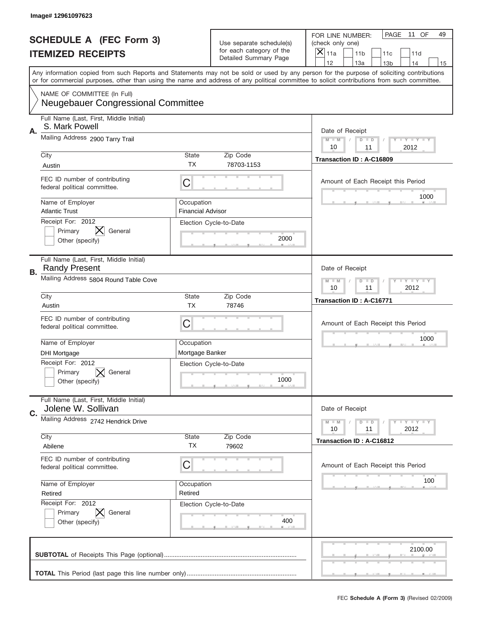|    | Image# 12961097623                                                       |                                        |                                                   |                                                                                                                                                                                                                                                                                         |
|----|--------------------------------------------------------------------------|----------------------------------------|---------------------------------------------------|-----------------------------------------------------------------------------------------------------------------------------------------------------------------------------------------------------------------------------------------------------------------------------------------|
|    | <b>SCHEDULE A (FEC Form 3)</b>                                           |                                        | Use separate schedule(s)                          | PAGE<br>11 OF<br>49<br>FOR LINE NUMBER:<br>(check only one)                                                                                                                                                                                                                             |
|    | <b>ITEMIZED RECEIPTS</b>                                                 |                                        | for each category of the<br>Detailed Summary Page | ×<br>11a<br>11 <sub>b</sub><br>11c<br>11d                                                                                                                                                                                                                                               |
|    |                                                                          |                                        |                                                   | 12<br>13a<br>14<br>13 <sub>b</sub><br>15                                                                                                                                                                                                                                                |
|    |                                                                          |                                        |                                                   | Any information copied from such Reports and Statements may not be sold or used by any person for the purpose of soliciting contributions<br>or for commercial purposes, other than using the name and address of any political committee to solicit contributions from such committee. |
|    | NAME OF COMMITTEE (In Full)<br><b>Neugebauer Congressional Committee</b> |                                        |                                                   |                                                                                                                                                                                                                                                                                         |
| Α. | Full Name (Last, First, Middle Initial)<br>S. Mark Powell                |                                        |                                                   | Date of Receipt                                                                                                                                                                                                                                                                         |
|    | Mailing Address 2900 Tarry Trail                                         |                                        |                                                   | $M$ $M$<br><b>LYLYLY</b><br>$D$ $D$<br>2012<br>10<br>11                                                                                                                                                                                                                                 |
|    | City                                                                     | State                                  | Zip Code                                          | Transaction ID: A-C16809                                                                                                                                                                                                                                                                |
|    | Austin                                                                   | ТX                                     | 78703-1153                                        |                                                                                                                                                                                                                                                                                         |
|    | FEC ID number of contributing<br>federal political committee.            | C                                      |                                                   | Amount of Each Receipt this Period<br>1000                                                                                                                                                                                                                                              |
|    | Name of Employer<br><b>Atlantic Trust</b>                                | Occupation<br><b>Financial Advisor</b> |                                                   |                                                                                                                                                                                                                                                                                         |
|    | Receipt For: 2012                                                        |                                        | Election Cycle-to-Date                            |                                                                                                                                                                                                                                                                                         |
|    | General<br>Primary<br>Other (specify)                                    |                                        | 2000                                              |                                                                                                                                                                                                                                                                                         |
|    |                                                                          |                                        |                                                   |                                                                                                                                                                                                                                                                                         |
| В. | Full Name (Last, First, Middle Initial)<br><b>Randy Present</b>          |                                        |                                                   | Date of Receipt                                                                                                                                                                                                                                                                         |
|    | Mailing Address 5804 Round Table Cove                                    |                                        |                                                   | <b>LY LY LY</b><br>$M - M$<br>$D$ $D$<br>10<br>11<br>2012                                                                                                                                                                                                                               |
|    | City<br>Austin                                                           | State<br><b>TX</b>                     | Zip Code<br>78746                                 | Transaction ID: A-C16771                                                                                                                                                                                                                                                                |
|    |                                                                          |                                        |                                                   |                                                                                                                                                                                                                                                                                         |
|    | FEC ID number of contributing<br>federal political committee.            | C                                      |                                                   | Amount of Each Receipt this Period                                                                                                                                                                                                                                                      |
|    | Name of Employer                                                         | Occupation                             |                                                   | 1000                                                                                                                                                                                                                                                                                    |
|    | <b>DHI Mortgage</b>                                                      | Mortgage Banker                        |                                                   |                                                                                                                                                                                                                                                                                         |
|    | Receipt For: 2012<br>General                                             |                                        | Election Cycle-to-Date                            |                                                                                                                                                                                                                                                                                         |
|    | Primary<br>Other (specify)                                               |                                        | 1000                                              |                                                                                                                                                                                                                                                                                         |
|    |                                                                          |                                        |                                                   |                                                                                                                                                                                                                                                                                         |
| C. | Full Name (Last, First, Middle Initial)<br>Jolene W. Sollivan            |                                        |                                                   | Date of Receipt                                                                                                                                                                                                                                                                         |
|    | Mailing Address 2742 Hendrick Drive                                      |                                        |                                                   | Y TY TY TY<br>$M - M$<br>$D$ $D$<br>2012<br>10<br>11                                                                                                                                                                                                                                    |
|    | City                                                                     | State                                  | Zip Code                                          | Transaction ID: A-C16812                                                                                                                                                                                                                                                                |
|    | Abilene                                                                  | <b>TX</b>                              | 79602                                             |                                                                                                                                                                                                                                                                                         |
|    | FEC ID number of contributing<br>federal political committee.            | C                                      |                                                   | Amount of Each Receipt this Period                                                                                                                                                                                                                                                      |
|    | Name of Employer                                                         | Occupation                             |                                                   | 100                                                                                                                                                                                                                                                                                     |
|    | Retired                                                                  | Retired                                |                                                   |                                                                                                                                                                                                                                                                                         |
|    | Receipt For: 2012<br>Primary<br>General                                  |                                        | Election Cycle-to-Date                            |                                                                                                                                                                                                                                                                                         |
|    | Other (specify)                                                          |                                        | 400                                               |                                                                                                                                                                                                                                                                                         |
|    |                                                                          |                                        |                                                   |                                                                                                                                                                                                                                                                                         |
|    |                                                                          |                                        |                                                   | 2100.00                                                                                                                                                                                                                                                                                 |
|    |                                                                          |                                        |                                                   |                                                                                                                                                                                                                                                                                         |
|    |                                                                          |                                        |                                                   |                                                                                                                                                                                                                                                                                         |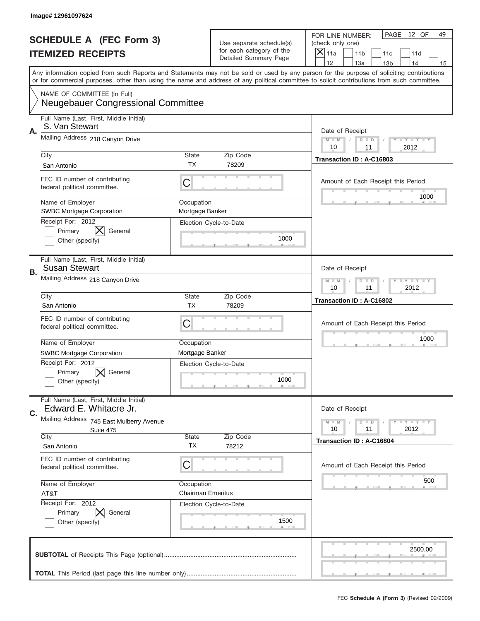|    | Image# 12961097624                                                       |                               |                                                   |                                                                                                                                                                                                                                                                                         |
|----|--------------------------------------------------------------------------|-------------------------------|---------------------------------------------------|-----------------------------------------------------------------------------------------------------------------------------------------------------------------------------------------------------------------------------------------------------------------------------------------|
|    | <b>SCHEDULE A (FEC Form 3)</b>                                           |                               | Use separate schedule(s)                          | PAGE<br>12 OF<br>49<br>FOR LINE NUMBER:<br>(check only one)                                                                                                                                                                                                                             |
|    | <b>ITEMIZED RECEIPTS</b>                                                 |                               | for each category of the<br>Detailed Summary Page | ×<br>11a<br>11 <sub>b</sub><br>11c<br>11d                                                                                                                                                                                                                                               |
|    |                                                                          |                               |                                                   | 12<br>13a<br>14<br>13 <sub>b</sub><br>15                                                                                                                                                                                                                                                |
|    |                                                                          |                               |                                                   | Any information copied from such Reports and Statements may not be sold or used by any person for the purpose of soliciting contributions<br>or for commercial purposes, other than using the name and address of any political committee to solicit contributions from such committee. |
|    | NAME OF COMMITTEE (In Full)<br><b>Neugebauer Congressional Committee</b> |                               |                                                   |                                                                                                                                                                                                                                                                                         |
| Α. | Full Name (Last, First, Middle Initial)<br>S. Van Stewart                |                               |                                                   | Date of Receipt                                                                                                                                                                                                                                                                         |
|    | Mailing Address 218 Canyon Drive                                         |                               |                                                   | $M$ $M$<br><b>LYLYLY</b><br>$D$ $D$<br>2012<br>10<br>11                                                                                                                                                                                                                                 |
|    | City<br>San Antonio                                                      | State<br><b>TX</b>            | Zip Code<br>78209                                 | Transaction ID: A-C16803                                                                                                                                                                                                                                                                |
|    | FEC ID number of contributing<br>federal political committee.            | C                             |                                                   | Amount of Each Receipt this Period<br>1000                                                                                                                                                                                                                                              |
|    | Name of Employer<br><b>SWBC Mortgage Corporation</b>                     | Occupation<br>Mortgage Banker |                                                   |                                                                                                                                                                                                                                                                                         |
|    | Receipt For: 2012<br>Primary<br>General<br>Other (specify)               |                               | Election Cycle-to-Date<br>1000                    |                                                                                                                                                                                                                                                                                         |
| В. | Full Name (Last, First, Middle Initial)<br><b>Susan Stewart</b>          |                               |                                                   | Date of Receipt                                                                                                                                                                                                                                                                         |
|    | Mailing Address 218 Canyon Drive                                         |                               |                                                   | <b>LY LY LY</b><br>$M - M$<br>$D$ $D$<br>10<br>11<br>2012                                                                                                                                                                                                                               |
|    | City                                                                     | State                         | Zip Code                                          | Transaction ID: A-C16802                                                                                                                                                                                                                                                                |
|    | San Antonio                                                              | <b>TX</b>                     | 78209                                             |                                                                                                                                                                                                                                                                                         |
|    | FEC ID number of contributing                                            | C                             |                                                   | Amount of Each Receipt this Period                                                                                                                                                                                                                                                      |
|    | federal political committee.                                             |                               |                                                   |                                                                                                                                                                                                                                                                                         |
|    | Name of Employer                                                         | Occupation                    |                                                   | 1000                                                                                                                                                                                                                                                                                    |
|    | <b>SWBC Mortgage Corporation</b>                                         | Mortgage Banker               |                                                   |                                                                                                                                                                                                                                                                                         |
|    | Receipt For: 2012<br>General<br>Primary<br>Other (specify)               |                               | Election Cycle-to-Date<br>1000                    |                                                                                                                                                                                                                                                                                         |
|    | Full Name (Last, First, Middle Initial)<br>Edward E. Whitacre Jr.        |                               |                                                   | Date of Receipt                                                                                                                                                                                                                                                                         |
| C. | Mailing Address 745 East Mulberry Avenue<br>Suite 475                    |                               |                                                   | $T + Y = Y + Y$<br>$M - M$<br>$D$ $D$<br>2012<br>10<br>11                                                                                                                                                                                                                               |
|    | City<br>San Antonio                                                      | State<br><b>TX</b>            | Zip Code<br>78212                                 | Transaction ID: A-C16804                                                                                                                                                                                                                                                                |
|    | FEC ID number of contributing<br>federal political committee.            | C                             |                                                   | Amount of Each Receipt this Period                                                                                                                                                                                                                                                      |
|    | Name of Employer                                                         | Occupation                    |                                                   | 500                                                                                                                                                                                                                                                                                     |
|    | AT&T                                                                     | <b>Chairman Emeritus</b>      |                                                   |                                                                                                                                                                                                                                                                                         |
|    | Receipt For: 2012<br>Primary<br>General<br>Other (specify)               |                               | Election Cycle-to-Date<br>1500                    |                                                                                                                                                                                                                                                                                         |
|    |                                                                          |                               |                                                   | 2500.00                                                                                                                                                                                                                                                                                 |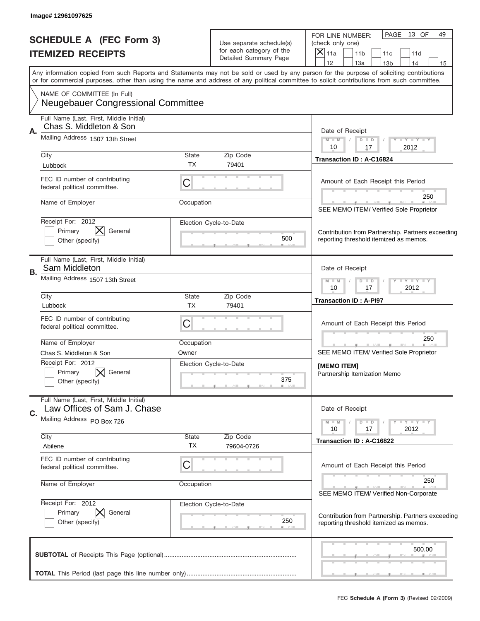|    | Image# 12961097625                                                                                     |                                                                                      |                                                                               |                                                                                                                                                                                                                                                                                         |
|----|--------------------------------------------------------------------------------------------------------|--------------------------------------------------------------------------------------|-------------------------------------------------------------------------------|-----------------------------------------------------------------------------------------------------------------------------------------------------------------------------------------------------------------------------------------------------------------------------------------|
|    | <b>SCHEDULE A (FEC Form 3)</b><br><b>ITEMIZED RECEIPTS</b>                                             |                                                                                      | Use separate schedule(s)<br>for each category of the<br>Detailed Summary Page | PAGE 13 OF<br>49<br>FOR LINE NUMBER:<br>(check only one)<br>$\times$<br>11a<br>11 <sub>b</sub><br>11c<br>11d<br>12<br>13a<br>13 <sub>b</sub><br>14<br>15                                                                                                                                |
|    |                                                                                                        |                                                                                      |                                                                               | Any information copied from such Reports and Statements may not be sold or used by any person for the purpose of soliciting contributions<br>or for commercial purposes, other than using the name and address of any political committee to solicit contributions from such committee. |
|    | NAME OF COMMITTEE (In Full)<br><b>Neugebauer Congressional Committee</b>                               |                                                                                      |                                                                               |                                                                                                                                                                                                                                                                                         |
| А. | Full Name (Last, First, Middle Initial)<br>Chas S. Middleton & Son<br>Mailing Address 1507 13th Street | Date of Receipt<br>$Y - Y - Y - Y - I - Y$<br>$M - M$<br>$D$ $D$<br>10<br>2012<br>17 |                                                                               |                                                                                                                                                                                                                                                                                         |
|    | City                                                                                                   | State<br>ТX                                                                          | Zip Code<br>79401                                                             | <b>Transaction ID: A-C16824</b>                                                                                                                                                                                                                                                         |
|    | Lubbock<br>FEC ID number of contributing<br>federal political committee.                               | С                                                                                    |                                                                               | Amount of Each Receipt this Period                                                                                                                                                                                                                                                      |
|    | Name of Employer                                                                                       | Occupation                                                                           |                                                                               | 250<br>SEE MEMO ITEM/ Verified Sole Proprietor                                                                                                                                                                                                                                          |
|    | Receipt For: 2012<br>Primary<br>General<br>Other (specify)                                             |                                                                                      | Election Cycle-to-Date<br>500                                                 | Contribution from Partnership. Partners exceeding<br>reporting threshold itemized as memos.                                                                                                                                                                                             |
| В. | Full Name (Last, First, Middle Initial)<br>Sam Middleton                                               | Date of Receipt                                                                      |                                                                               |                                                                                                                                                                                                                                                                                         |
|    | Mailing Address 1507 13th Street                                                                       | <b>TAYLY TAY</b><br>$M - M$<br>$D$ $D$<br>10<br>17<br>2012                           |                                                                               |                                                                                                                                                                                                                                                                                         |
|    | City<br>Lubbock                                                                                        | State<br><b>TX</b>                                                                   | Zip Code<br>79401                                                             | <b>Transaction ID: A-PI97</b>                                                                                                                                                                                                                                                           |
|    | FEC ID number of contributing<br>federal political committee.                                          | С                                                                                    |                                                                               | Amount of Each Receipt this Period                                                                                                                                                                                                                                                      |
|    | Name of Employer                                                                                       | Occupation                                                                           |                                                                               | 250                                                                                                                                                                                                                                                                                     |
|    | Chas S. Middleton & Son<br>Receipt For: 2012<br>General<br>Primary<br>Other (specify)                  | Owner                                                                                | Election Cycle-to-Date<br>375                                                 | SEE MEMO ITEM/ Verified Sole Proprietor<br>[MEMO ITEM]<br>Partnership Itemization Memo                                                                                                                                                                                                  |
| C. | Full Name (Last, First, Middle Initial)<br>Law Offices of Sam J. Chase                                 |                                                                                      |                                                                               | Date of Receipt                                                                                                                                                                                                                                                                         |
|    | Mailing Address PO Box 726<br>City                                                                     | State                                                                                | Zip Code                                                                      | $T - Y$ $T - Y$ $T - Y$<br>$M - M$<br>$D$ $D$<br>2012<br>10<br>17                                                                                                                                                                                                                       |
|    | Abilene                                                                                                | ТX                                                                                   | 79604-0726                                                                    | Transaction ID: A-C16822                                                                                                                                                                                                                                                                |
|    | FEC ID number of contributing<br>federal political committee.                                          | C                                                                                    |                                                                               | Amount of Each Receipt this Period                                                                                                                                                                                                                                                      |
|    | Name of Employer                                                                                       | Occupation                                                                           |                                                                               | 250<br>SEE MEMO ITEM/ Verified Non-Corporate                                                                                                                                                                                                                                            |
|    | Receipt For: 2012<br>Primary<br>General<br>Other (specify)                                             |                                                                                      | Election Cycle-to-Date<br>250                                                 | Contribution from Partnership. Partners exceeding<br>reporting threshold itemized as memos.                                                                                                                                                                                             |
|    |                                                                                                        |                                                                                      |                                                                               | 500.00                                                                                                                                                                                                                                                                                  |
|    |                                                                                                        |                                                                                      |                                                                               |                                                                                                                                                                                                                                                                                         |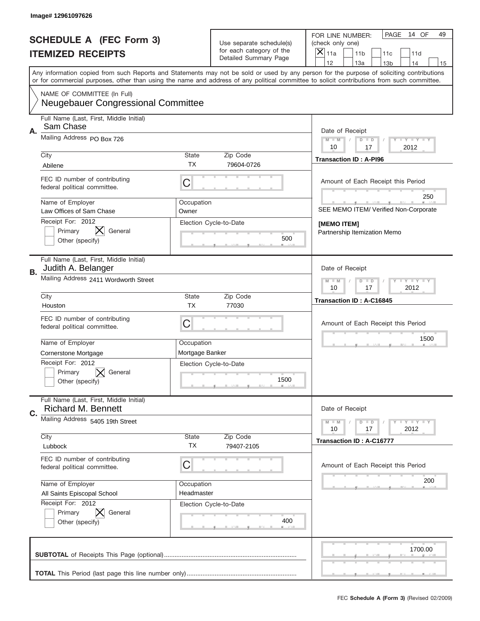| PAGE<br>14 OF<br>49<br>FOR LINE NUMBER:<br><b>SCHEDULE A (FEC Form 3)</b><br>Use separate schedule(s)<br>(check only one)<br>for each category of the<br>×<br><b>ITEMIZED RECEIPTS</b><br>11a<br>11 <sub>b</sub><br>11c<br>11d<br>Detailed Summary Page<br>12<br>13a<br>14<br>13 <sub>b</sub><br>15<br>Any information copied from such Reports and Statements may not be sold or used by any person for the purpose of soliciting contributions<br>or for commercial purposes, other than using the name and address of any political committee to solicit contributions from such committee.<br>NAME OF COMMITTEE (In Full)<br><b>Neugebauer Congressional Committee</b><br>Full Name (Last, First, Middle Initial)<br>Sam Chase<br>Α.<br>Date of Receipt<br>Mailing Address PO Box 726<br>$M - M$<br><b>LEY LEY LEY</b><br>$D$ $D$<br>10<br>2012<br>17<br>City<br>State<br>Zip Code<br><b>Transaction ID: A-PI96</b><br>TX<br>79604-0726<br>Abilene<br>FEC ID number of contributing<br>C<br>Amount of Each Receipt this Period<br>federal political committee.<br>250<br>Name of Employer<br>Occupation<br>SEE MEMO ITEM/ Verified Non-Corporate<br>Law Offices of Sam Chase<br>Owner<br>Receipt For: 2012<br>Election Cycle-to-Date<br>[MEMO ITEM]<br>⋉<br>Primary<br>General<br>Partnership Itemization Memo<br>500<br>Other (specify)<br>Full Name (Last, First, Middle Initial)<br>Judith A. Belanger<br>Date of Receipt<br>В.<br>Mailing Address 2411 Wordworth Street<br>$D$ $D$<br><b>LYLYLY</b><br>$M - M$<br>10<br>17<br>2012<br>City<br>State<br>Zip Code<br>Transaction ID: A-C16845<br><b>TX</b><br>77030<br>Houston<br>FEC ID number of contributing<br>C<br>Amount of Each Receipt this Period<br>federal political committee.<br>1500<br>Name of Employer<br>Occupation<br>Mortgage Banker<br>Cornerstone Mortgage<br>Receipt For: 2012<br>Election Cycle-to-Date<br>General<br>Primary<br>1500<br>Other (specify)<br>Full Name (Last, First, Middle Initial)<br><b>Richard M. Bennett</b><br>Date of Receipt<br>C.<br>Mailing Address 5405 19th Street<br>$D$ $D$<br><b>LYLYLY</b><br>$M - M$<br>17<br>2012<br>10<br>City<br>Zip Code<br>State<br>Transaction ID: A-C16777<br>TX<br>Lubbock<br>79407-2105<br>FEC ID number of contributing<br>C<br>Amount of Each Receipt this Period<br>federal political committee.<br>200<br>Name of Employer<br>Occupation<br>All Saints Episcopal School<br>Headmaster<br>Receipt For: 2012<br>Election Cycle-to-Date<br>Primary<br>General<br>400<br>Other (specify)<br>1700.00 |  | Image# 12961097626 |  |  |  |
|-------------------------------------------------------------------------------------------------------------------------------------------------------------------------------------------------------------------------------------------------------------------------------------------------------------------------------------------------------------------------------------------------------------------------------------------------------------------------------------------------------------------------------------------------------------------------------------------------------------------------------------------------------------------------------------------------------------------------------------------------------------------------------------------------------------------------------------------------------------------------------------------------------------------------------------------------------------------------------------------------------------------------------------------------------------------------------------------------------------------------------------------------------------------------------------------------------------------------------------------------------------------------------------------------------------------------------------------------------------------------------------------------------------------------------------------------------------------------------------------------------------------------------------------------------------------------------------------------------------------------------------------------------------------------------------------------------------------------------------------------------------------------------------------------------------------------------------------------------------------------------------------------------------------------------------------------------------------------------------------------------------------------------------------------------------------------------------------------------------------------------------------------------------------------------------------------------------------------------------------------------------------------------------------------------------------------------------------------------------------------------------------------------------------------------------------------------------------------------------------------------------------------------------------|--|--------------------|--|--|--|
|                                                                                                                                                                                                                                                                                                                                                                                                                                                                                                                                                                                                                                                                                                                                                                                                                                                                                                                                                                                                                                                                                                                                                                                                                                                                                                                                                                                                                                                                                                                                                                                                                                                                                                                                                                                                                                                                                                                                                                                                                                                                                                                                                                                                                                                                                                                                                                                                                                                                                                                                           |  |                    |  |  |  |
|                                                                                                                                                                                                                                                                                                                                                                                                                                                                                                                                                                                                                                                                                                                                                                                                                                                                                                                                                                                                                                                                                                                                                                                                                                                                                                                                                                                                                                                                                                                                                                                                                                                                                                                                                                                                                                                                                                                                                                                                                                                                                                                                                                                                                                                                                                                                                                                                                                                                                                                                           |  |                    |  |  |  |
|                                                                                                                                                                                                                                                                                                                                                                                                                                                                                                                                                                                                                                                                                                                                                                                                                                                                                                                                                                                                                                                                                                                                                                                                                                                                                                                                                                                                                                                                                                                                                                                                                                                                                                                                                                                                                                                                                                                                                                                                                                                                                                                                                                                                                                                                                                                                                                                                                                                                                                                                           |  |                    |  |  |  |
|                                                                                                                                                                                                                                                                                                                                                                                                                                                                                                                                                                                                                                                                                                                                                                                                                                                                                                                                                                                                                                                                                                                                                                                                                                                                                                                                                                                                                                                                                                                                                                                                                                                                                                                                                                                                                                                                                                                                                                                                                                                                                                                                                                                                                                                                                                                                                                                                                                                                                                                                           |  |                    |  |  |  |
|                                                                                                                                                                                                                                                                                                                                                                                                                                                                                                                                                                                                                                                                                                                                                                                                                                                                                                                                                                                                                                                                                                                                                                                                                                                                                                                                                                                                                                                                                                                                                                                                                                                                                                                                                                                                                                                                                                                                                                                                                                                                                                                                                                                                                                                                                                                                                                                                                                                                                                                                           |  |                    |  |  |  |
|                                                                                                                                                                                                                                                                                                                                                                                                                                                                                                                                                                                                                                                                                                                                                                                                                                                                                                                                                                                                                                                                                                                                                                                                                                                                                                                                                                                                                                                                                                                                                                                                                                                                                                                                                                                                                                                                                                                                                                                                                                                                                                                                                                                                                                                                                                                                                                                                                                                                                                                                           |  |                    |  |  |  |
|                                                                                                                                                                                                                                                                                                                                                                                                                                                                                                                                                                                                                                                                                                                                                                                                                                                                                                                                                                                                                                                                                                                                                                                                                                                                                                                                                                                                                                                                                                                                                                                                                                                                                                                                                                                                                                                                                                                                                                                                                                                                                                                                                                                                                                                                                                                                                                                                                                                                                                                                           |  |                    |  |  |  |
|                                                                                                                                                                                                                                                                                                                                                                                                                                                                                                                                                                                                                                                                                                                                                                                                                                                                                                                                                                                                                                                                                                                                                                                                                                                                                                                                                                                                                                                                                                                                                                                                                                                                                                                                                                                                                                                                                                                                                                                                                                                                                                                                                                                                                                                                                                                                                                                                                                                                                                                                           |  |                    |  |  |  |
|                                                                                                                                                                                                                                                                                                                                                                                                                                                                                                                                                                                                                                                                                                                                                                                                                                                                                                                                                                                                                                                                                                                                                                                                                                                                                                                                                                                                                                                                                                                                                                                                                                                                                                                                                                                                                                                                                                                                                                                                                                                                                                                                                                                                                                                                                                                                                                                                                                                                                                                                           |  |                    |  |  |  |
|                                                                                                                                                                                                                                                                                                                                                                                                                                                                                                                                                                                                                                                                                                                                                                                                                                                                                                                                                                                                                                                                                                                                                                                                                                                                                                                                                                                                                                                                                                                                                                                                                                                                                                                                                                                                                                                                                                                                                                                                                                                                                                                                                                                                                                                                                                                                                                                                                                                                                                                                           |  |                    |  |  |  |
|                                                                                                                                                                                                                                                                                                                                                                                                                                                                                                                                                                                                                                                                                                                                                                                                                                                                                                                                                                                                                                                                                                                                                                                                                                                                                                                                                                                                                                                                                                                                                                                                                                                                                                                                                                                                                                                                                                                                                                                                                                                                                                                                                                                                                                                                                                                                                                                                                                                                                                                                           |  |                    |  |  |  |
|                                                                                                                                                                                                                                                                                                                                                                                                                                                                                                                                                                                                                                                                                                                                                                                                                                                                                                                                                                                                                                                                                                                                                                                                                                                                                                                                                                                                                                                                                                                                                                                                                                                                                                                                                                                                                                                                                                                                                                                                                                                                                                                                                                                                                                                                                                                                                                                                                                                                                                                                           |  |                    |  |  |  |
|                                                                                                                                                                                                                                                                                                                                                                                                                                                                                                                                                                                                                                                                                                                                                                                                                                                                                                                                                                                                                                                                                                                                                                                                                                                                                                                                                                                                                                                                                                                                                                                                                                                                                                                                                                                                                                                                                                                                                                                                                                                                                                                                                                                                                                                                                                                                                                                                                                                                                                                                           |  |                    |  |  |  |
|                                                                                                                                                                                                                                                                                                                                                                                                                                                                                                                                                                                                                                                                                                                                                                                                                                                                                                                                                                                                                                                                                                                                                                                                                                                                                                                                                                                                                                                                                                                                                                                                                                                                                                                                                                                                                                                                                                                                                                                                                                                                                                                                                                                                                                                                                                                                                                                                                                                                                                                                           |  |                    |  |  |  |
|                                                                                                                                                                                                                                                                                                                                                                                                                                                                                                                                                                                                                                                                                                                                                                                                                                                                                                                                                                                                                                                                                                                                                                                                                                                                                                                                                                                                                                                                                                                                                                                                                                                                                                                                                                                                                                                                                                                                                                                                                                                                                                                                                                                                                                                                                                                                                                                                                                                                                                                                           |  |                    |  |  |  |
|                                                                                                                                                                                                                                                                                                                                                                                                                                                                                                                                                                                                                                                                                                                                                                                                                                                                                                                                                                                                                                                                                                                                                                                                                                                                                                                                                                                                                                                                                                                                                                                                                                                                                                                                                                                                                                                                                                                                                                                                                                                                                                                                                                                                                                                                                                                                                                                                                                                                                                                                           |  |                    |  |  |  |
|                                                                                                                                                                                                                                                                                                                                                                                                                                                                                                                                                                                                                                                                                                                                                                                                                                                                                                                                                                                                                                                                                                                                                                                                                                                                                                                                                                                                                                                                                                                                                                                                                                                                                                                                                                                                                                                                                                                                                                                                                                                                                                                                                                                                                                                                                                                                                                                                                                                                                                                                           |  |                    |  |  |  |
|                                                                                                                                                                                                                                                                                                                                                                                                                                                                                                                                                                                                                                                                                                                                                                                                                                                                                                                                                                                                                                                                                                                                                                                                                                                                                                                                                                                                                                                                                                                                                                                                                                                                                                                                                                                                                                                                                                                                                                                                                                                                                                                                                                                                                                                                                                                                                                                                                                                                                                                                           |  |                    |  |  |  |
|                                                                                                                                                                                                                                                                                                                                                                                                                                                                                                                                                                                                                                                                                                                                                                                                                                                                                                                                                                                                                                                                                                                                                                                                                                                                                                                                                                                                                                                                                                                                                                                                                                                                                                                                                                                                                                                                                                                                                                                                                                                                                                                                                                                                                                                                                                                                                                                                                                                                                                                                           |  |                    |  |  |  |
|                                                                                                                                                                                                                                                                                                                                                                                                                                                                                                                                                                                                                                                                                                                                                                                                                                                                                                                                                                                                                                                                                                                                                                                                                                                                                                                                                                                                                                                                                                                                                                                                                                                                                                                                                                                                                                                                                                                                                                                                                                                                                                                                                                                                                                                                                                                                                                                                                                                                                                                                           |  |                    |  |  |  |
|                                                                                                                                                                                                                                                                                                                                                                                                                                                                                                                                                                                                                                                                                                                                                                                                                                                                                                                                                                                                                                                                                                                                                                                                                                                                                                                                                                                                                                                                                                                                                                                                                                                                                                                                                                                                                                                                                                                                                                                                                                                                                                                                                                                                                                                                                                                                                                                                                                                                                                                                           |  |                    |  |  |  |
|                                                                                                                                                                                                                                                                                                                                                                                                                                                                                                                                                                                                                                                                                                                                                                                                                                                                                                                                                                                                                                                                                                                                                                                                                                                                                                                                                                                                                                                                                                                                                                                                                                                                                                                                                                                                                                                                                                                                                                                                                                                                                                                                                                                                                                                                                                                                                                                                                                                                                                                                           |  |                    |  |  |  |
|                                                                                                                                                                                                                                                                                                                                                                                                                                                                                                                                                                                                                                                                                                                                                                                                                                                                                                                                                                                                                                                                                                                                                                                                                                                                                                                                                                                                                                                                                                                                                                                                                                                                                                                                                                                                                                                                                                                                                                                                                                                                                                                                                                                                                                                                                                                                                                                                                                                                                                                                           |  |                    |  |  |  |
|                                                                                                                                                                                                                                                                                                                                                                                                                                                                                                                                                                                                                                                                                                                                                                                                                                                                                                                                                                                                                                                                                                                                                                                                                                                                                                                                                                                                                                                                                                                                                                                                                                                                                                                                                                                                                                                                                                                                                                                                                                                                                                                                                                                                                                                                                                                                                                                                                                                                                                                                           |  |                    |  |  |  |
|                                                                                                                                                                                                                                                                                                                                                                                                                                                                                                                                                                                                                                                                                                                                                                                                                                                                                                                                                                                                                                                                                                                                                                                                                                                                                                                                                                                                                                                                                                                                                                                                                                                                                                                                                                                                                                                                                                                                                                                                                                                                                                                                                                                                                                                                                                                                                                                                                                                                                                                                           |  |                    |  |  |  |
|                                                                                                                                                                                                                                                                                                                                                                                                                                                                                                                                                                                                                                                                                                                                                                                                                                                                                                                                                                                                                                                                                                                                                                                                                                                                                                                                                                                                                                                                                                                                                                                                                                                                                                                                                                                                                                                                                                                                                                                                                                                                                                                                                                                                                                                                                                                                                                                                                                                                                                                                           |  |                    |  |  |  |
|                                                                                                                                                                                                                                                                                                                                                                                                                                                                                                                                                                                                                                                                                                                                                                                                                                                                                                                                                                                                                                                                                                                                                                                                                                                                                                                                                                                                                                                                                                                                                                                                                                                                                                                                                                                                                                                                                                                                                                                                                                                                                                                                                                                                                                                                                                                                                                                                                                                                                                                                           |  |                    |  |  |  |
|                                                                                                                                                                                                                                                                                                                                                                                                                                                                                                                                                                                                                                                                                                                                                                                                                                                                                                                                                                                                                                                                                                                                                                                                                                                                                                                                                                                                                                                                                                                                                                                                                                                                                                                                                                                                                                                                                                                                                                                                                                                                                                                                                                                                                                                                                                                                                                                                                                                                                                                                           |  |                    |  |  |  |
|                                                                                                                                                                                                                                                                                                                                                                                                                                                                                                                                                                                                                                                                                                                                                                                                                                                                                                                                                                                                                                                                                                                                                                                                                                                                                                                                                                                                                                                                                                                                                                                                                                                                                                                                                                                                                                                                                                                                                                                                                                                                                                                                                                                                                                                                                                                                                                                                                                                                                                                                           |  |                    |  |  |  |
|                                                                                                                                                                                                                                                                                                                                                                                                                                                                                                                                                                                                                                                                                                                                                                                                                                                                                                                                                                                                                                                                                                                                                                                                                                                                                                                                                                                                                                                                                                                                                                                                                                                                                                                                                                                                                                                                                                                                                                                                                                                                                                                                                                                                                                                                                                                                                                                                                                                                                                                                           |  |                    |  |  |  |
|                                                                                                                                                                                                                                                                                                                                                                                                                                                                                                                                                                                                                                                                                                                                                                                                                                                                                                                                                                                                                                                                                                                                                                                                                                                                                                                                                                                                                                                                                                                                                                                                                                                                                                                                                                                                                                                                                                                                                                                                                                                                                                                                                                                                                                                                                                                                                                                                                                                                                                                                           |  |                    |  |  |  |
|                                                                                                                                                                                                                                                                                                                                                                                                                                                                                                                                                                                                                                                                                                                                                                                                                                                                                                                                                                                                                                                                                                                                                                                                                                                                                                                                                                                                                                                                                                                                                                                                                                                                                                                                                                                                                                                                                                                                                                                                                                                                                                                                                                                                                                                                                                                                                                                                                                                                                                                                           |  |                    |  |  |  |
|                                                                                                                                                                                                                                                                                                                                                                                                                                                                                                                                                                                                                                                                                                                                                                                                                                                                                                                                                                                                                                                                                                                                                                                                                                                                                                                                                                                                                                                                                                                                                                                                                                                                                                                                                                                                                                                                                                                                                                                                                                                                                                                                                                                                                                                                                                                                                                                                                                                                                                                                           |  |                    |  |  |  |
|                                                                                                                                                                                                                                                                                                                                                                                                                                                                                                                                                                                                                                                                                                                                                                                                                                                                                                                                                                                                                                                                                                                                                                                                                                                                                                                                                                                                                                                                                                                                                                                                                                                                                                                                                                                                                                                                                                                                                                                                                                                                                                                                                                                                                                                                                                                                                                                                                                                                                                                                           |  |                    |  |  |  |
|                                                                                                                                                                                                                                                                                                                                                                                                                                                                                                                                                                                                                                                                                                                                                                                                                                                                                                                                                                                                                                                                                                                                                                                                                                                                                                                                                                                                                                                                                                                                                                                                                                                                                                                                                                                                                                                                                                                                                                                                                                                                                                                                                                                                                                                                                                                                                                                                                                                                                                                                           |  |                    |  |  |  |
|                                                                                                                                                                                                                                                                                                                                                                                                                                                                                                                                                                                                                                                                                                                                                                                                                                                                                                                                                                                                                                                                                                                                                                                                                                                                                                                                                                                                                                                                                                                                                                                                                                                                                                                                                                                                                                                                                                                                                                                                                                                                                                                                                                                                                                                                                                                                                                                                                                                                                                                                           |  |                    |  |  |  |
|                                                                                                                                                                                                                                                                                                                                                                                                                                                                                                                                                                                                                                                                                                                                                                                                                                                                                                                                                                                                                                                                                                                                                                                                                                                                                                                                                                                                                                                                                                                                                                                                                                                                                                                                                                                                                                                                                                                                                                                                                                                                                                                                                                                                                                                                                                                                                                                                                                                                                                                                           |  |                    |  |  |  |
|                                                                                                                                                                                                                                                                                                                                                                                                                                                                                                                                                                                                                                                                                                                                                                                                                                                                                                                                                                                                                                                                                                                                                                                                                                                                                                                                                                                                                                                                                                                                                                                                                                                                                                                                                                                                                                                                                                                                                                                                                                                                                                                                                                                                                                                                                                                                                                                                                                                                                                                                           |  |                    |  |  |  |
|                                                                                                                                                                                                                                                                                                                                                                                                                                                                                                                                                                                                                                                                                                                                                                                                                                                                                                                                                                                                                                                                                                                                                                                                                                                                                                                                                                                                                                                                                                                                                                                                                                                                                                                                                                                                                                                                                                                                                                                                                                                                                                                                                                                                                                                                                                                                                                                                                                                                                                                                           |  |                    |  |  |  |
|                                                                                                                                                                                                                                                                                                                                                                                                                                                                                                                                                                                                                                                                                                                                                                                                                                                                                                                                                                                                                                                                                                                                                                                                                                                                                                                                                                                                                                                                                                                                                                                                                                                                                                                                                                                                                                                                                                                                                                                                                                                                                                                                                                                                                                                                                                                                                                                                                                                                                                                                           |  |                    |  |  |  |
|                                                                                                                                                                                                                                                                                                                                                                                                                                                                                                                                                                                                                                                                                                                                                                                                                                                                                                                                                                                                                                                                                                                                                                                                                                                                                                                                                                                                                                                                                                                                                                                                                                                                                                                                                                                                                                                                                                                                                                                                                                                                                                                                                                                                                                                                                                                                                                                                                                                                                                                                           |  |                    |  |  |  |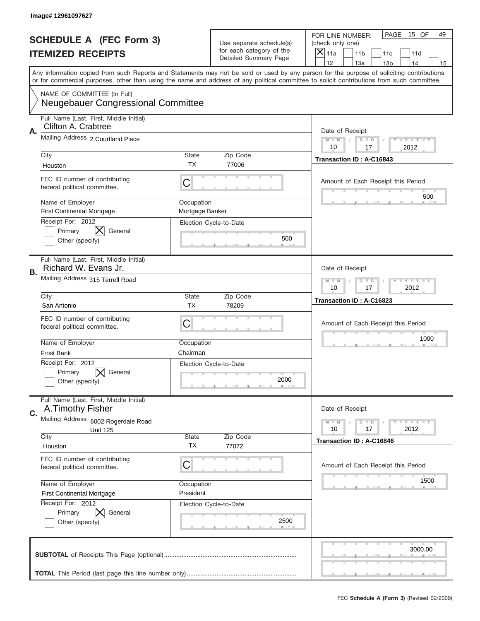|                          | Image# 12961097627                                                       |                                                                   |                                                   |                                                                                                                                                                                                                                                                                                                                     |
|--------------------------|--------------------------------------------------------------------------|-------------------------------------------------------------------|---------------------------------------------------|-------------------------------------------------------------------------------------------------------------------------------------------------------------------------------------------------------------------------------------------------------------------------------------------------------------------------------------|
|                          | <b>SCHEDULE A (FEC Form 3)</b>                                           |                                                                   | Use separate schedule(s)                          | PAGE<br>15 OF<br>49<br>FOR LINE NUMBER:<br>(check only one)                                                                                                                                                                                                                                                                         |
| <b>ITEMIZED RECEIPTS</b> |                                                                          |                                                                   | for each category of the<br>Detailed Summary Page | ×<br>11a<br>11 <sub>b</sub><br>11c<br>11d                                                                                                                                                                                                                                                                                           |
|                          |                                                                          |                                                                   |                                                   | 12<br>13a<br>14<br>13 <sub>b</sub><br>15<br>Any information copied from such Reports and Statements may not be sold or used by any person for the purpose of soliciting contributions<br>or for commercial purposes, other than using the name and address of any political committee to solicit contributions from such committee. |
|                          |                                                                          |                                                                   |                                                   |                                                                                                                                                                                                                                                                                                                                     |
|                          | NAME OF COMMITTEE (In Full)<br><b>Neugebauer Congressional Committee</b> |                                                                   |                                                   |                                                                                                                                                                                                                                                                                                                                     |
| Α.                       | Full Name (Last, First, Middle Initial)<br>Clifton A. Crabtree           |                                                                   |                                                   | Date of Receipt                                                                                                                                                                                                                                                                                                                     |
|                          | Mailing Address 2 Courtland Place                                        | $M$ $M$<br>Y I Y I Y I Y<br>$D$ $D$<br>2012<br>10<br>17           |                                                   |                                                                                                                                                                                                                                                                                                                                     |
|                          | City<br>Houston                                                          | State<br><b>TX</b>                                                | Zip Code<br>77006                                 | Transaction ID: A-C16843                                                                                                                                                                                                                                                                                                            |
|                          | FEC ID number of contributing<br>federal political committee.            | C                                                                 |                                                   | Amount of Each Receipt this Period                                                                                                                                                                                                                                                                                                  |
|                          | Name of Employer<br><b>First Continental Mortgage</b>                    | Occupation<br>Mortgage Banker                                     |                                                   | 500                                                                                                                                                                                                                                                                                                                                 |
|                          | Receipt For: 2012<br>Primary<br>General<br>Other (specify)               |                                                                   | Election Cycle-to-Date<br>500                     |                                                                                                                                                                                                                                                                                                                                     |
| В.                       | Full Name (Last, First, Middle Initial)<br>Richard W. Evans Jr.          |                                                                   |                                                   | Date of Receipt                                                                                                                                                                                                                                                                                                                     |
|                          | Mailing Address 315 Terrell Road                                         | $T$ $Y$ $T$ $Y$ $T$ $Y$<br>$D$ $D$<br>$M - M$<br>10<br>17<br>2012 |                                                   |                                                                                                                                                                                                                                                                                                                                     |
|                          | City<br>San Antonio                                                      | State<br><b>TX</b>                                                | Zip Code<br>78209                                 | Transaction ID: A-C16823                                                                                                                                                                                                                                                                                                            |
|                          | FEC ID number of contributing<br>federal political committee.            | C                                                                 |                                                   | Amount of Each Receipt this Period                                                                                                                                                                                                                                                                                                  |
|                          | Name of Employer                                                         | Occupation                                                        |                                                   | 1000                                                                                                                                                                                                                                                                                                                                |
|                          | Frost Bank<br>Receipt For: 2012                                          | Chairman                                                          |                                                   |                                                                                                                                                                                                                                                                                                                                     |
|                          | General<br>Primary<br>Other (specify)                                    |                                                                   | Election Cycle-to-Date<br>2000                    |                                                                                                                                                                                                                                                                                                                                     |
| C.                       | Full Name (Last, First, Middle Initial)<br>A. Timothy Fisher             |                                                                   |                                                   | Date of Receipt                                                                                                                                                                                                                                                                                                                     |
|                          | Mailing Address 6002 Rogerdale Road<br><b>Unit 125</b>                   |                                                                   |                                                   | Y FY FY FY<br>$M - M$<br>$D$ $D$<br>2012<br>10<br>17                                                                                                                                                                                                                                                                                |
|                          | City                                                                     | State                                                             | Zip Code                                          | Transaction ID: A-C16846                                                                                                                                                                                                                                                                                                            |
|                          | Houston                                                                  | <b>TX</b>                                                         | 77072                                             |                                                                                                                                                                                                                                                                                                                                     |
|                          | FEC ID number of contributing<br>federal political committee.            | C                                                                 |                                                   | Amount of Each Receipt this Period                                                                                                                                                                                                                                                                                                  |
|                          | Name of Employer                                                         | Occupation                                                        |                                                   | 1500                                                                                                                                                                                                                                                                                                                                |
|                          | <b>First Continental Mortgage</b><br>Receipt For: 2012                   | President                                                         | Election Cycle-to-Date                            |                                                                                                                                                                                                                                                                                                                                     |
|                          | Primary<br>General<br>Other (specify)                                    |                                                                   | 2500                                              |                                                                                                                                                                                                                                                                                                                                     |
|                          |                                                                          |                                                                   |                                                   | 3000.00                                                                                                                                                                                                                                                                                                                             |
|                          |                                                                          |                                                                   |                                                   |                                                                                                                                                                                                                                                                                                                                     |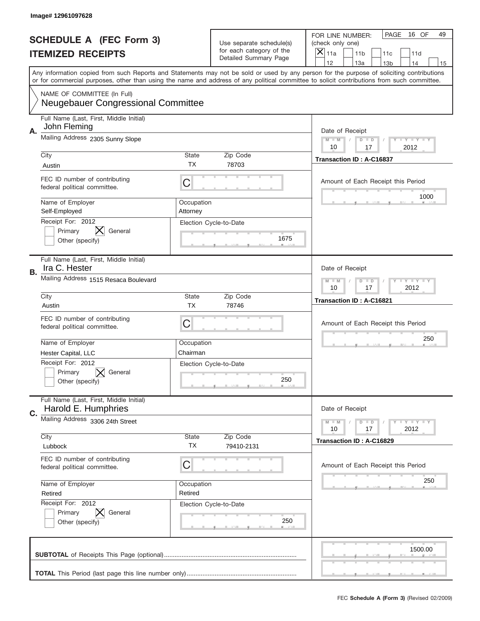|                          | Image# 12961097628                                                       |                                                                   |                                                   |                                                                                                                                                                                                                                                                                         |
|--------------------------|--------------------------------------------------------------------------|-------------------------------------------------------------------|---------------------------------------------------|-----------------------------------------------------------------------------------------------------------------------------------------------------------------------------------------------------------------------------------------------------------------------------------------|
|                          | <b>SCHEDULE A (FEC Form 3)</b>                                           |                                                                   | Use separate schedule(s)                          | PAGE<br>16 OF<br>49<br>FOR LINE NUMBER:<br>(check only one)                                                                                                                                                                                                                             |
| <b>ITEMIZED RECEIPTS</b> |                                                                          |                                                                   | for each category of the<br>Detailed Summary Page | $\times$<br>11a<br>11 <sub>b</sub><br>11c<br>11d                                                                                                                                                                                                                                        |
|                          |                                                                          |                                                                   |                                                   | 12<br>13a<br>14<br>13 <sub>b</sub><br>15                                                                                                                                                                                                                                                |
|                          |                                                                          |                                                                   |                                                   | Any information copied from such Reports and Statements may not be sold or used by any person for the purpose of soliciting contributions<br>or for commercial purposes, other than using the name and address of any political committee to solicit contributions from such committee. |
|                          | NAME OF COMMITTEE (In Full)<br><b>Neugebauer Congressional Committee</b> |                                                                   |                                                   |                                                                                                                                                                                                                                                                                         |
| А.                       | Full Name (Last, First, Middle Initial)<br>John Fleming                  |                                                                   |                                                   | Date of Receipt                                                                                                                                                                                                                                                                         |
|                          | Mailing Address 2305 Sunny Slope                                         |                                                                   |                                                   | $M$ $M$<br>Y I Y I Y I Y<br>$D$ $D$<br>2012<br>10<br>17                                                                                                                                                                                                                                 |
|                          | City<br>Austin                                                           | State<br>ТX                                                       | Zip Code<br>78703                                 | Transaction ID: A-C16837                                                                                                                                                                                                                                                                |
|                          | FEC ID number of contributing<br>federal political committee.            | C                                                                 |                                                   | Amount of Each Receipt this Period                                                                                                                                                                                                                                                      |
|                          | Name of Employer<br>Self-Employed                                        | Occupation<br>Attorney                                            |                                                   | 1000                                                                                                                                                                                                                                                                                    |
|                          | Receipt For: 2012<br>Primary<br>General<br>Other (specify)               |                                                                   | Election Cycle-to-Date<br>1675                    |                                                                                                                                                                                                                                                                                         |
| В.                       | Full Name (Last, First, Middle Initial)<br>Ira C. Hester                 |                                                                   |                                                   | Date of Receipt                                                                                                                                                                                                                                                                         |
|                          | Mailing Address 1515 Resaca Boulevard                                    | $T$ $Y$ $T$ $Y$ $T$ $Y$<br>$M - M$<br>$D$ $D$<br>10<br>17<br>2012 |                                                   |                                                                                                                                                                                                                                                                                         |
|                          | City                                                                     | State<br><b>TX</b>                                                | Zip Code                                          | Transaction ID: A-C16821                                                                                                                                                                                                                                                                |
|                          | Austin<br>FEC ID number of contributing<br>federal political committee.  | C                                                                 | 78746                                             | Amount of Each Receipt this Period                                                                                                                                                                                                                                                      |
|                          | Name of Employer                                                         | Occupation                                                        |                                                   | 250                                                                                                                                                                                                                                                                                     |
|                          | Hester Capital, LLC                                                      | Chairman                                                          |                                                   |                                                                                                                                                                                                                                                                                         |
|                          | Receipt For: 2012<br>General<br>Primary<br>Other (specify)               |                                                                   | Election Cycle-to-Date<br>250                     |                                                                                                                                                                                                                                                                                         |
| C.                       | Full Name (Last, First, Middle Initial)<br>Harold E. Humphries           |                                                                   |                                                   | Date of Receipt                                                                                                                                                                                                                                                                         |
|                          | Mailing Address 3306 24th Street                                         |                                                                   |                                                   | Y LY LY LY<br>$M - M$<br>$D$ $D$<br>2012<br>10<br>17                                                                                                                                                                                                                                    |
|                          | City<br>Lubbock                                                          | State<br><b>TX</b>                                                | Zip Code<br>79410-2131                            | Transaction ID: A-C16829                                                                                                                                                                                                                                                                |
|                          | FEC ID number of contributing<br>federal political committee.            | C                                                                 |                                                   | Amount of Each Receipt this Period                                                                                                                                                                                                                                                      |
|                          | Name of Employer<br>Retired                                              | Occupation<br>Retired                                             |                                                   | 250                                                                                                                                                                                                                                                                                     |
|                          | Receipt For: 2012<br>Primary<br>General<br>Other (specify)               |                                                                   | Election Cycle-to-Date<br>250                     |                                                                                                                                                                                                                                                                                         |
|                          |                                                                          |                                                                   |                                                   | 1500.00                                                                                                                                                                                                                                                                                 |
|                          |                                                                          |                                                                   |                                                   |                                                                                                                                                                                                                                                                                         |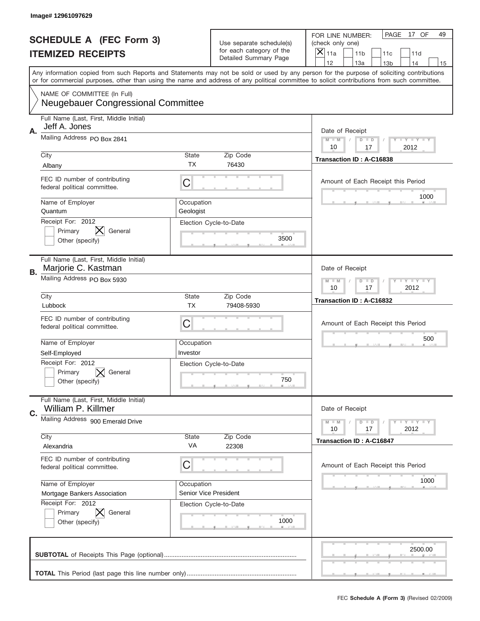|                          | Image# 12961097629                                                       |                                                                   |                                |                                                                                                                                                                                                                                                                                         |
|--------------------------|--------------------------------------------------------------------------|-------------------------------------------------------------------|--------------------------------|-----------------------------------------------------------------------------------------------------------------------------------------------------------------------------------------------------------------------------------------------------------------------------------------|
|                          | <b>SCHEDULE A (FEC Form 3)</b>                                           |                                                                   | Use separate schedule(s)       | PAGE<br>17 OF<br>49<br>FOR LINE NUMBER:<br>(check only one)                                                                                                                                                                                                                             |
| <b>ITEMIZED RECEIPTS</b> |                                                                          |                                                                   | for each category of the       | ×<br>11a<br>11 <sub>b</sub><br>11c<br>11d                                                                                                                                                                                                                                               |
|                          |                                                                          |                                                                   | Detailed Summary Page          | 12<br>13a<br>14<br>13 <sub>b</sub><br>15                                                                                                                                                                                                                                                |
|                          |                                                                          |                                                                   |                                | Any information copied from such Reports and Statements may not be sold or used by any person for the purpose of soliciting contributions<br>or for commercial purposes, other than using the name and address of any political committee to solicit contributions from such committee. |
|                          | NAME OF COMMITTEE (In Full)<br><b>Neugebauer Congressional Committee</b> |                                                                   |                                |                                                                                                                                                                                                                                                                                         |
| Α.                       | Full Name (Last, First, Middle Initial)<br>Jeff A. Jones                 |                                                                   |                                | Date of Receipt                                                                                                                                                                                                                                                                         |
|                          | Mailing Address PO Box 2841                                              |                                                                   |                                | $M$ $M$<br>Y I Y I Y I Y<br>$D$ $D$<br>2012<br>10<br>17                                                                                                                                                                                                                                 |
|                          | City<br>Albany                                                           | State<br>ТX                                                       | Zip Code<br>76430              | Transaction ID: A-C16838                                                                                                                                                                                                                                                                |
|                          | FEC ID number of contributing<br>federal political committee.            | C                                                                 |                                | Amount of Each Receipt this Period                                                                                                                                                                                                                                                      |
|                          | Name of Employer<br>Quantum                                              | Occupation<br>Geologist                                           |                                | 1000                                                                                                                                                                                                                                                                                    |
|                          | Receipt For: 2012<br>General<br>Primary<br>Other (specify)               |                                                                   | Election Cycle-to-Date<br>3500 |                                                                                                                                                                                                                                                                                         |
| В.                       | Full Name (Last, First, Middle Initial)<br>Marjorie C. Kastman           |                                                                   |                                | Date of Receipt                                                                                                                                                                                                                                                                         |
|                          | Mailing Address PO Box 5930                                              | $T$ $Y$ $T$ $Y$ $T$ $Y$<br>$M - M$<br>$D$ $D$<br>10<br>17<br>2012 |                                |                                                                                                                                                                                                                                                                                         |
|                          | City                                                                     | State                                                             | Zip Code                       | Transaction ID: A-C16832                                                                                                                                                                                                                                                                |
|                          | Lubbock                                                                  | <b>TX</b>                                                         | 79408-5930                     |                                                                                                                                                                                                                                                                                         |
|                          | FEC ID number of contributing<br>federal political committee.            | C                                                                 |                                | Amount of Each Receipt this Period                                                                                                                                                                                                                                                      |
|                          | Name of Employer                                                         | Occupation                                                        |                                | 500                                                                                                                                                                                                                                                                                     |
|                          | Self-Employed                                                            | Investor                                                          |                                |                                                                                                                                                                                                                                                                                         |
|                          | Receipt For: 2012<br>General<br>Primary<br>Other (specify)               |                                                                   | Election Cycle-to-Date<br>750  |                                                                                                                                                                                                                                                                                         |
| C.                       | Full Name (Last, First, Middle Initial)<br>William P. Killmer            |                                                                   |                                | Date of Receipt                                                                                                                                                                                                                                                                         |
|                          | Mailing Address 900 Emerald Drive                                        |                                                                   |                                | Y LY LY LY<br>$M - M$<br>$D$ $D$<br>2012<br>10<br>17                                                                                                                                                                                                                                    |
|                          | City<br>Alexandria                                                       | State<br>VA                                                       | Zip Code<br>22308              | <b>Transaction ID: A-C16847</b>                                                                                                                                                                                                                                                         |
|                          | FEC ID number of contributing<br>federal political committee.            | C                                                                 |                                | Amount of Each Receipt this Period                                                                                                                                                                                                                                                      |
|                          | Name of Employer                                                         | Occupation                                                        |                                | 1000                                                                                                                                                                                                                                                                                    |
|                          | Mortgage Bankers Association                                             | Senior Vice President                                             |                                |                                                                                                                                                                                                                                                                                         |
|                          | Receipt For: 2012<br>Primary<br>General<br>Other (specify)               |                                                                   | Election Cycle-to-Date<br>1000 |                                                                                                                                                                                                                                                                                         |
|                          |                                                                          |                                                                   |                                | 2500.00                                                                                                                                                                                                                                                                                 |
|                          |                                                                          |                                                                   |                                |                                                                                                                                                                                                                                                                                         |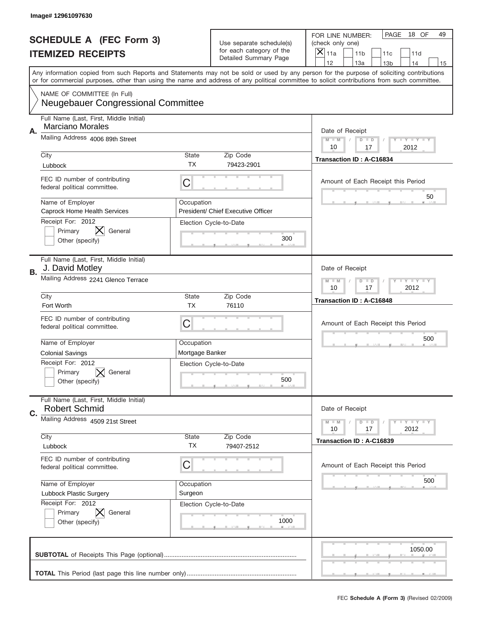|                          | Image# 12961097630                                                                                                                        |                                                                   |                                                   |                                                                                                                                            |
|--------------------------|-------------------------------------------------------------------------------------------------------------------------------------------|-------------------------------------------------------------------|---------------------------------------------------|--------------------------------------------------------------------------------------------------------------------------------------------|
|                          | <b>SCHEDULE A (FEC Form 3)</b>                                                                                                            |                                                                   | Use separate schedule(s)                          | PAGE<br>18 OF<br>49<br>FOR LINE NUMBER:<br>(check only one)                                                                                |
| <b>ITEMIZED RECEIPTS</b> |                                                                                                                                           |                                                                   | for each category of the<br>Detailed Summary Page | ×<br>11a<br>11 <sub>b</sub><br>11c<br>11d                                                                                                  |
|                          | Any information copied from such Reports and Statements may not be sold or used by any person for the purpose of soliciting contributions |                                                                   |                                                   | 12<br>13a<br>14<br>13 <sub>b</sub><br>15                                                                                                   |
|                          |                                                                                                                                           |                                                                   |                                                   | or for commercial purposes, other than using the name and address of any political committee to solicit contributions from such committee. |
|                          | NAME OF COMMITTEE (In Full)<br><b>Neugebauer Congressional Committee</b>                                                                  |                                                                   |                                                   |                                                                                                                                            |
| Α.                       | Full Name (Last, First, Middle Initial)<br><b>Marciano Morales</b>                                                                        |                                                                   |                                                   | Date of Receipt                                                                                                                            |
|                          | Mailing Address 4006 89th Street                                                                                                          | $M$ $M$<br>Y I Y I Y I Y<br>$D$ $D$<br>2012<br>10<br>17           |                                                   |                                                                                                                                            |
|                          | City                                                                                                                                      | State                                                             | Zip Code                                          | Transaction ID: A-C16834                                                                                                                   |
|                          | Lubbock                                                                                                                                   | ТX                                                                | 79423-2901                                        |                                                                                                                                            |
|                          | FEC ID number of contributing<br>federal political committee.                                                                             | C                                                                 |                                                   | Amount of Each Receipt this Period<br>50                                                                                                   |
|                          | Name of Employer<br>Caprock Home Health Services                                                                                          | Occupation                                                        | President/ Chief Executive Officer                |                                                                                                                                            |
|                          | Receipt For: 2012                                                                                                                         |                                                                   | Election Cycle-to-Date                            |                                                                                                                                            |
|                          | Primary<br>General                                                                                                                        |                                                                   | 300                                               |                                                                                                                                            |
|                          | Other (specify)                                                                                                                           |                                                                   |                                                   |                                                                                                                                            |
| В.                       | Full Name (Last, First, Middle Initial)<br>J. David Motley                                                                                |                                                                   |                                                   | Date of Receipt                                                                                                                            |
|                          | Mailing Address 2241 Glenco Terrace                                                                                                       | $T$ $Y$ $T$ $Y$ $T$ $Y$<br>$D$ $D$<br>$M - M$<br>10<br>17<br>2012 |                                                   |                                                                                                                                            |
|                          | City                                                                                                                                      | State                                                             | Zip Code                                          | Transaction ID: A-C16848                                                                                                                   |
|                          | Fort Worth                                                                                                                                | <b>TX</b>                                                         | 76110                                             |                                                                                                                                            |
|                          | FEC ID number of contributing<br>federal political committee.                                                                             | C                                                                 |                                                   | Amount of Each Receipt this Period                                                                                                         |
|                          | Name of Employer                                                                                                                          | Occupation                                                        |                                                   | 500                                                                                                                                        |
|                          | <b>Colonial Savings</b>                                                                                                                   | Mortgage Banker                                                   |                                                   |                                                                                                                                            |
|                          | Receipt For: 2012                                                                                                                         |                                                                   | Election Cycle-to-Date                            |                                                                                                                                            |
|                          | General<br>Primary                                                                                                                        |                                                                   | 500                                               |                                                                                                                                            |
|                          | Other (specify)                                                                                                                           |                                                                   |                                                   |                                                                                                                                            |
| C.                       | Full Name (Last, First, Middle Initial)<br><b>Robert Schmid</b>                                                                           |                                                                   |                                                   | Date of Receipt                                                                                                                            |
|                          | Mailing Address 4509 21st Street                                                                                                          |                                                                   |                                                   | Y LY LY LY<br>$M - M$<br>$D$ $D$<br>2012<br>10<br>17                                                                                       |
|                          | City                                                                                                                                      | State                                                             | Zip Code                                          |                                                                                                                                            |
|                          | Lubbock                                                                                                                                   | <b>TX</b>                                                         | 79407-2512                                        | Transaction ID: A-C16839                                                                                                                   |
|                          | FEC ID number of contributing<br>federal political committee.                                                                             | C                                                                 |                                                   | Amount of Each Receipt this Period                                                                                                         |
|                          | Name of Employer                                                                                                                          | Occupation                                                        |                                                   | 500                                                                                                                                        |
|                          | Lubbock Plastic Surgery                                                                                                                   | Surgeon                                                           |                                                   |                                                                                                                                            |
|                          | Receipt For: 2012                                                                                                                         |                                                                   | Election Cycle-to-Date                            |                                                                                                                                            |
|                          | Primary<br>General                                                                                                                        |                                                                   | 1000                                              |                                                                                                                                            |
|                          | Other (specify)                                                                                                                           |                                                                   |                                                   |                                                                                                                                            |
|                          |                                                                                                                                           |                                                                   |                                                   |                                                                                                                                            |
|                          |                                                                                                                                           |                                                                   |                                                   | 1050.00                                                                                                                                    |
|                          |                                                                                                                                           |                                                                   |                                                   |                                                                                                                                            |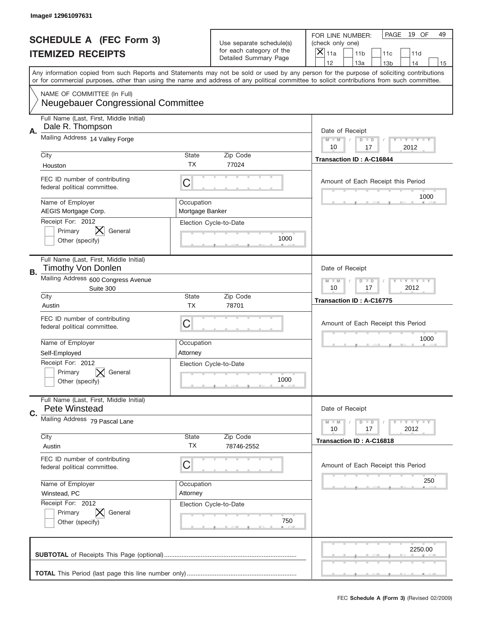|                          | Image# 12961097631                                                       |                                                           |                                                   |                                                                                                                                                                                                                                                                                                                                     |
|--------------------------|--------------------------------------------------------------------------|-----------------------------------------------------------|---------------------------------------------------|-------------------------------------------------------------------------------------------------------------------------------------------------------------------------------------------------------------------------------------------------------------------------------------------------------------------------------------|
|                          | <b>SCHEDULE A (FEC Form 3)</b>                                           |                                                           | Use separate schedule(s)                          | PAGE<br>19 OF<br>49<br>FOR LINE NUMBER:<br>(check only one)                                                                                                                                                                                                                                                                         |
| <b>ITEMIZED RECEIPTS</b> |                                                                          |                                                           | for each category of the<br>Detailed Summary Page | ×<br>11a<br>11 <sub>b</sub><br>11d<br>11c                                                                                                                                                                                                                                                                                           |
|                          |                                                                          |                                                           |                                                   | 12<br>13a<br>14<br>13 <sub>b</sub><br>15<br>Any information copied from such Reports and Statements may not be sold or used by any person for the purpose of soliciting contributions<br>or for commercial purposes, other than using the name and address of any political committee to solicit contributions from such committee. |
|                          | NAME OF COMMITTEE (In Full)<br><b>Neugebauer Congressional Committee</b> |                                                           |                                                   |                                                                                                                                                                                                                                                                                                                                     |
| Α.                       | Full Name (Last, First, Middle Initial)<br>Dale R. Thompson              |                                                           |                                                   | Date of Receipt                                                                                                                                                                                                                                                                                                                     |
|                          | Mailing Address 14 Valley Forge                                          | $M$ M<br>Y I Y I Y I Y<br>$D$ $D$<br>10<br>17<br>2012     |                                                   |                                                                                                                                                                                                                                                                                                                                     |
|                          | City<br>Houston                                                          | State<br><b>TX</b>                                        | Zip Code<br>77024                                 | <b>Transaction ID: A-C16844</b>                                                                                                                                                                                                                                                                                                     |
|                          | FEC ID number of contributing<br>federal political committee.            | C                                                         |                                                   | Amount of Each Receipt this Period<br>1000                                                                                                                                                                                                                                                                                          |
|                          | Name of Employer<br>AEGIS Mortgage Corp.                                 | Occupation<br>Mortgage Banker                             |                                                   |                                                                                                                                                                                                                                                                                                                                     |
|                          | Receipt For: 2012<br>Primary<br>General<br>Other (specify)               |                                                           | Election Cycle-to-Date<br>1000                    |                                                                                                                                                                                                                                                                                                                                     |
| В.                       | Full Name (Last, First, Middle Initial)<br><b>Timothy Von Donlen</b>     |                                                           |                                                   | Date of Receipt                                                                                                                                                                                                                                                                                                                     |
|                          | Mailing Address 600 Congress Avenue<br>Suite 300                         | <b>LY LY LY</b><br>$M - M$<br>$D$ $D$<br>2012<br>10<br>17 |                                                   |                                                                                                                                                                                                                                                                                                                                     |
|                          | City<br>Austin                                                           | State<br><b>TX</b>                                        | Zip Code<br>78701                                 | Transaction ID: A-C16775                                                                                                                                                                                                                                                                                                            |
|                          | FEC ID number of contributing<br>federal political committee.            | C                                                         |                                                   | Amount of Each Receipt this Period                                                                                                                                                                                                                                                                                                  |
|                          | Name of Employer<br>Self-Employed                                        | Occupation<br>Attorney                                    |                                                   | 1000                                                                                                                                                                                                                                                                                                                                |
|                          | Receipt For: 2012<br>Primary<br>General<br>Other (specify)               |                                                           | Election Cycle-to-Date<br>1000                    |                                                                                                                                                                                                                                                                                                                                     |
| C.                       | Full Name (Last, First, Middle Initial)<br>Pete Winstead                 |                                                           |                                                   | Date of Receipt                                                                                                                                                                                                                                                                                                                     |
|                          | Mailing Address 79 Pascal Lane                                           |                                                           |                                                   | Y FY FY FY<br>$M \perp M$<br>$D$ $D$<br>2012<br>10<br>17                                                                                                                                                                                                                                                                            |
|                          | City<br>Austin                                                           | State<br>ТX                                               | Zip Code<br>78746-2552                            | Transaction ID: A-C16818                                                                                                                                                                                                                                                                                                            |
|                          | FEC ID number of contributing<br>federal political committee.            | C                                                         |                                                   | Amount of Each Receipt this Period                                                                                                                                                                                                                                                                                                  |
|                          | Name of Employer<br>Winstead, PC                                         | Occupation<br>Attorney                                    |                                                   | 250                                                                                                                                                                                                                                                                                                                                 |
|                          | Receipt For: 2012<br>Primary<br>General<br>Other (specify)               |                                                           | Election Cycle-to-Date<br>750                     |                                                                                                                                                                                                                                                                                                                                     |
|                          |                                                                          |                                                           |                                                   | 2250.00                                                                                                                                                                                                                                                                                                                             |
|                          |                                                                          |                                                           |                                                   |                                                                                                                                                                                                                                                                                                                                     |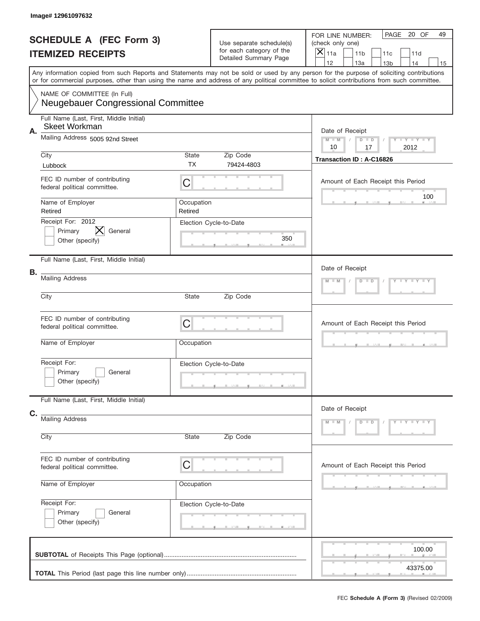|    | Image# 12961097632                                                |                                                      |                                                                               |                                                                                                                                                                                                                                                                                         |
|----|-------------------------------------------------------------------|------------------------------------------------------|-------------------------------------------------------------------------------|-----------------------------------------------------------------------------------------------------------------------------------------------------------------------------------------------------------------------------------------------------------------------------------------|
|    | <b>SCHEDULE A (FEC Form 3)</b><br><b>ITEMIZED RECEIPTS</b>        |                                                      | Use separate schedule(s)<br>for each category of the<br>Detailed Summary Page | PAGE<br>20 OF<br>49<br>FOR LINE NUMBER:<br>(check only one)<br>$\left  \times \right $<br>11a<br>11 <sub>b</sub><br>11c<br>11d<br>12<br>13a<br>14<br>13 <sub>b</sub><br>15                                                                                                              |
|    |                                                                   |                                                      |                                                                               | Any information copied from such Reports and Statements may not be sold or used by any person for the purpose of soliciting contributions<br>or for commercial purposes, other than using the name and address of any political committee to solicit contributions from such committee. |
|    | NAME OF COMMITTEE (In Full)<br>Neugebauer Congressional Committee |                                                      |                                                                               |                                                                                                                                                                                                                                                                                         |
| Α. | Full Name (Last, First, Middle Initial)<br><b>Skeet Workman</b>   |                                                      |                                                                               | Date of Receipt                                                                                                                                                                                                                                                                         |
|    | Mailing Address 5005 92nd Street                                  | Y LY LY LY<br>$M$ $M$<br>$D$ $D$<br>2012<br>10<br>17 |                                                                               |                                                                                                                                                                                                                                                                                         |
|    | City<br>Lubbock                                                   | State<br><b>TX</b>                                   | Zip Code<br>79424-4803                                                        | Transaction ID: A-C16826                                                                                                                                                                                                                                                                |
|    | FEC ID number of contributing<br>federal political committee.     | C                                                    |                                                                               | Amount of Each Receipt this Period                                                                                                                                                                                                                                                      |
|    | Name of Employer<br>Retired                                       | Occupation<br>Retired                                |                                                                               | 100                                                                                                                                                                                                                                                                                     |
|    | Receipt For: 2012<br>X<br>General<br>Primary<br>Other (specify)   |                                                      | Election Cycle-to-Date<br>350                                                 |                                                                                                                                                                                                                                                                                         |
| В. | Full Name (Last, First, Middle Initial)                           |                                                      |                                                                               | Date of Receipt                                                                                                                                                                                                                                                                         |
|    | <b>Mailing Address</b>                                            | Y LY LY LY<br>$M - M$<br>$D$ $D$                     |                                                                               |                                                                                                                                                                                                                                                                                         |
|    | City                                                              | State                                                | Zip Code                                                                      |                                                                                                                                                                                                                                                                                         |
|    | FEC ID number of contributing<br>federal political committee.     | C                                                    |                                                                               | Amount of Each Receipt this Period                                                                                                                                                                                                                                                      |
|    | Name of Employer                                                  | Occupation                                           |                                                                               |                                                                                                                                                                                                                                                                                         |
|    | Receipt For:<br>Primary<br>General<br>Other (specify)             |                                                      | Election Cycle-to-Date                                                        |                                                                                                                                                                                                                                                                                         |
|    | Full Name (Last, First, Middle Initial)                           |                                                      |                                                                               | Date of Receipt                                                                                                                                                                                                                                                                         |
| C. | <b>Mailing Address</b><br>City                                    | State                                                | Zip Code                                                                      | $Y - Y - Y - Y - Y$<br>$M - M$<br>$D$ $D$                                                                                                                                                                                                                                               |
|    | FEC ID number of contributing<br>federal political committee.     | C                                                    |                                                                               | Amount of Each Receipt this Period                                                                                                                                                                                                                                                      |
|    | Name of Employer                                                  | Occupation                                           |                                                                               |                                                                                                                                                                                                                                                                                         |
|    | Receipt For:<br>Primary<br>General<br>Other (specify)             |                                                      | Election Cycle-to-Date                                                        |                                                                                                                                                                                                                                                                                         |
|    |                                                                   |                                                      |                                                                               | 100.00<br>43375.00                                                                                                                                                                                                                                                                      |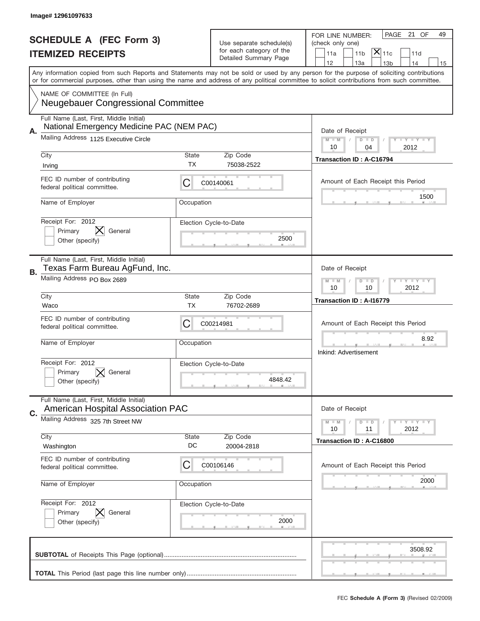|                          | Image# 12961097633                                                                   |                                                           |                                                      |                                                                                                                                                                                                                                                                                         |
|--------------------------|--------------------------------------------------------------------------------------|-----------------------------------------------------------|------------------------------------------------------|-----------------------------------------------------------------------------------------------------------------------------------------------------------------------------------------------------------------------------------------------------------------------------------------|
|                          | <b>SCHEDULE A (FEC Form 3)</b>                                                       |                                                           |                                                      | PAGE<br>21 OF<br>49<br>FOR LINE NUMBER:                                                                                                                                                                                                                                                 |
| <b>ITEMIZED RECEIPTS</b> |                                                                                      |                                                           | Use separate schedule(s)<br>for each category of the | (check only one)<br>$\overline{\mathsf{x}} _{\text{11c}}$<br>11 <sub>b</sub><br>11a<br>11d                                                                                                                                                                                              |
|                          |                                                                                      |                                                           | Detailed Summary Page                                | 12<br>13a<br>14<br>13 <sub>b</sub><br>15                                                                                                                                                                                                                                                |
|                          |                                                                                      |                                                           |                                                      | Any information copied from such Reports and Statements may not be sold or used by any person for the purpose of soliciting contributions<br>or for commercial purposes, other than using the name and address of any political committee to solicit contributions from such committee. |
|                          | NAME OF COMMITTEE (In Full)                                                          |                                                           |                                                      |                                                                                                                                                                                                                                                                                         |
|                          | <b>Neugebauer Congressional Committee</b>                                            |                                                           |                                                      |                                                                                                                                                                                                                                                                                         |
|                          | Full Name (Last, First, Middle Initial)<br>National Emergency Medicine PAC (NEM PAC) |                                                           |                                                      |                                                                                                                                                                                                                                                                                         |
| Α.                       | Mailing Address 1125 Executive Circle                                                |                                                           |                                                      | Date of Receipt<br><b>LEY LEY LEY</b><br>$M - M$<br>$D$ $D$                                                                                                                                                                                                                             |
|                          | City                                                                                 | State                                                     | Zip Code                                             | 2012<br>10<br>04                                                                                                                                                                                                                                                                        |
|                          | Irving                                                                               | <b>TX</b>                                                 | 75038-2522                                           | <b>Transaction ID: A-C16794</b>                                                                                                                                                                                                                                                         |
|                          | FEC ID number of contributing<br>federal political committee.                        | C                                                         | C00140061                                            | Amount of Each Receipt this Period                                                                                                                                                                                                                                                      |
|                          | Name of Employer                                                                     | Occupation                                                |                                                      | 1500                                                                                                                                                                                                                                                                                    |
|                          | Receipt For: 2012                                                                    |                                                           | Election Cycle-to-Date                               |                                                                                                                                                                                                                                                                                         |
|                          | $\bm{\mathsf{X}}$<br>General<br>Primary<br>Other (specify)                           |                                                           | 2500                                                 |                                                                                                                                                                                                                                                                                         |
|                          |                                                                                      |                                                           |                                                      |                                                                                                                                                                                                                                                                                         |
| В.                       | Full Name (Last, First, Middle Initial)<br>Texas Farm Bureau AgFund, Inc.            | Date of Receipt                                           |                                                      |                                                                                                                                                                                                                                                                                         |
|                          | Mailing Address PO Box 2689                                                          | <b>LY LY LY</b><br>$M$ $M$<br>$D$ $D$<br>10<br>10<br>2012 |                                                      |                                                                                                                                                                                                                                                                                         |
|                          | City                                                                                 | State                                                     | Zip Code                                             | Transaction ID: A-I16779                                                                                                                                                                                                                                                                |
|                          | Waco                                                                                 | <b>TX</b>                                                 | 76702-2689                                           |                                                                                                                                                                                                                                                                                         |
|                          | FEC ID number of contributing<br>federal political committee.                        | C                                                         | C00214981                                            | Amount of Each Receipt this Period                                                                                                                                                                                                                                                      |
|                          | Name of Employer                                                                     | Occupation                                                |                                                      | 8.92                                                                                                                                                                                                                                                                                    |
|                          |                                                                                      |                                                           |                                                      | Inkind: Advertisement                                                                                                                                                                                                                                                                   |
|                          | Receipt For: 2012<br>General                                                         |                                                           | Election Cycle-to-Date                               |                                                                                                                                                                                                                                                                                         |
|                          | Primary<br>Other (specify)                                                           |                                                           | 4848.42                                              |                                                                                                                                                                                                                                                                                         |
|                          |                                                                                      |                                                           |                                                      |                                                                                                                                                                                                                                                                                         |
| C.                       | Full Name (Last, First, Middle Initial)<br><b>American Hospital Association PAC</b>  |                                                           |                                                      | Date of Receipt                                                                                                                                                                                                                                                                         |
|                          | Mailing Address 325 7th Street NW                                                    |                                                           |                                                      | $T + Y = Y + Y$<br>$M - M$<br>$D$ $D$<br>2012<br>10<br>11                                                                                                                                                                                                                               |
|                          | City                                                                                 | <b>State</b>                                              | Zip Code                                             | Transaction ID: A-C16800                                                                                                                                                                                                                                                                |
|                          | Washington                                                                           | DC                                                        | 20004-2818                                           |                                                                                                                                                                                                                                                                                         |
|                          | FEC ID number of contributing<br>federal political committee.                        | C                                                         | C00106146                                            | Amount of Each Receipt this Period                                                                                                                                                                                                                                                      |
|                          | Name of Employer                                                                     | Occupation                                                |                                                      | 2000                                                                                                                                                                                                                                                                                    |
|                          | Receipt For: 2012                                                                    |                                                           | Election Cycle-to-Date                               |                                                                                                                                                                                                                                                                                         |
|                          | Primary<br>General<br>Other (specify)                                                |                                                           | 2000                                                 |                                                                                                                                                                                                                                                                                         |
|                          |                                                                                      |                                                           |                                                      |                                                                                                                                                                                                                                                                                         |
|                          |                                                                                      |                                                           |                                                      | 3508.92                                                                                                                                                                                                                                                                                 |
|                          |                                                                                      |                                                           |                                                      |                                                                                                                                                                                                                                                                                         |
|                          |                                                                                      |                                                           |                                                      |                                                                                                                                                                                                                                                                                         |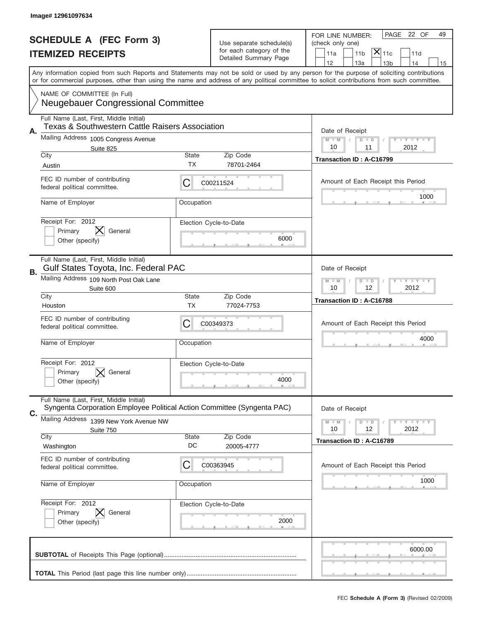|                          | Image# 12961097634                                                                                                 |                                                              |                                                      |                                                                                                                                                                                                                                                                                         |
|--------------------------|--------------------------------------------------------------------------------------------------------------------|--------------------------------------------------------------|------------------------------------------------------|-----------------------------------------------------------------------------------------------------------------------------------------------------------------------------------------------------------------------------------------------------------------------------------------|
|                          | <b>SCHEDULE A (FEC Form 3)</b>                                                                                     |                                                              |                                                      | PAGE<br>22 OF<br>49<br>FOR LINE NUMBER:                                                                                                                                                                                                                                                 |
| <b>ITEMIZED RECEIPTS</b> |                                                                                                                    |                                                              | Use separate schedule(s)<br>for each category of the | (check only one)<br>$ \mathsf{\overline{X}} _{\mathsf{11c}}$                                                                                                                                                                                                                            |
|                          |                                                                                                                    |                                                              | Detailed Summary Page                                | 11 <sub>b</sub><br>11a<br>11d<br>12<br>13a<br>14<br>13 <sub>b</sub><br>15                                                                                                                                                                                                               |
|                          |                                                                                                                    |                                                              |                                                      | Any information copied from such Reports and Statements may not be sold or used by any person for the purpose of soliciting contributions<br>or for commercial purposes, other than using the name and address of any political committee to solicit contributions from such committee. |
|                          | NAME OF COMMITTEE (In Full)<br><b>Neugebauer Congressional Committee</b>                                           |                                                              |                                                      |                                                                                                                                                                                                                                                                                         |
|                          |                                                                                                                    |                                                              |                                                      |                                                                                                                                                                                                                                                                                         |
| Α.                       | Full Name (Last, First, Middle Initial)<br><b>Texas &amp; Southwestern Cattle Raisers Association</b>              |                                                              |                                                      | Date of Receipt                                                                                                                                                                                                                                                                         |
|                          | Mailing Address 1005 Congress Avenue<br>Suite 825                                                                  |                                                              |                                                      | <b>LY LY LY</b><br>$M - M$<br>D<br>$\Box$<br>10<br>11<br>2012                                                                                                                                                                                                                           |
|                          | City                                                                                                               | State                                                        | Zip Code                                             | Transaction ID: A-C16799                                                                                                                                                                                                                                                                |
|                          | Austin                                                                                                             | TX.                                                          | 78701-2464                                           |                                                                                                                                                                                                                                                                                         |
|                          | FEC ID number of contributing<br>federal political committee.                                                      | С                                                            | C00211524                                            | Amount of Each Receipt this Period                                                                                                                                                                                                                                                      |
|                          | Name of Employer                                                                                                   | Occupation                                                   |                                                      | 1000                                                                                                                                                                                                                                                                                    |
|                          | Receipt For: 2012<br>Primary<br>General                                                                            |                                                              | Election Cycle-to-Date                               |                                                                                                                                                                                                                                                                                         |
|                          | Other (specify)                                                                                                    |                                                              | 6000                                                 |                                                                                                                                                                                                                                                                                         |
| В.                       | Full Name (Last, First, Middle Initial)<br>Gulf States Toyota, Inc. Federal PAC                                    | Date of Receipt                                              |                                                      |                                                                                                                                                                                                                                                                                         |
|                          | Mailing Address 109 North Post Oak Lane<br>Suite 600                                                               | <b>LEY LEY LEY</b><br>$M - M$<br>$D$ $D$<br>10<br>12<br>2012 |                                                      |                                                                                                                                                                                                                                                                                         |
|                          | City<br>Houston                                                                                                    | <b>State</b><br>TX                                           | Zip Code<br>77024-7753                               | Transaction ID: A-C16788                                                                                                                                                                                                                                                                |
|                          | FEC ID number of contributing                                                                                      | C                                                            | C00349373                                            | Amount of Each Receipt this Period                                                                                                                                                                                                                                                      |
|                          | federal political committee.                                                                                       |                                                              |                                                      | 4000                                                                                                                                                                                                                                                                                    |
|                          | Name of Employer                                                                                                   | Occupation                                                   |                                                      |                                                                                                                                                                                                                                                                                         |
|                          | Receipt For: 2012                                                                                                  |                                                              | Election Cycle-to-Date                               |                                                                                                                                                                                                                                                                                         |
|                          | Primary<br>General<br>Other (specify)                                                                              |                                                              | 4000                                                 |                                                                                                                                                                                                                                                                                         |
| C.                       | Full Name (Last, First, Middle Initial)<br>Syngenta Corporation Employee Political Action Committee (Syngenta PAC) |                                                              |                                                      | Date of Receipt                                                                                                                                                                                                                                                                         |
|                          | Mailing Address 1399 New York Avenue NW                                                                            | $D$ $D$<br><b>LYLYLY</b><br>$M - M$                          |                                                      |                                                                                                                                                                                                                                                                                         |
|                          | Suite 750<br>City                                                                                                  | <b>State</b>                                                 | Zip Code                                             | 12<br>2012<br>10                                                                                                                                                                                                                                                                        |
|                          | Washington                                                                                                         | DC                                                           | 20005-4777                                           | Transaction ID: A-C16789                                                                                                                                                                                                                                                                |
|                          | FEC ID number of contributing<br>federal political committee.                                                      | C                                                            | C00363945                                            | Amount of Each Receipt this Period                                                                                                                                                                                                                                                      |
|                          | Name of Employer                                                                                                   | Occupation                                                   |                                                      | 1000                                                                                                                                                                                                                                                                                    |
|                          | Receipt For: 2012                                                                                                  |                                                              | Election Cycle-to-Date                               |                                                                                                                                                                                                                                                                                         |
|                          | Primary<br>General<br>Other (specify)                                                                              |                                                              | 2000                                                 |                                                                                                                                                                                                                                                                                         |
|                          |                                                                                                                    |                                                              |                                                      | 6000.00                                                                                                                                                                                                                                                                                 |
|                          |                                                                                                                    |                                                              |                                                      |                                                                                                                                                                                                                                                                                         |
|                          |                                                                                                                    |                                                              |                                                      |                                                                                                                                                                                                                                                                                         |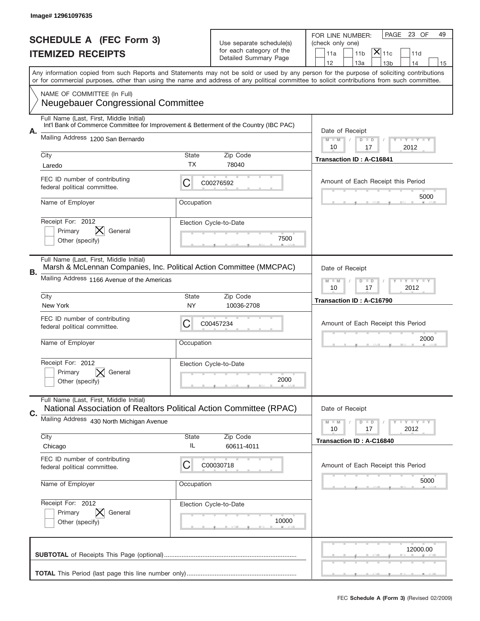|                                                            | Image# 12961097635                                                                                                                                             |                                                           |                                                      |                                                                                                                                                                                                                                                                                         |
|------------------------------------------------------------|----------------------------------------------------------------------------------------------------------------------------------------------------------------|-----------------------------------------------------------|------------------------------------------------------|-----------------------------------------------------------------------------------------------------------------------------------------------------------------------------------------------------------------------------------------------------------------------------------------|
|                                                            |                                                                                                                                                                |                                                           |                                                      | PAGE<br>23 OF<br>49<br>FOR LINE NUMBER:                                                                                                                                                                                                                                                 |
| <b>SCHEDULE A (FEC Form 3)</b><br><b>ITEMIZED RECEIPTS</b> |                                                                                                                                                                |                                                           | Use separate schedule(s)<br>for each category of the | (check only one)<br>$ \mathsf{X} _{\mathsf{11c}}$                                                                                                                                                                                                                                       |
|                                                            |                                                                                                                                                                |                                                           | Detailed Summary Page                                | 11 <sub>b</sub><br>11a<br>11d<br>12<br>14<br>13a<br>13 <sub>b</sub><br>15                                                                                                                                                                                                               |
|                                                            |                                                                                                                                                                |                                                           |                                                      | Any information copied from such Reports and Statements may not be sold or used by any person for the purpose of soliciting contributions<br>or for commercial purposes, other than using the name and address of any political committee to solicit contributions from such committee. |
|                                                            | NAME OF COMMITTEE (In Full)<br><b>Neugebauer Congressional Committee</b>                                                                                       |                                                           |                                                      |                                                                                                                                                                                                                                                                                         |
|                                                            | Full Name (Last, First, Middle Initial)<br>Int'l Bank of Commerce Committee for Improvement & Betterment of the Country (IBC PAC)                              |                                                           |                                                      |                                                                                                                                                                                                                                                                                         |
| А.                                                         | Mailing Address 1200 San Bernardo                                                                                                                              |                                                           |                                                      | Date of Receipt<br>$M$ $M$<br><b>LEY LEY LEY</b><br>$D$ $D$<br>10<br>17<br>2012                                                                                                                                                                                                         |
|                                                            | City<br>Laredo                                                                                                                                                 | State<br>ТX                                               | Zip Code<br>78040                                    | Transaction ID: A-C16841                                                                                                                                                                                                                                                                |
|                                                            | FEC ID number of contributing<br>federal political committee.                                                                                                  | C                                                         | C00276592                                            | Amount of Each Receipt this Period                                                                                                                                                                                                                                                      |
|                                                            | Name of Employer                                                                                                                                               | Occupation                                                |                                                      | 5000                                                                                                                                                                                                                                                                                    |
|                                                            | Receipt For: 2012<br>General<br>Primary<br>Other (specify)                                                                                                     |                                                           | Election Cycle-to-Date<br>7500                       |                                                                                                                                                                                                                                                                                         |
| В.                                                         | Full Name (Last, First, Middle Initial)<br>Marsh & McLennan Companies, Inc. Political Action Committee (MMCPAC)<br>Mailing Address 1166 Avenue of the Americas | Date of Receipt<br><b>LYLYLY</b><br>$M - M$<br>$D$ $D$    |                                                      |                                                                                                                                                                                                                                                                                         |
|                                                            |                                                                                                                                                                | 10<br>17<br>2012                                          |                                                      |                                                                                                                                                                                                                                                                                         |
|                                                            | City<br>New York                                                                                                                                               | State<br>NY                                               | Zip Code<br>10036-2708                               | Transaction ID: A-C16790                                                                                                                                                                                                                                                                |
|                                                            | FEC ID number of contributing<br>federal political committee.                                                                                                  | C                                                         | C00457234                                            | Amount of Each Receipt this Period                                                                                                                                                                                                                                                      |
|                                                            | Name of Employer                                                                                                                                               | Occupation                                                |                                                      | 2000                                                                                                                                                                                                                                                                                    |
|                                                            | Receipt For: 2012<br>General<br>Primary<br>Other (specify)                                                                                                     |                                                           | Election Cycle-to-Date<br>2000                       |                                                                                                                                                                                                                                                                                         |
|                                                            | Full Name (Last, First, Middle Initial)<br>National Association of Realtors Political Action Committee (RPAC)                                                  |                                                           |                                                      | Date of Receipt                                                                                                                                                                                                                                                                         |
| С.                                                         | Mailing Address 430 North Michigan Avenue                                                                                                                      | <b>LY LY LY</b><br>$M$ $M$<br>$D$ $D$<br>2012<br>10<br>17 |                                                      |                                                                                                                                                                                                                                                                                         |
|                                                            | City<br>Chicago                                                                                                                                                | State<br>IL                                               | Zip Code<br>60611-4011                               | Transaction ID: A-C16840                                                                                                                                                                                                                                                                |
|                                                            | FEC ID number of contributing<br>federal political committee.                                                                                                  | C                                                         | C00030718                                            | Amount of Each Receipt this Period                                                                                                                                                                                                                                                      |
|                                                            | Name of Employer                                                                                                                                               | Occupation                                                |                                                      | 5000                                                                                                                                                                                                                                                                                    |
|                                                            | Receipt For: 2012<br>Primary<br>General<br>Other (specify)                                                                                                     |                                                           | Election Cycle-to-Date<br>10000                      |                                                                                                                                                                                                                                                                                         |
|                                                            |                                                                                                                                                                |                                                           |                                                      | 12000.00                                                                                                                                                                                                                                                                                |
|                                                            |                                                                                                                                                                |                                                           |                                                      |                                                                                                                                                                                                                                                                                         |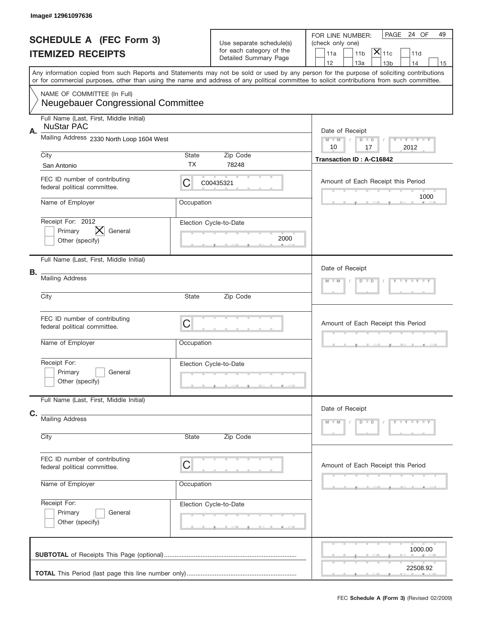|    | Image# 12961097636                                                          |                                  |                                                      |                                                                                                                                                                                                                                                                                         |
|----|-----------------------------------------------------------------------------|----------------------------------|------------------------------------------------------|-----------------------------------------------------------------------------------------------------------------------------------------------------------------------------------------------------------------------------------------------------------------------------------------|
|    | <b>SCHEDULE A (FEC Form 3)</b><br><b>ITEMIZED RECEIPTS</b>                  |                                  | Use separate schedule(s)<br>for each category of the | PAGE<br>24 OF<br>49<br>FOR LINE NUMBER:<br>(check only one)<br>$ \mathsf{X} _{\mathsf{11c}}$<br>11 <sub>b</sub><br>11d<br>11a                                                                                                                                                           |
|    |                                                                             |                                  | Detailed Summary Page                                | 12<br>13a<br>13 <sub>b</sub><br>14<br>15                                                                                                                                                                                                                                                |
|    |                                                                             |                                  |                                                      | Any information copied from such Reports and Statements may not be sold or used by any person for the purpose of soliciting contributions<br>or for commercial purposes, other than using the name and address of any political committee to solicit contributions from such committee. |
|    | NAME OF COMMITTEE (In Full)<br><b>Neugebauer Congressional Committee</b>    |                                  |                                                      |                                                                                                                                                                                                                                                                                         |
| А. | Full Name (Last, First, Middle Initial)<br><b>NuStar PAC</b>                |                                  |                                                      | Date of Receipt                                                                                                                                                                                                                                                                         |
|    | Mailing Address 2330 North Loop 1604 West                                   |                                  |                                                      | Y TY TY TY<br>$M$ $M$<br>$D$ $D$<br>10<br>2012<br>17                                                                                                                                                                                                                                    |
|    | City<br>San Antonio                                                         | State<br>ТX                      | Zip Code<br>78248                                    | <b>Transaction ID: A-C16842</b>                                                                                                                                                                                                                                                         |
|    | FEC ID number of contributing<br>federal political committee.               | C                                | C00435321                                            | Amount of Each Receipt this Period<br>1000                                                                                                                                                                                                                                              |
|    | Name of Employer                                                            | Occupation                       |                                                      |                                                                                                                                                                                                                                                                                         |
|    | Receipt For: 2012<br>$\bm{\times}$<br>Primary<br>General<br>Other (specify) |                                  | Election Cycle-to-Date<br>2000                       |                                                                                                                                                                                                                                                                                         |
|    | Full Name (Last, First, Middle Initial)                                     |                                  |                                                      | Date of Receipt                                                                                                                                                                                                                                                                         |
| В. | <b>Mailing Address</b>                                                      | Y LY LY LY<br>$M - M$<br>$D$ $D$ |                                                      |                                                                                                                                                                                                                                                                                         |
|    | City                                                                        |                                  |                                                      |                                                                                                                                                                                                                                                                                         |
|    | FEC ID number of contributing<br>federal political committee.               | $\mathsf C$                      |                                                      | Amount of Each Receipt this Period                                                                                                                                                                                                                                                      |
|    | Name of Employer                                                            | Occupation                       |                                                      |                                                                                                                                                                                                                                                                                         |
|    | Receipt For:<br>Primary<br>General<br>Other (specify)                       |                                  | Election Cycle-to-Date                               |                                                                                                                                                                                                                                                                                         |
|    | Full Name (Last, First, Middle Initial)                                     |                                  |                                                      | Date of Receipt                                                                                                                                                                                                                                                                         |
| C. | <b>Mailing Address</b>                                                      |                                  |                                                      | $Y - Y - Y - Y - Y$<br>$M - M$<br>$D$ $D$                                                                                                                                                                                                                                               |
|    | City                                                                        | State                            | Zip Code                                             |                                                                                                                                                                                                                                                                                         |
|    | FEC ID number of contributing<br>federal political committee.               | $\mathsf C$                      |                                                      | Amount of Each Receipt this Period                                                                                                                                                                                                                                                      |
|    | Name of Employer                                                            | Occupation                       |                                                      |                                                                                                                                                                                                                                                                                         |
|    | Receipt For:<br>Primary<br>General<br>Other (specify)                       |                                  | Election Cycle-to-Date                               |                                                                                                                                                                                                                                                                                         |
|    |                                                                             |                                  |                                                      | 1000.00                                                                                                                                                                                                                                                                                 |
|    |                                                                             |                                  |                                                      | 22508.92                                                                                                                                                                                                                                                                                |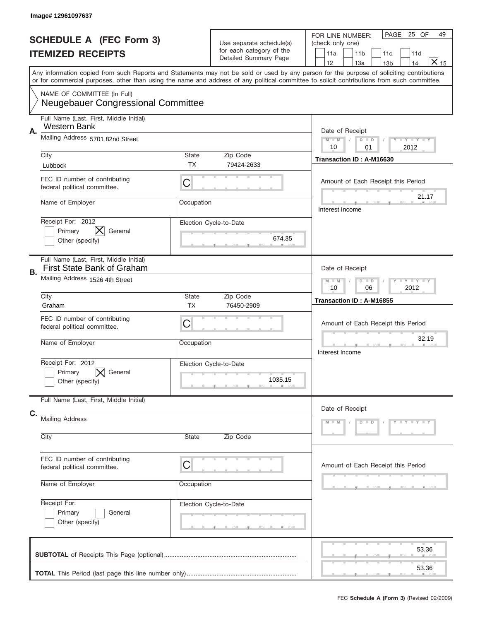|    | Image# 12961097637                                                           |                                                      |                                                                               |                                                                                                                                                                                                                                                                                         |
|----|------------------------------------------------------------------------------|------------------------------------------------------|-------------------------------------------------------------------------------|-----------------------------------------------------------------------------------------------------------------------------------------------------------------------------------------------------------------------------------------------------------------------------------------|
|    | <b>SCHEDULE A (FEC Form 3)</b><br><b>ITEMIZED RECEIPTS</b>                   |                                                      | Use separate schedule(s)<br>for each category of the<br>Detailed Summary Page | PAGE<br>25 OF<br>49<br>FOR LINE NUMBER:<br>(check only one)<br>11 <sub>b</sub><br>11a<br>11c<br>11d<br>$\overline{X} _{15}$<br>12<br>13a<br>14<br>13 <sub>b</sub>                                                                                                                       |
|    |                                                                              |                                                      |                                                                               | Any information copied from such Reports and Statements may not be sold or used by any person for the purpose of soliciting contributions<br>or for commercial purposes, other than using the name and address of any political committee to solicit contributions from such committee. |
|    | NAME OF COMMITTEE (In Full)<br><b>Neugebauer Congressional Committee</b>     |                                                      |                                                                               |                                                                                                                                                                                                                                                                                         |
| Α. | Full Name (Last, First, Middle Initial)<br>Western Bank                      |                                                      |                                                                               | Date of Receipt                                                                                                                                                                                                                                                                         |
|    | Mailing Address 5701 82nd Street                                             |                                                      |                                                                               | Y TY TY TY<br>$M$ M<br>$D$ $D$<br>2012<br>10<br>01                                                                                                                                                                                                                                      |
|    | City<br>Lubbock                                                              | State<br><b>TX</b>                                   | Zip Code<br>79424-2633                                                        | Transaction ID: A-M16630                                                                                                                                                                                                                                                                |
|    | FEC ID number of contributing<br>federal political committee.                | C                                                    |                                                                               | Amount of Each Receipt this Period                                                                                                                                                                                                                                                      |
|    | Name of Employer                                                             | Occupation                                           |                                                                               | 21.17<br>Interest Income                                                                                                                                                                                                                                                                |
|    | Receipt For: 2012<br>X<br>Primary<br>General<br>Other (specify)              |                                                      | Election Cycle-to-Date<br>674.35                                              |                                                                                                                                                                                                                                                                                         |
| В. | Full Name (Last, First, Middle Initial)<br><b>First State Bank of Graham</b> |                                                      |                                                                               | Date of Receipt                                                                                                                                                                                                                                                                         |
|    | Mailing Address 1526 4th Street                                              | Y TY TY TY<br>$M - M$<br>$D$ $D$<br>10<br>06<br>2012 |                                                                               |                                                                                                                                                                                                                                                                                         |
|    | City<br>Graham                                                               | State<br><b>TX</b>                                   | Zip Code<br>76450-2909                                                        | Transaction ID: A-M16855                                                                                                                                                                                                                                                                |
|    | FEC ID number of contributing<br>federal political committee.                | $\mathsf C$                                          |                                                                               | Amount of Each Receipt this Period                                                                                                                                                                                                                                                      |
|    | Name of Employer                                                             | Occupation                                           |                                                                               | 32.19<br>Interest Income                                                                                                                                                                                                                                                                |
|    | Receipt For: 2012<br>General<br>Primary<br>Other (specify)                   |                                                      | Election Cycle-to-Date<br>1035.15                                             |                                                                                                                                                                                                                                                                                         |
|    | Full Name (Last, First, Middle Initial)                                      |                                                      |                                                                               | Date of Receipt                                                                                                                                                                                                                                                                         |
| C. | <b>Mailing Address</b><br>City                                               | State                                                | Zip Code                                                                      | $Y - Y - Y - Y - Y$<br>$M - M$<br>$D$ $D$                                                                                                                                                                                                                                               |
|    |                                                                              |                                                      |                                                                               |                                                                                                                                                                                                                                                                                         |
|    | FEC ID number of contributing<br>federal political committee.                | C                                                    |                                                                               | Amount of Each Receipt this Period                                                                                                                                                                                                                                                      |
|    | Name of Employer                                                             | Occupation                                           |                                                                               |                                                                                                                                                                                                                                                                                         |
|    | Receipt For:<br>Primary<br>General<br>Other (specify)                        |                                                      | Election Cycle-to-Date                                                        |                                                                                                                                                                                                                                                                                         |
|    |                                                                              |                                                      |                                                                               | 53.36<br>53.36                                                                                                                                                                                                                                                                          |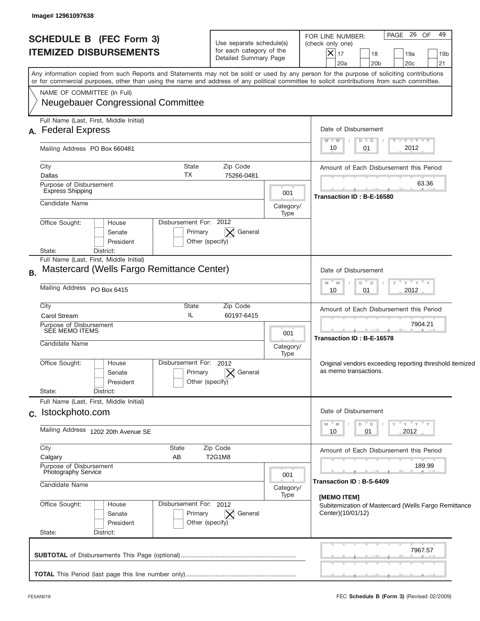| <b>SCHEDULE B (FEC Form 3)</b><br><b>ITEMIZED DISBURSEMENTS</b>                                                                                                                                                                                                                                                        | Use separate schedule(s)<br>for each category of the<br>Detailed Summary Page |                   | PAGE 26 OF<br>49<br>FOR LINE NUMBER:<br>(check only one)<br>$ \boldsymbol{\mathsf{X}} $<br>17<br>18<br>19a<br>19 <sub>b</sub><br>21<br>20 <sub>b</sub><br>20c<br>20a |
|------------------------------------------------------------------------------------------------------------------------------------------------------------------------------------------------------------------------------------------------------------------------------------------------------------------------|-------------------------------------------------------------------------------|-------------------|----------------------------------------------------------------------------------------------------------------------------------------------------------------------|
| Any information copied from such Reports and Statements may not be sold or used by any person for the purpose of soliciting contributions<br>or for commercial purposes, other than using the name and address of any political committee to solicit contributions from such committee.<br>NAME OF COMMITTEE (In Full) |                                                                               |                   |                                                                                                                                                                      |
| <b>Neugebauer Congressional Committee</b>                                                                                                                                                                                                                                                                              |                                                                               |                   |                                                                                                                                                                      |
| Full Name (Last, First, Middle Initial)<br>A. Federal Express                                                                                                                                                                                                                                                          |                                                                               |                   | Date of Disbursement<br>$I - Y - I - Y - I - Y$<br>$M - M$<br>$D$ $D$                                                                                                |
| Mailing Address PO Box 660481                                                                                                                                                                                                                                                                                          |                                                                               |                   | 2012<br>01<br>10                                                                                                                                                     |
| State<br>City<br>TX<br>Dallas                                                                                                                                                                                                                                                                                          | Zip Code<br>75266-0481                                                        |                   | Amount of Each Disbursement this Period                                                                                                                              |
| Purpose of Disbursement<br><b>Express Shipping</b>                                                                                                                                                                                                                                                                     |                                                                               | 001               | 63.36<br>Transaction ID: B-E-16580                                                                                                                                   |
| Candidate Name                                                                                                                                                                                                                                                                                                         |                                                                               | Category/<br>Type |                                                                                                                                                                      |
| Disbursement For: 2012<br>Office Sought:<br>House<br>Primary<br>Senate<br>President                                                                                                                                                                                                                                    | General<br>$\bm{\times}$<br>Other (specify)                                   |                   |                                                                                                                                                                      |
| State:<br>District:<br>Full Name (Last, First, Middle Initial)<br>Mastercard (Wells Fargo Remittance Center)<br><b>B.</b>                                                                                                                                                                                              |                                                                               |                   | Date of Disbursement                                                                                                                                                 |
| Mailing Address PO Box 6415                                                                                                                                                                                                                                                                                            |                                                                               |                   | – ү – ү – ү<br>$- M$<br>M<br>D<br>$\Box$<br>2012<br>10<br>01                                                                                                         |
| City<br>State<br>IL<br><b>Carol Stream</b>                                                                                                                                                                                                                                                                             | Zip Code<br>60197-6415                                                        |                   | Amount of Each Disbursement this Period                                                                                                                              |
| Purpose of Disbursement<br>SEE MEMO ITEMS<br>Candidate Name                                                                                                                                                                                                                                                            |                                                                               | 001<br>Category/  | 7904.21<br>Transaction ID: B-E-16578                                                                                                                                 |
| Disbursement For: 2012<br>Office Sought:<br>House<br>Primary<br>Senate<br>President<br>State:<br>District:                                                                                                                                                                                                             | General<br>Other (specify)                                                    | Type              | Original vendors exceeding reporting threshold itemized<br>as memo transactions.                                                                                     |
| Full Name (Last, First, Middle Initial)<br>c. Istockphoto.com                                                                                                                                                                                                                                                          |                                                                               |                   | Date of Disbursement                                                                                                                                                 |
| Mailing Address 1202 20th Avenue SE                                                                                                                                                                                                                                                                                    |                                                                               |                   | ≡ γ ≡ γ ≡ γ<br>" M<br>D<br>Y<br>$\Box$<br>2012<br>10<br>01                                                                                                           |
| City<br>State<br>Calgary<br>AB                                                                                                                                                                                                                                                                                         | Zip Code<br>T2G1M8                                                            |                   | Amount of Each Disbursement this Period                                                                                                                              |
| Purpose of Disbursement<br><b>Photography Service</b>                                                                                                                                                                                                                                                                  |                                                                               | 001               | 189.99<br>Transaction ID: B-S-6409                                                                                                                                   |
| Candidate Name                                                                                                                                                                                                                                                                                                         |                                                                               | Category/<br>Type | [MEMO ITEM]                                                                                                                                                          |
| Office Sought:<br>Disbursement For: 2012<br>House<br>Primary<br>Senate<br>President<br>State:<br>District:                                                                                                                                                                                                             | $ \times $ General<br>Other (specify)                                         |                   | Subitemization of Mastercard (Wells Fargo Remittance<br>Center)(10/01/12)                                                                                            |
|                                                                                                                                                                                                                                                                                                                        |                                                                               |                   | 7967.57                                                                                                                                                              |
|                                                                                                                                                                                                                                                                                                                        |                                                                               |                   |                                                                                                                                                                      |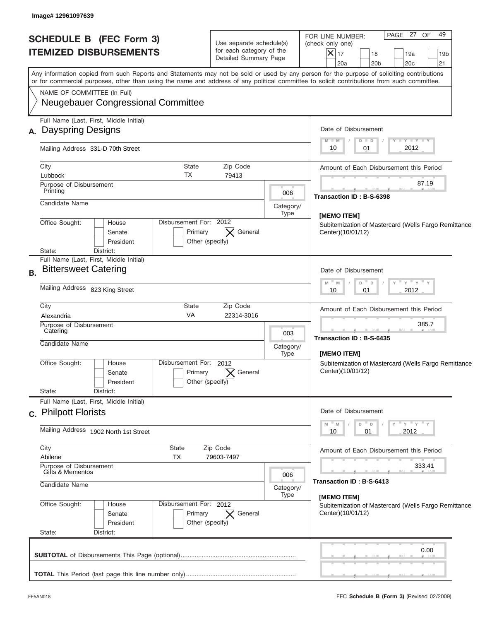| <b>SCHEDULE B (FEC Form 3)</b><br><b>ITEMIZED DISBURSEMENTS</b>                                                                                                                                                                                                                         | Use separate schedule(s)<br>for each category of the<br>Detailed Summary Page |                          | PAGE 27<br>49<br><b>OF</b><br>FOR LINE NUMBER:<br>(check only one)<br>$ \mathsf{X} _{17}$<br>18<br>19a<br>19 <sub>b</sub><br>20a<br>20 <sub>b</sub><br>20c<br>21 |
|-----------------------------------------------------------------------------------------------------------------------------------------------------------------------------------------------------------------------------------------------------------------------------------------|-------------------------------------------------------------------------------|--------------------------|------------------------------------------------------------------------------------------------------------------------------------------------------------------|
| Any information copied from such Reports and Statements may not be sold or used by any person for the purpose of soliciting contributions<br>or for commercial purposes, other than using the name and address of any political committee to solicit contributions from such committee. |                                                                               |                          |                                                                                                                                                                  |
| NAME OF COMMITTEE (In Full)<br><b>Neugebauer Congressional Committee</b>                                                                                                                                                                                                                |                                                                               |                          |                                                                                                                                                                  |
| Full Name (Last, First, Middle Initial)<br>A. Dayspring Designs                                                                                                                                                                                                                         |                                                                               |                          | Date of Disbursement                                                                                                                                             |
| Mailing Address 331-D 70th Street                                                                                                                                                                                                                                                       |                                                                               |                          | <b>TAN TANK TANK</b><br>$M - M$<br>$D$ $D$<br>2012<br>10<br>01                                                                                                   |
| <b>State</b><br>City<br>ТX<br>Lubbock                                                                                                                                                                                                                                                   | Zip Code<br>79413                                                             |                          | Amount of Each Disbursement this Period                                                                                                                          |
| Purpose of Disbursement<br>Printing                                                                                                                                                                                                                                                     |                                                                               | 006                      | 87.19<br>Transaction ID: B-S-6398                                                                                                                                |
| Candidate Name                                                                                                                                                                                                                                                                          |                                                                               | Category/<br>Type        | [MEMO ITEM]                                                                                                                                                      |
| Disbursement For: 2012<br>Office Sought:<br>House<br>Senate<br>President<br>District:<br>State:                                                                                                                                                                                         | General<br>Primary<br>Other (specify)                                         |                          | Subitemization of Mastercard (Wells Fargo Remittance<br>Center)(10/01/12)                                                                                        |
| Full Name (Last, First, Middle Initial)<br><b>Bittersweet Catering</b><br><b>B.</b>                                                                                                                                                                                                     |                                                                               |                          | Date of Disbursement                                                                                                                                             |
| Mailing Address 823 King Street                                                                                                                                                                                                                                                         |                                                                               |                          | $-\gamma + \gamma - \gamma$<br>$M - M$<br>$\Box$<br>D<br>2012<br>10<br>01                                                                                        |
| City<br><b>State</b><br><b>VA</b><br>Alexandria                                                                                                                                                                                                                                         | Zip Code<br>22314-3016                                                        |                          | Amount of Each Disbursement this Period                                                                                                                          |
| Purpose of Disbursement<br>Catering<br>Candidate Name                                                                                                                                                                                                                                   |                                                                               | 003<br>Category/<br>Type | 385.7<br>Transaction ID: B-S-6435<br>[MEMO ITEM]                                                                                                                 |
| Disbursement For: 2012<br>Office Sought:<br>House<br>Senate<br>President<br>State:<br>District:                                                                                                                                                                                         | General<br>Primary<br>Other (specify)                                         |                          | Subitemization of Mastercard (Wells Fargo Remittance<br>Center)(10/01/12)                                                                                        |
| Full Name (Last, First, Middle Initial)<br>c. Philpott Florists                                                                                                                                                                                                                         |                                                                               |                          | Date of Disbursement                                                                                                                                             |
| Mailing Address 1902 North 1st Street                                                                                                                                                                                                                                                   |                                                                               |                          | ≡ γ ≡ γ ≡ γ<br>$- M$<br>M<br>D<br>$\Box$<br>2012<br>10<br>01                                                                                                     |
| City<br>State<br>Abilene<br>TX                                                                                                                                                                                                                                                          | Zip Code<br>79603-7497                                                        |                          | Amount of Each Disbursement this Period                                                                                                                          |
| Purpose of Disbursement<br>Gifts & Mementos<br>Candidate Name                                                                                                                                                                                                                           |                                                                               | 006<br>Category/         | 333.41<br>Transaction ID : B-S-6413                                                                                                                              |
| Office Sought:<br>Disbursement For: 2012<br>House<br>Senate<br>President<br>State:<br>District:                                                                                                                                                                                         | Primary<br>General<br>$\times$<br>Other (specify)                             | Type                     | [MEMO ITEM]<br>Subitemization of Mastercard (Wells Fargo Remittance<br>Center)(10/01/12)                                                                         |
|                                                                                                                                                                                                                                                                                         |                                                                               |                          | 0.00                                                                                                                                                             |
|                                                                                                                                                                                                                                                                                         |                                                                               |                          |                                                                                                                                                                  |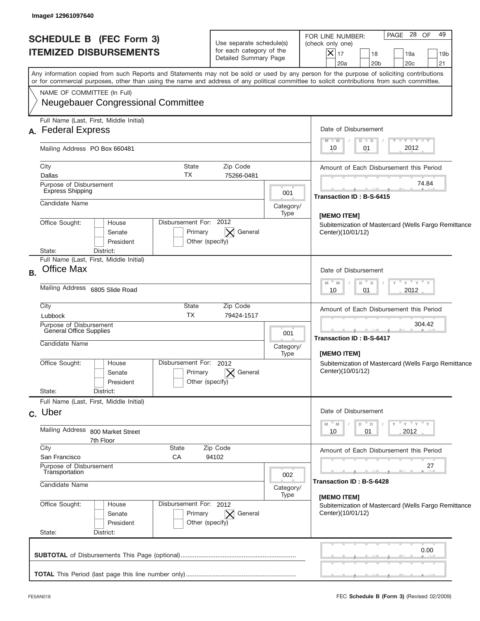| <b>SCHEDULE B (FEC Form 3)</b><br><b>ITEMIZED DISBURSEMENTS</b>                                                                                                                                                                                                                         | Use separate schedule(s)<br>for each category of the<br>Detailed Summary Page |                                                          | PAGE 28<br>49<br>OF<br>FOR LINE NUMBER:<br>(check only one)<br>$ \mathsf{X} _{17}$<br>18<br>19a<br>19 <sub>b</sub><br>20a<br>20 <sub>b</sub><br>20c<br>21 |  |
|-----------------------------------------------------------------------------------------------------------------------------------------------------------------------------------------------------------------------------------------------------------------------------------------|-------------------------------------------------------------------------------|----------------------------------------------------------|-----------------------------------------------------------------------------------------------------------------------------------------------------------|--|
| Any information copied from such Reports and Statements may not be sold or used by any person for the purpose of soliciting contributions<br>or for commercial purposes, other than using the name and address of any political committee to solicit contributions from such committee. |                                                                               |                                                          |                                                                                                                                                           |  |
| NAME OF COMMITTEE (In Full)<br><b>Neugebauer Congressional Committee</b>                                                                                                                                                                                                                |                                                                               |                                                          |                                                                                                                                                           |  |
| Full Name (Last, First, Middle Initial)<br>A. Federal Express                                                                                                                                                                                                                           |                                                                               |                                                          | Date of Disbursement                                                                                                                                      |  |
| Mailing Address PO Box 660481                                                                                                                                                                                                                                                           |                                                                               |                                                          | <b>TAYLY LY</b><br>$M - M$<br>$D$ $D$<br>2012<br>10<br>01                                                                                                 |  |
| City<br><b>State</b><br>ТX<br>Dallas                                                                                                                                                                                                                                                    | Zip Code<br>75266-0481                                                        |                                                          | Amount of Each Disbursement this Period                                                                                                                   |  |
| Purpose of Disbursement<br><b>Express Shipping</b>                                                                                                                                                                                                                                      |                                                                               | 001                                                      | 74.84                                                                                                                                                     |  |
| Candidate Name                                                                                                                                                                                                                                                                          |                                                                               | Category/<br>Type                                        | Transaction ID: B-S-6415                                                                                                                                  |  |
| Disbursement For: 2012<br>Office Sought:<br>House<br>Primary<br>Senate<br>President<br>State:<br>District:                                                                                                                                                                              | General<br>Other (specify)                                                    |                                                          | [MEMO ITEM]<br>Subitemization of Mastercard (Wells Fargo Remittance<br>Center)(10/01/12)                                                                  |  |
| Full Name (Last, First, Middle Initial)<br><b>Office Max</b><br><b>B.</b>                                                                                                                                                                                                               |                                                                               |                                                          | Date of Disbursement                                                                                                                                      |  |
| Mailing Address 6805 Slide Road                                                                                                                                                                                                                                                         |                                                                               |                                                          | $-\gamma + \gamma - \gamma$<br>$M - M$<br>$\Box$<br>D<br>2012<br>10<br>01                                                                                 |  |
| City<br><b>State</b><br><b>TX</b><br>Lubbock                                                                                                                                                                                                                                            | Zip Code<br>79424-1517                                                        |                                                          | Amount of Each Disbursement this Period                                                                                                                   |  |
| Purpose of Disbursement<br>General Office Supplies<br>Candidate Name                                                                                                                                                                                                                    |                                                                               | 001<br>Category/                                         | 304.42<br><b>Transaction ID: B-S-6417</b>                                                                                                                 |  |
| Disbursement For: 2012<br>Office Sought:<br>House<br>Primary<br>Senate<br>President<br>State:<br>District:                                                                                                                                                                              | General<br>Other (specify)                                                    | Type                                                     | [MEMO ITEM]<br>Subitemization of Mastercard (Wells Fargo Remittance<br>Center)(10/01/12)                                                                  |  |
| Full Name (Last, First, Middle Initial)<br>c. Uber                                                                                                                                                                                                                                      |                                                                               |                                                          | Date of Disbursement                                                                                                                                      |  |
| <b>Mailing Address</b><br>800 Market Street<br>7th Floor                                                                                                                                                                                                                                |                                                                               | ≡ γ ≡ γ ≡ γ<br>M<br>M<br>D<br>$\Box$<br>2012<br>10<br>01 |                                                                                                                                                           |  |
| $\overline{C}$ ity<br>State<br>San Francisco<br>СA                                                                                                                                                                                                                                      | Zip Code<br>94102                                                             |                                                          | Amount of Each Disbursement this Period                                                                                                                   |  |
| Purpose of Disbursement<br>Transportation                                                                                                                                                                                                                                               |                                                                               | 002                                                      | 27                                                                                                                                                        |  |
| Candidate Name                                                                                                                                                                                                                                                                          |                                                                               | Category/<br>Type                                        | Transaction ID: B-S-6428<br>[MEMO ITEM]                                                                                                                   |  |
| Office Sought:<br>Disbursement For: 2012<br>House<br>Primary<br>Senate<br>President<br>State:<br>District:                                                                                                                                                                              | General<br>$\bowtie$<br>Other (specify)                                       |                                                          | Subitemization of Mastercard (Wells Fargo Remittance<br>Center)(10/01/12)                                                                                 |  |
|                                                                                                                                                                                                                                                                                         |                                                                               |                                                          | 0.00                                                                                                                                                      |  |
|                                                                                                                                                                                                                                                                                         |                                                                               |                                                          |                                                                                                                                                           |  |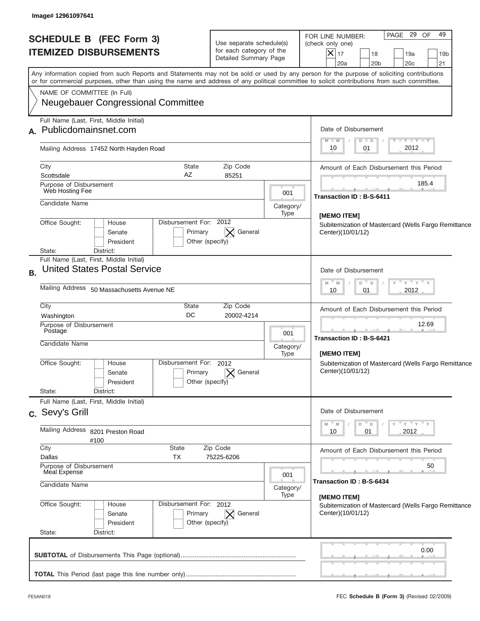| Any information copied from such Reports and Statements may not be sold or used by any person for the purpose of soliciting contributions<br>or for commercial purposes, other than using the name and address of any political committee to solicit contributions from such committee.<br>NAME OF COMMITTEE (In Full)<br><b>Neugebauer Congressional Committee</b><br>Full Name (Last, First, Middle Initial)<br>$M - M$<br>10<br>Mailing Address 17452 North Hayden Road<br>City<br><b>State</b><br>Zip Code<br>AZ<br>Scottsdale<br>85251<br>Purpose of Disbursement<br>Web Hosting Fee<br>001<br>Candidate Name<br>Category/<br>Type<br>[MEMO ITEM]<br>Disbursement For: 2012<br>Office Sought:<br>House<br>General<br>Primary<br>Senate<br>President<br>Other (specify)<br>District:<br>State:<br>Full Name (Last, First, Middle Initial)<br><b>United States Postal Service</b><br>Mailing Address 50 Massachusetts Avenue NE<br>10<br>City<br><b>State</b><br>Zip Code<br>DC<br>20002-4214<br>Washington<br>Purpose of Disbursement<br>Postage<br>001<br>Candidate Name<br>Category/<br>[MEMO ITEM]<br>Type<br>Disbursement For:<br>Office Sought:<br>2012<br>House<br>General<br>Primary<br>Senate<br>Other (specify)<br>President<br>State:<br>District:<br>Full Name (Last, First, Middle Initial)<br>M<br>M<br>Mailing Address 8201 Preston Road<br>10<br>#100<br>City<br>State<br>Zip Code<br>Dallas<br>TX<br>75225-6206<br>Purpose of Disbursement<br>Meal Expense<br>001<br>Candidate Name<br>Category/<br>Type<br>[MEMO ITEM]<br>Office Sought:<br>Disbursement For: 2012<br>House<br>Primary<br>General<br>Senate<br>$\times$<br>President<br>Other (specify) | PAGE 29<br>49<br>OF<br>FOR LINE NUMBER:<br>(check only one)<br>$ \mathsf{X} _{17}$<br>18<br>19a<br>19 <sub>b</sub><br>20a<br>20 <sub>b</sub><br>20c<br>21 |  |
|------------------------------------------------------------------------------------------------------------------------------------------------------------------------------------------------------------------------------------------------------------------------------------------------------------------------------------------------------------------------------------------------------------------------------------------------------------------------------------------------------------------------------------------------------------------------------------------------------------------------------------------------------------------------------------------------------------------------------------------------------------------------------------------------------------------------------------------------------------------------------------------------------------------------------------------------------------------------------------------------------------------------------------------------------------------------------------------------------------------------------------------------------------------------------------------------------------------------------------------------------------------------------------------------------------------------------------------------------------------------------------------------------------------------------------------------------------------------------------------------------------------------------------------------------------------------------------------------------------------------------------------------------------------------------|-----------------------------------------------------------------------------------------------------------------------------------------------------------|--|
| A. Publicdomainsnet.com<br><b>B.</b><br>c. Sevy's Grill                                                                                                                                                                                                                                                                                                                                                                                                                                                                                                                                                                                                                                                                                                                                                                                                                                                                                                                                                                                                                                                                                                                                                                                                                                                                                                                                                                                                                                                                                                                                                                                                                      |                                                                                                                                                           |  |
|                                                                                                                                                                                                                                                                                                                                                                                                                                                                                                                                                                                                                                                                                                                                                                                                                                                                                                                                                                                                                                                                                                                                                                                                                                                                                                                                                                                                                                                                                                                                                                                                                                                                              |                                                                                                                                                           |  |
|                                                                                                                                                                                                                                                                                                                                                                                                                                                                                                                                                                                                                                                                                                                                                                                                                                                                                                                                                                                                                                                                                                                                                                                                                                                                                                                                                                                                                                                                                                                                                                                                                                                                              | Date of Disbursement                                                                                                                                      |  |
|                                                                                                                                                                                                                                                                                                                                                                                                                                                                                                                                                                                                                                                                                                                                                                                                                                                                                                                                                                                                                                                                                                                                                                                                                                                                                                                                                                                                                                                                                                                                                                                                                                                                              | <b>TAN TANK TANK</b><br>$D$ $D$<br>2012<br>01                                                                                                             |  |
|                                                                                                                                                                                                                                                                                                                                                                                                                                                                                                                                                                                                                                                                                                                                                                                                                                                                                                                                                                                                                                                                                                                                                                                                                                                                                                                                                                                                                                                                                                                                                                                                                                                                              | Amount of Each Disbursement this Period                                                                                                                   |  |
|                                                                                                                                                                                                                                                                                                                                                                                                                                                                                                                                                                                                                                                                                                                                                                                                                                                                                                                                                                                                                                                                                                                                                                                                                                                                                                                                                                                                                                                                                                                                                                                                                                                                              | 185.4<br>Transaction ID: B-S-6411                                                                                                                         |  |
|                                                                                                                                                                                                                                                                                                                                                                                                                                                                                                                                                                                                                                                                                                                                                                                                                                                                                                                                                                                                                                                                                                                                                                                                                                                                                                                                                                                                                                                                                                                                                                                                                                                                              |                                                                                                                                                           |  |
|                                                                                                                                                                                                                                                                                                                                                                                                                                                                                                                                                                                                                                                                                                                                                                                                                                                                                                                                                                                                                                                                                                                                                                                                                                                                                                                                                                                                                                                                                                                                                                                                                                                                              | Subitemization of Mastercard (Wells Fargo Remittance<br>Center)(10/01/12)                                                                                 |  |
|                                                                                                                                                                                                                                                                                                                                                                                                                                                                                                                                                                                                                                                                                                                                                                                                                                                                                                                                                                                                                                                                                                                                                                                                                                                                                                                                                                                                                                                                                                                                                                                                                                                                              | Date of Disbursement                                                                                                                                      |  |
|                                                                                                                                                                                                                                                                                                                                                                                                                                                                                                                                                                                                                                                                                                                                                                                                                                                                                                                                                                                                                                                                                                                                                                                                                                                                                                                                                                                                                                                                                                                                                                                                                                                                              | $-\gamma + \gamma - \gamma$<br>$M - M$<br>$\Box$<br>D<br>2012<br>01                                                                                       |  |
|                                                                                                                                                                                                                                                                                                                                                                                                                                                                                                                                                                                                                                                                                                                                                                                                                                                                                                                                                                                                                                                                                                                                                                                                                                                                                                                                                                                                                                                                                                                                                                                                                                                                              | Amount of Each Disbursement this Period                                                                                                                   |  |
|                                                                                                                                                                                                                                                                                                                                                                                                                                                                                                                                                                                                                                                                                                                                                                                                                                                                                                                                                                                                                                                                                                                                                                                                                                                                                                                                                                                                                                                                                                                                                                                                                                                                              | 12.69<br>Transaction ID : B-S-6421                                                                                                                        |  |
|                                                                                                                                                                                                                                                                                                                                                                                                                                                                                                                                                                                                                                                                                                                                                                                                                                                                                                                                                                                                                                                                                                                                                                                                                                                                                                                                                                                                                                                                                                                                                                                                                                                                              | Subitemization of Mastercard (Wells Fargo Remittance<br>Center)(10/01/12)                                                                                 |  |
|                                                                                                                                                                                                                                                                                                                                                                                                                                                                                                                                                                                                                                                                                                                                                                                                                                                                                                                                                                                                                                                                                                                                                                                                                                                                                                                                                                                                                                                                                                                                                                                                                                                                              | Date of Disbursement                                                                                                                                      |  |
|                                                                                                                                                                                                                                                                                                                                                                                                                                                                                                                                                                                                                                                                                                                                                                                                                                                                                                                                                                                                                                                                                                                                                                                                                                                                                                                                                                                                                                                                                                                                                                                                                                                                              | ≡ γ ≡ γ ≡ γ<br>D<br>$\Box$<br>2012<br>01                                                                                                                  |  |
|                                                                                                                                                                                                                                                                                                                                                                                                                                                                                                                                                                                                                                                                                                                                                                                                                                                                                                                                                                                                                                                                                                                                                                                                                                                                                                                                                                                                                                                                                                                                                                                                                                                                              | Amount of Each Disbursement this Period                                                                                                                   |  |
|                                                                                                                                                                                                                                                                                                                                                                                                                                                                                                                                                                                                                                                                                                                                                                                                                                                                                                                                                                                                                                                                                                                                                                                                                                                                                                                                                                                                                                                                                                                                                                                                                                                                              | 50<br>Transaction ID: B-S-6434                                                                                                                            |  |
|                                                                                                                                                                                                                                                                                                                                                                                                                                                                                                                                                                                                                                                                                                                                                                                                                                                                                                                                                                                                                                                                                                                                                                                                                                                                                                                                                                                                                                                                                                                                                                                                                                                                              | Subitemization of Mastercard (Wells Fargo Remittance<br>Center)(10/01/12)                                                                                 |  |
| State:<br>District:                                                                                                                                                                                                                                                                                                                                                                                                                                                                                                                                                                                                                                                                                                                                                                                                                                                                                                                                                                                                                                                                                                                                                                                                                                                                                                                                                                                                                                                                                                                                                                                                                                                          |                                                                                                                                                           |  |
|                                                                                                                                                                                                                                                                                                                                                                                                                                                                                                                                                                                                                                                                                                                                                                                                                                                                                                                                                                                                                                                                                                                                                                                                                                                                                                                                                                                                                                                                                                                                                                                                                                                                              | 0.00                                                                                                                                                      |  |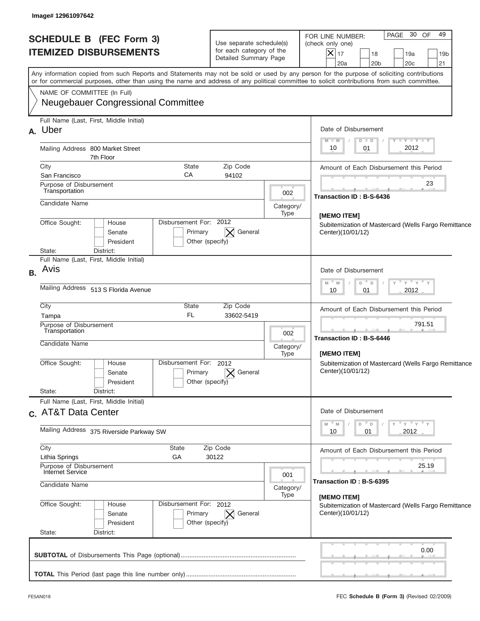| <b>SCHEDULE B (FEC Form 3)</b><br><b>ITEMIZED DISBURSEMENTS</b>                                                                                                                                                                                                                         | Use separate schedule(s)<br>for each category of the<br>Detailed Summary Page |                                                                                  | PAGE 30<br>OF<br>49<br>FOR LINE NUMBER:<br>(check only one)<br>$ \mathsf{X} _{17}$<br>18<br>19a<br>19 <sub>b</sub><br>20a<br>20 <sub>b</sub><br>20c<br>21 |
|-----------------------------------------------------------------------------------------------------------------------------------------------------------------------------------------------------------------------------------------------------------------------------------------|-------------------------------------------------------------------------------|----------------------------------------------------------------------------------|-----------------------------------------------------------------------------------------------------------------------------------------------------------|
| Any information copied from such Reports and Statements may not be sold or used by any person for the purpose of soliciting contributions<br>or for commercial purposes, other than using the name and address of any political committee to solicit contributions from such committee. |                                                                               |                                                                                  |                                                                                                                                                           |
| NAME OF COMMITTEE (In Full)<br><b>Neugebauer Congressional Committee</b>                                                                                                                                                                                                                |                                                                               |                                                                                  |                                                                                                                                                           |
| Full Name (Last, First, Middle Initial)<br>A. Uber                                                                                                                                                                                                                                      |                                                                               |                                                                                  | Date of Disbursement                                                                                                                                      |
| Mailing Address 800 Market Street<br>7th Floor                                                                                                                                                                                                                                          |                                                                               |                                                                                  | $T - Y$ $T - Y$<br>$M - M$<br>$D$ $D$<br>2012<br>10<br>01                                                                                                 |
| City<br><b>State</b>                                                                                                                                                                                                                                                                    | Zip Code                                                                      |                                                                                  | Amount of Each Disbursement this Period                                                                                                                   |
| CA<br>San Francisco<br>Purpose of Disbursement<br>Transportation                                                                                                                                                                                                                        | 94102                                                                         |                                                                                  | 23                                                                                                                                                        |
| Candidate Name                                                                                                                                                                                                                                                                          |                                                                               | 002<br>Category/                                                                 | Transaction ID: B-S-6436                                                                                                                                  |
| Disbursement For: 2012<br>Office Sought:<br>House<br>Primary<br>Senate<br>President                                                                                                                                                                                                     | General<br>Other (specify)                                                    | Type                                                                             | [MEMO ITEM]<br>Subitemization of Mastercard (Wells Fargo Remittance<br>Center)(10/01/12)                                                                  |
| District:<br>State:<br>Full Name (Last, First, Middle Initial)                                                                                                                                                                                                                          |                                                                               |                                                                                  |                                                                                                                                                           |
| Avis                                                                                                                                                                                                                                                                                    |                                                                               | Date of Disbursement<br>ү " ү " ү " ү<br>$M - M$<br>- D<br>D<br>2012<br>10<br>01 |                                                                                                                                                           |
| Mailing Address 513 S Florida Avenue                                                                                                                                                                                                                                                    |                                                                               |                                                                                  |                                                                                                                                                           |
| City<br><b>State</b><br><b>FL</b><br>Tampa                                                                                                                                                                                                                                              | Zip Code<br>33602-5419                                                        |                                                                                  | Amount of Each Disbursement this Period                                                                                                                   |
| Purpose of Disbursement<br>Transportation                                                                                                                                                                                                                                               |                                                                               | 002                                                                              | 791.51                                                                                                                                                    |
| Candidate Name                                                                                                                                                                                                                                                                          |                                                                               | Category/<br>Type                                                                | <b>Transaction ID: B-S-6446</b><br>[MEMO ITEM]                                                                                                            |
| Disbursement For: 2012<br>Office Sought:<br>House<br>Primary<br>Senate<br>Other (specify)<br>President                                                                                                                                                                                  | General                                                                       |                                                                                  | Subitemization of Mastercard (Wells Fargo Remittance<br>Center)(10/01/12)                                                                                 |
| State:<br>District:<br>Full Name (Last, First, Middle Initial)                                                                                                                                                                                                                          |                                                                               |                                                                                  |                                                                                                                                                           |
| c. AT&T Data Center                                                                                                                                                                                                                                                                     |                                                                               |                                                                                  | Date of Disbursement                                                                                                                                      |
| Mailing Address 375 Riverside Parkway SW                                                                                                                                                                                                                                                |                                                                               |                                                                                  | ≡ γ ≡ γ ≡ γ<br>" M<br>M<br>D<br>D<br>2012<br>10<br>01                                                                                                     |
| City<br>State<br>GА<br>Lithia Springs                                                                                                                                                                                                                                                   | Zip Code<br>30122                                                             |                                                                                  | Amount of Each Disbursement this Period                                                                                                                   |
| Purpose of Disbursement<br>Internet Service                                                                                                                                                                                                                                             |                                                                               | 001                                                                              | 25.19                                                                                                                                                     |
| Candidate Name                                                                                                                                                                                                                                                                          |                                                                               | Category/<br>Type                                                                | Transaction ID: B-S-6395                                                                                                                                  |
| Office Sought:<br>Disbursement For: 2012<br>House<br>Primary<br>Senate<br>President                                                                                                                                                                                                     | $\times$ General<br>Other (specify)                                           |                                                                                  | [MEMO ITEM]<br>Subitemization of Mastercard (Wells Fargo Remittance<br>Center)(10/01/12)                                                                  |
| State:<br>District:                                                                                                                                                                                                                                                                     |                                                                               |                                                                                  |                                                                                                                                                           |
|                                                                                                                                                                                                                                                                                         |                                                                               |                                                                                  | 0.00                                                                                                                                                      |
|                                                                                                                                                                                                                                                                                         |                                                                               |                                                                                  |                                                                                                                                                           |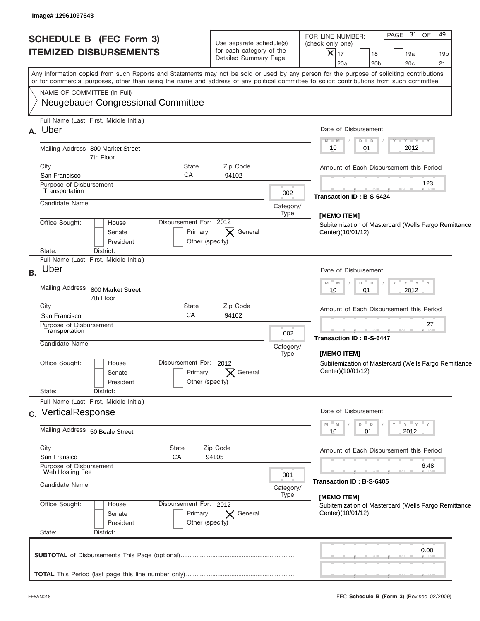| <b>SCHEDULE B (FEC Form 3)</b><br><b>ITEMIZED DISBURSEMENTS</b>                                                                                                                                                                                                                         | Use separate schedule(s)<br>for each category of the<br>Detailed Summary Page | PAGE 31 OF<br>49<br>FOR LINE NUMBER:<br>(check only one)<br>$ \mathsf{X} _{17}$<br>18<br>19a<br>19 <sub>b</sub><br>20a<br>20 <sub>b</sub><br>20c<br>21 |
|-----------------------------------------------------------------------------------------------------------------------------------------------------------------------------------------------------------------------------------------------------------------------------------------|-------------------------------------------------------------------------------|--------------------------------------------------------------------------------------------------------------------------------------------------------|
| Any information copied from such Reports and Statements may not be sold or used by any person for the purpose of soliciting contributions<br>or for commercial purposes, other than using the name and address of any political committee to solicit contributions from such committee. |                                                                               |                                                                                                                                                        |
| NAME OF COMMITTEE (In Full)<br><b>Neugebauer Congressional Committee</b>                                                                                                                                                                                                                |                                                                               |                                                                                                                                                        |
| Full Name (Last, First, Middle Initial)<br>A. Uber                                                                                                                                                                                                                                      |                                                                               | Date of Disbursement<br>$T - Y$ $T - Y$                                                                                                                |
| Mailing Address 800 Market Street<br>7th Floor                                                                                                                                                                                                                                          |                                                                               | $M - M$<br>$D$ $D$<br>2012<br>10<br>01                                                                                                                 |
| City<br><b>State</b>                                                                                                                                                                                                                                                                    | Zip Code                                                                      | Amount of Each Disbursement this Period                                                                                                                |
| CA<br>San Francisco<br>Purpose of Disbursement<br>Transportation                                                                                                                                                                                                                        | 94102<br>002                                                                  | 123                                                                                                                                                    |
| Candidate Name                                                                                                                                                                                                                                                                          | Category/<br>Type                                                             | Transaction ID: B-S-6424                                                                                                                               |
| Disbursement For: 2012<br>Office Sought:<br>House<br>Primary<br>Senate<br>President                                                                                                                                                                                                     | General<br>Other (specify)                                                    | [MEMO ITEM]<br>Subitemization of Mastercard (Wells Fargo Remittance<br>Center)(10/01/12)                                                               |
| State:<br>District:<br>Full Name (Last, First, Middle Initial)                                                                                                                                                                                                                          |                                                                               |                                                                                                                                                        |
| Uber                                                                                                                                                                                                                                                                                    |                                                                               | Date of Disbursement                                                                                                                                   |
| Mailing Address<br>800 Market Street<br>7th Floor                                                                                                                                                                                                                                       |                                                                               | $\cdots$ $\gamma$ $\cdots$ $\gamma$ $\cdots$ $\gamma$<br>$M - M$<br>- D<br>D<br>2012<br>10<br>01                                                       |
| City<br><b>State</b><br>CA                                                                                                                                                                                                                                                              | Zip Code                                                                      | Amount of Each Disbursement this Period                                                                                                                |
| San Francisco<br>Purpose of Disbursement                                                                                                                                                                                                                                                | 94102                                                                         | 27                                                                                                                                                     |
| Transportation<br>Candidate Name                                                                                                                                                                                                                                                        | 002<br>Category/                                                              | <b>Transaction ID: B-S-6447</b>                                                                                                                        |
| Disbursement For: 2012<br>Office Sought:<br>House<br>Primary<br>Senate<br>President                                                                                                                                                                                                     | Type<br>General<br>Other (specify)                                            | [MEMO ITEM]<br>Subitemization of Mastercard (Wells Fargo Remittance<br>Center)(10/01/12)                                                               |
| State:<br>District:<br>Full Name (Last, First, Middle Initial)                                                                                                                                                                                                                          |                                                                               |                                                                                                                                                        |
| c. VerticalResponse                                                                                                                                                                                                                                                                     |                                                                               | Date of Disbursement                                                                                                                                   |
| Mailing Address 50 Beale Street                                                                                                                                                                                                                                                         |                                                                               | ≡ γ ≡ γ ≡ γ<br>" M<br>M<br>D<br>D<br>2012<br>10<br>01                                                                                                  |
| City<br>State<br>San Fransico<br>СA                                                                                                                                                                                                                                                     | Zip Code<br>94105                                                             | Amount of Each Disbursement this Period                                                                                                                |
| Purpose of Disbursement<br>Web Hosting Fee                                                                                                                                                                                                                                              |                                                                               | 6.48                                                                                                                                                   |
| Candidate Name<br>Category/                                                                                                                                                                                                                                                             |                                                                               | Transaction ID: B-S-6405<br>[MEMO ITEM]                                                                                                                |
| Office Sought:<br>Disbursement For: 2012<br>House<br>Primary<br>Senate<br>President                                                                                                                                                                                                     | Type<br>$\times$ General<br>Other (specify)                                   | Subitemization of Mastercard (Wells Fargo Remittance<br>Center)(10/01/12)                                                                              |
| State:<br>District:                                                                                                                                                                                                                                                                     |                                                                               | 0.00                                                                                                                                                   |
|                                                                                                                                                                                                                                                                                         |                                                                               |                                                                                                                                                        |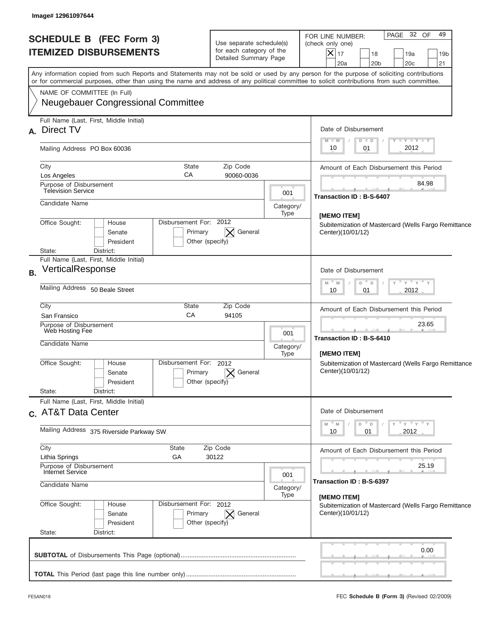| Any information copied from such Reports and Statements may not be sold or used by any person for the purpose of soliciting contributions<br>or for commercial purposes, other than using the name and address of any political committee to solicit contributions from such committee.<br>NAME OF COMMITTEE (In Full)<br><b>Neugebauer Congressional Committee</b> |                                                                              |                   | $ \mathsf{X} _{17}$<br>18<br>19a<br>19 <sub>b</sub><br>20a<br>20 <sub>b</sub><br>20c<br>21      |  |
|---------------------------------------------------------------------------------------------------------------------------------------------------------------------------------------------------------------------------------------------------------------------------------------------------------------------------------------------------------------------|------------------------------------------------------------------------------|-------------------|-------------------------------------------------------------------------------------------------|--|
|                                                                                                                                                                                                                                                                                                                                                                     |                                                                              |                   |                                                                                                 |  |
|                                                                                                                                                                                                                                                                                                                                                                     |                                                                              |                   |                                                                                                 |  |
| Full Name (Last, First, Middle Initial)<br>A. Direct TV                                                                                                                                                                                                                                                                                                             |                                                                              |                   | Date of Disbursement<br><b>TEXTER TEXT</b><br>$M - M$<br>$D$ $D$                                |  |
| Mailing Address PO Box 60036                                                                                                                                                                                                                                                                                                                                        |                                                                              |                   | 2012<br>10<br>01                                                                                |  |
| City<br>CA<br>Los Angeles                                                                                                                                                                                                                                                                                                                                           | <b>State</b><br>Zip Code<br>90060-0036                                       |                   | Amount of Each Disbursement this Period                                                         |  |
| Purpose of Disbursement<br><b>Television Service</b>                                                                                                                                                                                                                                                                                                                |                                                                              | 001               | 84.98<br>Transaction ID: B-S-6407                                                               |  |
| Candidate Name                                                                                                                                                                                                                                                                                                                                                      |                                                                              | Category/<br>Type |                                                                                                 |  |
| Office Sought:<br>House<br>Senate<br>President<br>State:<br>District:                                                                                                                                                                                                                                                                                               | Disbursement For: 2012<br>General<br>Primary<br>Other (specify)              |                   | <b>IMEMO ITEM1</b><br>Subitemization of Mastercard (Wells Fargo Remittance<br>Center)(10/01/12) |  |
| Full Name (Last, First, Middle Initial)<br>VerticalResponse                                                                                                                                                                                                                                                                                                         |                                                                              |                   | Date of Disbursement                                                                            |  |
| Mailing Address 50 Beale Street                                                                                                                                                                                                                                                                                                                                     |                                                                              |                   | $-\gamma + \gamma - \gamma$<br>$M - M$<br>$\Box$<br>D<br>2012<br>10<br>01                       |  |
| City<br>CA<br>San Fransico                                                                                                                                                                                                                                                                                                                                          | <b>State</b><br>Zip Code<br>94105                                            |                   | Amount of Each Disbursement this Period                                                         |  |
| Purpose of Disbursement<br>Web Hosting Fee<br>Candidate Name                                                                                                                                                                                                                                                                                                        |                                                                              | 001<br>Category/  | 23.65<br>Transaction ID: B-S-6410                                                               |  |
| Office Sought:<br>House<br>Senate<br>President<br>State:<br>District:                                                                                                                                                                                                                                                                                               | Disbursement For: 2012<br>General<br>Primary<br>Other (specify)              | Type              | [MEMO ITEM]<br>Subitemization of Mastercard (Wells Fargo Remittance<br>Center)(10/01/12)        |  |
| Full Name (Last, First, Middle Initial)<br>c. AT&T Data Center                                                                                                                                                                                                                                                                                                      |                                                                              |                   | Date of Disbursement                                                                            |  |
| Mailing Address 375 Riverside Parkway SW                                                                                                                                                                                                                                                                                                                            |                                                                              |                   | ≡ γ ≡ γ ≡ γ<br>$- M$<br>M<br>D<br>$\Box$<br>2012<br>10<br>01                                    |  |
| City<br>State<br>GA<br>Lithia Springs<br>Purpose of Disbursement                                                                                                                                                                                                                                                                                                    | Zip Code<br>30122                                                            |                   | Amount of Each Disbursement this Period<br>25.19                                                |  |
| Internet Service<br>Candidate Name                                                                                                                                                                                                                                                                                                                                  |                                                                              | 001<br>Category/  | Transaction ID : B-S-6397                                                                       |  |
| Office Sought:<br>House<br>Senate<br>President                                                                                                                                                                                                                                                                                                                      | Disbursement For: 2012<br>Primary<br>General<br>$\bowtie$<br>Other (specify) | Type              | [MEMO ITEM]<br>Subitemization of Mastercard (Wells Fargo Remittance<br>Center)(10/01/12)        |  |
| State:<br>District:                                                                                                                                                                                                                                                                                                                                                 |                                                                              |                   | 0.00                                                                                            |  |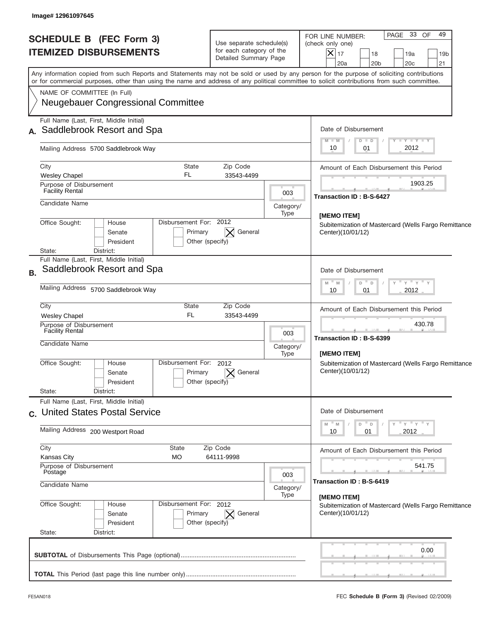| <b>SCHEDULE B (FEC Form 3)</b><br><b>ITEMIZED DISBURSEMENTS</b>                                                                                                                                                                                                                                                        | Use separate schedule(s)<br>for each category of the<br>Detailed Summary Page | PAGE 33<br>49<br>OF<br>FOR LINE NUMBER:<br>(check only one)<br>$ \boldsymbol{\times} $<br>17<br>18<br>19a<br>19 <sub>b</sub><br>20 <sub>b</sub><br>20c<br>21<br>20a |
|------------------------------------------------------------------------------------------------------------------------------------------------------------------------------------------------------------------------------------------------------------------------------------------------------------------------|-------------------------------------------------------------------------------|---------------------------------------------------------------------------------------------------------------------------------------------------------------------|
| Any information copied from such Reports and Statements may not be sold or used by any person for the purpose of soliciting contributions<br>or for commercial purposes, other than using the name and address of any political committee to solicit contributions from such committee.<br>NAME OF COMMITTEE (In Full) |                                                                               |                                                                                                                                                                     |
| <b>Neugebauer Congressional Committee</b>                                                                                                                                                                                                                                                                              |                                                                               |                                                                                                                                                                     |
| Full Name (Last, First, Middle Initial)<br>A. Saddlebrook Resort and Spa                                                                                                                                                                                                                                               |                                                                               | Date of Disbursement                                                                                                                                                |
| Mailing Address 5700 Saddlebrook Way                                                                                                                                                                                                                                                                                   |                                                                               | <b>TAN TANK TANK</b><br>$M - M$<br>$D$ $D$<br>2012<br>10<br>01                                                                                                      |
| City<br><b>State</b><br>FL.<br><b>Wesley Chapel</b>                                                                                                                                                                                                                                                                    | Zip Code<br>33543-4499                                                        | Amount of Each Disbursement this Period                                                                                                                             |
| Purpose of Disbursement<br><b>Facility Rental</b>                                                                                                                                                                                                                                                                      |                                                                               | 1903.25<br>003                                                                                                                                                      |
| Candidate Name                                                                                                                                                                                                                                                                                                         | Category/                                                                     | Transaction ID: B-S-6427<br>Type                                                                                                                                    |
| Disbursement For: 2012<br>Office Sought:<br>House<br>Primary<br>Senate<br>Other (specify)<br>President<br>State:<br>District:                                                                                                                                                                                          | General                                                                       | [MEMO ITEM]<br>Subitemization of Mastercard (Wells Fargo Remittance<br>Center)(10/01/12)                                                                            |
| Full Name (Last, First, Middle Initial)<br>Saddlebrook Resort and Spa                                                                                                                                                                                                                                                  |                                                                               | Date of Disbursement                                                                                                                                                |
| Mailing Address 5700 Saddlebrook Way                                                                                                                                                                                                                                                                                   | $-\gamma + \gamma - \gamma$<br>$M - M$<br>D<br>$\Box$<br>2012<br>10<br>01     |                                                                                                                                                                     |
| City<br>State<br>FL.<br><b>Wesley Chapel</b>                                                                                                                                                                                                                                                                           | Zip Code<br>33543-4499                                                        | Amount of Each Disbursement this Period                                                                                                                             |
| Purpose of Disbursement<br><b>Facility Rental</b><br>Candidate Name                                                                                                                                                                                                                                                    |                                                                               | 430.78<br>003<br>Transaction ID: B-S-6399                                                                                                                           |
|                                                                                                                                                                                                                                                                                                                        | Category/<br>Type                                                             | [MEMO ITEM]                                                                                                                                                         |
| Disbursement For:<br>Office Sought:<br>House<br>Primary<br>Senate<br>Other (specify)<br>President<br>State:                                                                                                                                                                                                            | 2012<br>General                                                               | Subitemization of Mastercard (Wells Fargo Remittance<br>Center)(10/01/12)                                                                                           |
| District:<br>Full Name (Last, First, Middle Initial)                                                                                                                                                                                                                                                                   |                                                                               |                                                                                                                                                                     |
| c. United States Postal Service                                                                                                                                                                                                                                                                                        | Date of Disbursement                                                          |                                                                                                                                                                     |
| Mailing Address 200 Westport Road                                                                                                                                                                                                                                                                                      |                                                                               | ≡ γ ≡ γ ≡ γ<br>M<br>D<br>M<br>D<br>2012<br>10<br>01                                                                                                                 |
| City<br>State<br><b>Kansas City</b><br>МO                                                                                                                                                                                                                                                                              | Zip Code<br>64111-9998                                                        | Amount of Each Disbursement this Period                                                                                                                             |
| Purpose of Disbursement<br>Postage                                                                                                                                                                                                                                                                                     |                                                                               | 541.75<br>003                                                                                                                                                       |
| Candidate Name                                                                                                                                                                                                                                                                                                         |                                                                               | Transaction ID: B-S-6419<br>Category/<br>Type<br>[MEMO ITEM]                                                                                                        |
| Office Sought:<br>Disbursement For: 2012<br>House<br>Primary<br>Senate<br>Other (specify)<br>President<br>State:                                                                                                                                                                                                       | $\vert \times \vert$ General                                                  | Subitemization of Mastercard (Wells Fargo Remittance<br>Center)(10/01/12)                                                                                           |
| District:                                                                                                                                                                                                                                                                                                              |                                                                               | 0.00                                                                                                                                                                |
|                                                                                                                                                                                                                                                                                                                        |                                                                               |                                                                                                                                                                     |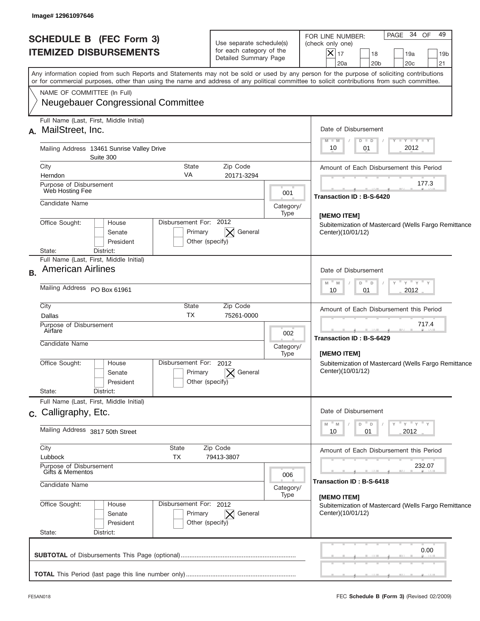| <b>SCHEDULE B (FEC Form 3)</b><br><b>ITEMIZED DISBURSEMENTS</b>                  | Use separate schedule(s)<br>for each category of the<br>Detailed Summary Page |                   | PAGE 34 OF<br>49<br>FOR LINE NUMBER:<br>(check only one)<br>$ \mathsf{X} _{17}$<br>18<br>19a<br>19 <sub>b</sub><br>20a<br>20 <sub>b</sub><br>20c<br>21                                                                                                                                  |
|----------------------------------------------------------------------------------|-------------------------------------------------------------------------------|-------------------|-----------------------------------------------------------------------------------------------------------------------------------------------------------------------------------------------------------------------------------------------------------------------------------------|
|                                                                                  |                                                                               |                   | Any information copied from such Reports and Statements may not be sold or used by any person for the purpose of soliciting contributions<br>or for commercial purposes, other than using the name and address of any political committee to solicit contributions from such committee. |
| NAME OF COMMITTEE (In Full)<br><b>Neugebauer Congressional Committee</b>         |                                                                               |                   |                                                                                                                                                                                                                                                                                         |
| Full Name (Last, First, Middle Initial)<br>A. MailStreet, Inc.                   |                                                                               |                   | Date of Disbursement<br><b>TAN TANK TANK</b>                                                                                                                                                                                                                                            |
| Mailing Address 13461 Sunrise Valley Drive<br>Suite 300                          |                                                                               |                   | $M - M$<br>$D$ $D$<br>2012<br>10<br>01                                                                                                                                                                                                                                                  |
| City                                                                             | <b>State</b><br>Zip Code                                                      |                   | Amount of Each Disbursement this Period                                                                                                                                                                                                                                                 |
| Herndon<br>Purpose of Disbursement<br>Web Hosting Fee                            | VA<br>20171-3294                                                              | 001               | 177.3                                                                                                                                                                                                                                                                                   |
| Candidate Name                                                                   |                                                                               | Category/<br>Type | Transaction ID: B-S-6420                                                                                                                                                                                                                                                                |
| Office Sought:<br>House<br>Senate<br>President<br>State:<br>District:            | Disbursement For: 2012<br>General<br>Primary<br>Other (specify)               |                   | [MEMO ITEM]<br>Subitemization of Mastercard (Wells Fargo Remittance<br>Center)(10/01/12)                                                                                                                                                                                                |
| Full Name (Last, First, Middle Initial)<br><b>American Airlines</b><br><b>B.</b> |                                                                               |                   | Date of Disbursement                                                                                                                                                                                                                                                                    |
| Mailing Address PO Box 61961                                                     |                                                                               |                   | $-\gamma + \gamma - \gamma$<br>$M - M$<br>$\Box$<br>D<br>2012<br>10<br>01                                                                                                                                                                                                               |
| City<br>Dallas                                                                   | <b>State</b><br>Zip Code<br><b>TX</b><br>75261-0000                           |                   | Amount of Each Disbursement this Period                                                                                                                                                                                                                                                 |
| Purpose of Disbursement<br>Airfare<br>Candidate Name                             |                                                                               | 002<br>Category/  | 717.4<br>Transaction ID: B-S-6429<br><b>IMEMO ITEMI</b>                                                                                                                                                                                                                                 |
| Office Sought:<br>House<br>Senate<br>President<br>State:<br>District:            | Disbursement For: 2012<br>General<br>Primary<br>Other (specify)               | Type              | Subitemization of Mastercard (Wells Fargo Remittance<br>Center)(10/01/12)                                                                                                                                                                                                               |
| Full Name (Last, First, Middle Initial)<br>c. Calligraphy, Etc.                  |                                                                               |                   | Date of Disbursement                                                                                                                                                                                                                                                                    |
| Mailing Address 3817 50th Street                                                 |                                                                               |                   | ≡ γ ≡ γ ≡ γ<br>M<br>M<br>D<br>$\Box$<br>2012<br>10<br>01                                                                                                                                                                                                                                |
| City<br>Lubbock                                                                  | State<br>Zip Code<br>TX<br>79413-3807                                         |                   | Amount of Each Disbursement this Period                                                                                                                                                                                                                                                 |
| Purpose of Disbursement<br>Gifts & Mementos                                      |                                                                               | 006               | 232.07<br>Transaction ID : B-S-6418                                                                                                                                                                                                                                                     |
| Candidate Name                                                                   |                                                                               | Category/<br>Type | [MEMO ITEM]                                                                                                                                                                                                                                                                             |
| Office Sought:<br>House<br>Senate<br>President<br>State:<br>District:            | Disbursement For: 2012<br>Primary<br>General<br>$\times$<br>Other (specify)   |                   | Subitemization of Mastercard (Wells Fargo Remittance<br>Center)(10/01/12)                                                                                                                                                                                                               |
|                                                                                  |                                                                               |                   | 0.00                                                                                                                                                                                                                                                                                    |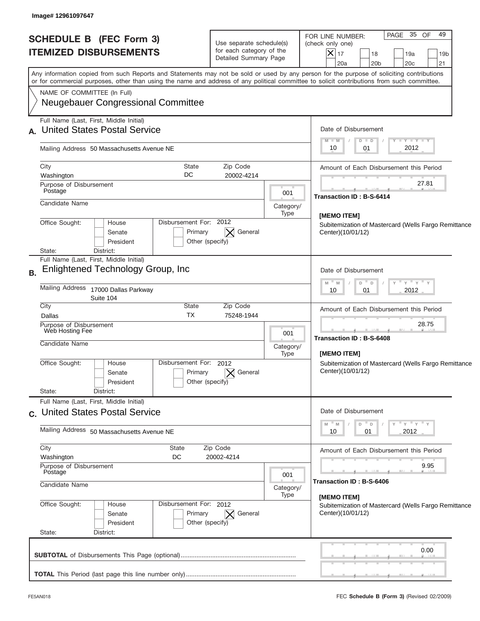| <b>SCHEDULE B (FEC Form 3)</b><br><b>ITEMIZED DISBURSEMENTS</b>                                                                                                                                                                                                                                                        | Use separate schedule(s)<br>for each category of the<br>Detailed Summary Page |                          | PAGE 35 OF<br>49<br>FOR LINE NUMBER:<br>(check only one)<br>$ \boldsymbol{\times} $<br>17<br>18<br>19a<br>19 <sub>b</sub><br>20 <sub>b</sub><br>20c<br>21<br>20a |  |
|------------------------------------------------------------------------------------------------------------------------------------------------------------------------------------------------------------------------------------------------------------------------------------------------------------------------|-------------------------------------------------------------------------------|--------------------------|------------------------------------------------------------------------------------------------------------------------------------------------------------------|--|
| Any information copied from such Reports and Statements may not be sold or used by any person for the purpose of soliciting contributions<br>or for commercial purposes, other than using the name and address of any political committee to solicit contributions from such committee.<br>NAME OF COMMITTEE (In Full) |                                                                               |                          |                                                                                                                                                                  |  |
| <b>Neugebauer Congressional Committee</b>                                                                                                                                                                                                                                                                              |                                                                               |                          |                                                                                                                                                                  |  |
| Full Name (Last, First, Middle Initial)<br>A. United States Postal Service                                                                                                                                                                                                                                             |                                                                               |                          | Date of Disbursement<br>Y TY TY TY<br>$M - M$<br>$D$ $D$                                                                                                         |  |
| Mailing Address 50 Massachusetts Avenue NE                                                                                                                                                                                                                                                                             |                                                                               |                          | 2012<br>10<br>01                                                                                                                                                 |  |
| City<br><b>State</b><br>DC<br>Washington                                                                                                                                                                                                                                                                               | Zip Code<br>20002-4214                                                        |                          | Amount of Each Disbursement this Period                                                                                                                          |  |
| Purpose of Disbursement<br>Postage                                                                                                                                                                                                                                                                                     |                                                                               | 001                      | 27.81<br>Transaction ID: B-S-6414                                                                                                                                |  |
| Candidate Name                                                                                                                                                                                                                                                                                                         |                                                                               | Category/<br>Type        | [MEMO ITEM]                                                                                                                                                      |  |
| Disbursement For: 2012<br>Office Sought:<br>House<br>Primary<br>Senate<br>President<br>District:<br>State:                                                                                                                                                                                                             | General<br>Other (specify)                                                    |                          | Subitemization of Mastercard (Wells Fargo Remittance<br>Center)(10/01/12)                                                                                        |  |
| Full Name (Last, First, Middle Initial)<br><b>Enlightened Technology Group, Inc.</b>                                                                                                                                                                                                                                   |                                                                               | Date of Disbursement     |                                                                                                                                                                  |  |
| Mailing Address<br>17000 Dallas Parkway<br>Suite 104                                                                                                                                                                                                                                                                   |                                                                               |                          | $-\gamma + \gamma - \gamma$<br>$M - M$<br>$\mathsf D$<br>D<br>2012<br>10<br>01                                                                                   |  |
| City<br>State<br><b>TX</b><br>Dallas                                                                                                                                                                                                                                                                                   | Zip Code<br>75248-1944                                                        |                          | Amount of Each Disbursement this Period                                                                                                                          |  |
| Purpose of Disbursement<br>Web Hosting Fee<br>Candidate Name                                                                                                                                                                                                                                                           |                                                                               | 001<br>Category/<br>Type | 28.75<br><b>Transaction ID: B-S-6408</b><br>[MEMO ITEM]                                                                                                          |  |
| Disbursement For:<br>Office Sought:<br>House<br>Primary<br>Senate<br>President                                                                                                                                                                                                                                         | 2012<br>General<br>Other (specify)                                            |                          | Subitemization of Mastercard (Wells Fargo Remittance<br>Center)(10/01/12)                                                                                        |  |
| State:<br>District:<br>Full Name (Last, First, Middle Initial)                                                                                                                                                                                                                                                         |                                                                               |                          |                                                                                                                                                                  |  |
| c. United States Postal Service                                                                                                                                                                                                                                                                                        |                                                                               |                          | Date of Disbursement<br>≡ γ ≡ γ ≡ γ<br>M<br>D<br>M<br>D                                                                                                          |  |
| Mailing Address 50 Massachusetts Avenue NE                                                                                                                                                                                                                                                                             |                                                                               |                          | 2012<br>10<br>01                                                                                                                                                 |  |
| City<br>State<br>Washington<br>DC                                                                                                                                                                                                                                                                                      | Zip Code<br>20002-4214                                                        |                          | Amount of Each Disbursement this Period<br>9.95                                                                                                                  |  |
| Purpose of Disbursement<br>Postage<br>Candidate Name                                                                                                                                                                                                                                                                   |                                                                               | 001<br>Category/         | Transaction ID: B-S-6406                                                                                                                                         |  |
| Office Sought:<br>Disbursement For: 2012<br>House<br>Primary<br>Senate<br>President<br>State:<br>District:                                                                                                                                                                                                             | $\vert \times \vert$ General<br>Other (specify)                               | Type                     | [MEMO ITEM]<br>Subitemization of Mastercard (Wells Fargo Remittance<br>Center)(10/01/12)                                                                         |  |
|                                                                                                                                                                                                                                                                                                                        |                                                                               |                          | 0.00                                                                                                                                                             |  |
|                                                                                                                                                                                                                                                                                                                        |                                                                               |                          |                                                                                                                                                                  |  |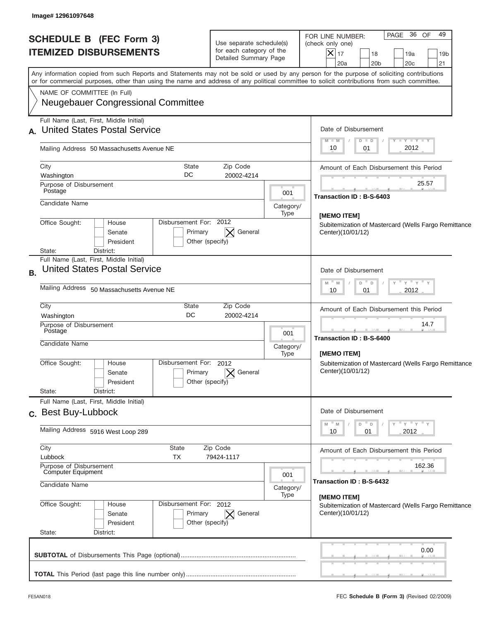| <b>SCHEDULE B (FEC Form 3)</b><br><b>ITEMIZED DISBURSEMENTS</b>                | Use separate schedule(s)<br>for each category of the<br>Detailed Summary Page        |                      | PAGE 36<br>49<br>OF<br>FOR LINE NUMBER:<br>(check only one)<br>$ \boldsymbol{\times} $<br>17<br>18<br>19a<br>19 <sub>b</sub><br>20a<br>20 <sub>b</sub><br>20 <sub>c</sub><br>21                                                                                                         |
|--------------------------------------------------------------------------------|--------------------------------------------------------------------------------------|----------------------|-----------------------------------------------------------------------------------------------------------------------------------------------------------------------------------------------------------------------------------------------------------------------------------------|
| NAME OF COMMITTEE (In Full)                                                    |                                                                                      |                      | Any information copied from such Reports and Statements may not be sold or used by any person for the purpose of soliciting contributions<br>or for commercial purposes, other than using the name and address of any political committee to solicit contributions from such committee. |
| <b>Neugebauer Congressional Committee</b>                                      |                                                                                      |                      |                                                                                                                                                                                                                                                                                         |
| Full Name (Last, First, Middle Initial)<br>A. United States Postal Service     |                                                                                      |                      | Date of Disbursement<br>Y TY TY TY<br>$M - M$<br>$D$ $D$                                                                                                                                                                                                                                |
|                                                                                | Mailing Address 50 Massachusetts Avenue NE                                           |                      |                                                                                                                                                                                                                                                                                         |
| City<br>Washington                                                             | <b>State</b><br>Zip Code<br>DC<br>20002-4214                                         |                      | Amount of Each Disbursement this Period                                                                                                                                                                                                                                                 |
| Purpose of Disbursement<br>Postage                                             |                                                                                      | 001                  | 25.57<br>Transaction ID: B-S-6403                                                                                                                                                                                                                                                       |
| Candidate Name                                                                 |                                                                                      | Category/<br>Type    | [MEMO ITEM]                                                                                                                                                                                                                                                                             |
| Office Sought:<br>House<br>Senate<br>President<br>District:<br>State:          | Disbursement For: 2012<br>$\mathsf{X}$ General<br>Primary<br>Other (specify)         |                      | Subitemization of Mastercard (Wells Fargo Remittance<br>Center)(10/01/12)                                                                                                                                                                                                               |
| Full Name (Last, First, Middle Initial)<br><b>United States Postal Service</b> |                                                                                      | Date of Disbursement |                                                                                                                                                                                                                                                                                         |
| Mailing Address 50 Massachusetts Avenue NE                                     |                                                                                      |                      | $-\gamma + \gamma - \gamma$<br>$M - M$<br>D<br>$\mathbb D$<br>2012<br>10<br>01                                                                                                                                                                                                          |
| City<br>Washington                                                             | State<br>Zip Code<br>DC<br>20002-4214                                                |                      | Amount of Each Disbursement this Period                                                                                                                                                                                                                                                 |
| Purpose of Disbursement<br>Postage<br>Candidate Name                           |                                                                                      | 001<br>Category/     | 14.7<br>Transaction ID: B-S-6400                                                                                                                                                                                                                                                        |
| Office Sought:<br>House<br>Senate<br>President<br>State:<br>District:          | Disbursement For:<br>2012<br>General<br>Primary<br>Other (specify)                   | Type                 | [MEMO ITEM]<br>Subitemization of Mastercard (Wells Fargo Remittance<br>Center)(10/01/12)                                                                                                                                                                                                |
| Full Name (Last, First, Middle Initial)<br>c. Best Buy-Lubbock                 |                                                                                      |                      | Date of Disbursement                                                                                                                                                                                                                                                                    |
| Mailing Address 5916 West Loop 289                                             |                                                                                      |                      | ≡ γ ≡ γ ≡ γ<br>M<br>D<br>M<br>D<br>2012<br>10<br>01                                                                                                                                                                                                                                     |
| City<br>Lubbock                                                                | State<br>Zip Code<br>TX<br>79424-1117                                                |                      | Amount of Each Disbursement this Period                                                                                                                                                                                                                                                 |
| Purpose of Disbursement<br>Computer Equipment<br>Candidate Name                |                                                                                      | 001                  | 162.36<br>Transaction ID: B-S-6432                                                                                                                                                                                                                                                      |
|                                                                                |                                                                                      | Category/<br>Type    | [MEMO ITEM]                                                                                                                                                                                                                                                                             |
| Office Sought:<br>House<br>Senate<br>President<br>State:<br>District:          | Disbursement For: 2012<br>Primary<br>$\vert \times \vert$ General<br>Other (specify) |                      | Subitemization of Mastercard (Wells Fargo Remittance<br>Center)(10/01/12)                                                                                                                                                                                                               |
|                                                                                |                                                                                      |                      | 0.00                                                                                                                                                                                                                                                                                    |
|                                                                                |                                                                                      |                      |                                                                                                                                                                                                                                                                                         |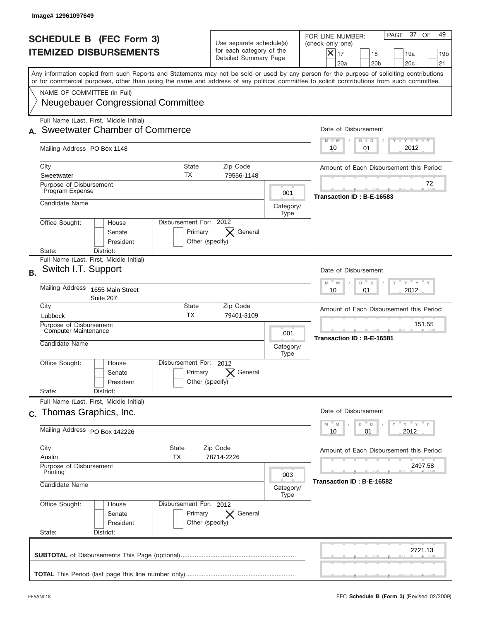| Image# 12961097649                                                                                                                                                                                                                                                                      |                                                                               |                   |                                                                                                                                                               |  |  |
|-----------------------------------------------------------------------------------------------------------------------------------------------------------------------------------------------------------------------------------------------------------------------------------------|-------------------------------------------------------------------------------|-------------------|---------------------------------------------------------------------------------------------------------------------------------------------------------------|--|--|
| <b>SCHEDULE B (FEC Form 3)</b><br><b>ITEMIZED DISBURSEMENTS</b>                                                                                                                                                                                                                         | Use separate schedule(s)<br>for each category of the<br>Detailed Summary Page |                   | PAGE 37 OF<br>49<br>FOR LINE NUMBER:<br>(check only one)<br>$\times$<br>17<br>18<br>19a<br>19 <sub>b</sub><br>20a<br>20 <sub>b</sub><br>20 <sub>c</sub><br>21 |  |  |
| Any information copied from such Reports and Statements may not be sold or used by any person for the purpose of soliciting contributions<br>or for commercial purposes, other than using the name and address of any political committee to solicit contributions from such committee. |                                                                               |                   |                                                                                                                                                               |  |  |
| NAME OF COMMITTEE (In Full)<br><b>Neugebauer Congressional Committee</b>                                                                                                                                                                                                                |                                                                               |                   |                                                                                                                                                               |  |  |
| Full Name (Last, First, Middle Initial)<br><b>Sweetwater Chamber of Commerce</b>                                                                                                                                                                                                        |                                                                               |                   | Date of Disbursement<br><b>TAYLY LY</b><br>$M - M$<br>$D$ $D$                                                                                                 |  |  |
| Mailing Address PO Box 1148                                                                                                                                                                                                                                                             |                                                                               |                   | 2012<br>10<br>01                                                                                                                                              |  |  |
| City<br><b>State</b><br>ТX<br>Sweetwater                                                                                                                                                                                                                                                | Zip Code<br>79556-1148                                                        |                   | Amount of Each Disbursement this Period                                                                                                                       |  |  |
| Purpose of Disbursement<br>Program Expense                                                                                                                                                                                                                                              |                                                                               | 001               | 72                                                                                                                                                            |  |  |
| Candidate Name                                                                                                                                                                                                                                                                          |                                                                               | Category/<br>Type | Transaction ID: B-E-16583                                                                                                                                     |  |  |
| Disbursement For: 2012<br>Office Sought:<br>House<br>Primary<br>Senate<br>President<br>Other (specify)                                                                                                                                                                                  | General                                                                       |                   |                                                                                                                                                               |  |  |
| District:<br>State:<br>Full Name (Last, First, Middle Initial)                                                                                                                                                                                                                          |                                                                               |                   |                                                                                                                                                               |  |  |
| Switch I.T. Support<br><b>B.</b>                                                                                                                                                                                                                                                        |                                                                               |                   | Date of Disbursement                                                                                                                                          |  |  |
| <b>Mailing Address</b><br>1655 Main Street<br>Suite 207                                                                                                                                                                                                                                 | $-\gamma + \gamma$<br>$M - M$<br>D<br>$\Box$<br>2012<br>10<br>01              |                   |                                                                                                                                                               |  |  |
| City<br>State<br><b>TX</b><br>Lubbock                                                                                                                                                                                                                                                   | Zip Code<br>79401-3109                                                        |                   | Amount of Each Disbursement this Period                                                                                                                       |  |  |
| Purpose of Disbursement<br>Computer Maintenance<br>Candidate Name                                                                                                                                                                                                                       |                                                                               | 001<br>Category/  | 151.55<br>Transaction ID: B-E-16581                                                                                                                           |  |  |
| Disbursement For: 2012<br>Office Sought:<br>House<br>Primary<br>Senate<br>Other (specify)<br>President<br>State:<br>District:                                                                                                                                                           | General                                                                       | Type              |                                                                                                                                                               |  |  |
| Full Name (Last, First, Middle Initial)<br>c. Thomas Graphics, Inc.                                                                                                                                                                                                                     |                                                                               |                   | Date of Disbursement<br>$Y$ $Y$ $Y$ $Y$ $Y$                                                                                                                   |  |  |
| Mailing Address PO Box 142226                                                                                                                                                                                                                                                           |                                                                               |                   |                                                                                                                                                               |  |  |
| City<br>State<br><b>TX</b><br>Austin                                                                                                                                                                                                                                                    | Zip Code<br>78714-2226                                                        |                   |                                                                                                                                                               |  |  |
| Purpose of Disbursement<br>Printing                                                                                                                                                                                                                                                     | 003                                                                           | 2497.58           |                                                                                                                                                               |  |  |
| Candidate Name<br>Category/                                                                                                                                                                                                                                                             |                                                                               |                   | Transaction ID: B-E-16582                                                                                                                                     |  |  |
| Office Sought:<br>Disbursement For: 2012<br>House<br>Primary<br>Senate<br>President<br>Other (specify)<br>State:<br>District:                                                                                                                                                           | $\bm{\times}$<br>General                                                      | Type              |                                                                                                                                                               |  |  |
|                                                                                                                                                                                                                                                                                         |                                                                               |                   | 2721.13                                                                                                                                                       |  |  |
|                                                                                                                                                                                                                                                                                         |                                                                               |                   |                                                                                                                                                               |  |  |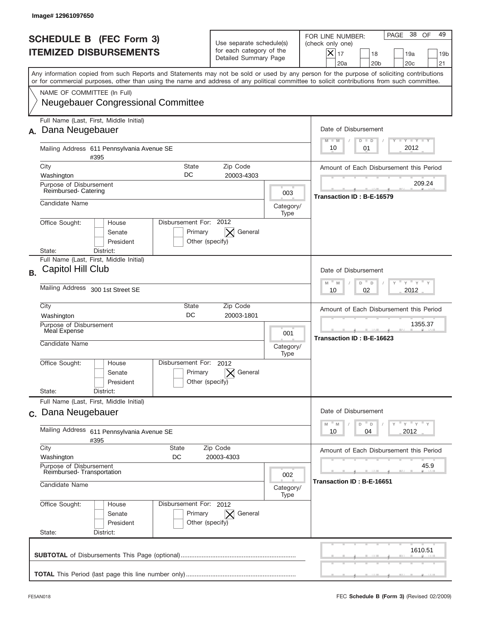|           | Image#12961097650                                                                                                                                                                                                                                                                       |                                                                               |                                                                                                                |                                                                                                                                                             |
|-----------|-----------------------------------------------------------------------------------------------------------------------------------------------------------------------------------------------------------------------------------------------------------------------------------------|-------------------------------------------------------------------------------|----------------------------------------------------------------------------------------------------------------|-------------------------------------------------------------------------------------------------------------------------------------------------------------|
|           | <b>SCHEDULE B</b> (FEC Form 3)<br><b>ITEMIZED DISBURSEMENTS</b>                                                                                                                                                                                                                         | Use separate schedule(s)<br>for each category of the<br>Detailed Summary Page |                                                                                                                | PAGE 38<br>49<br>OF<br>FOR LINE NUMBER:<br>(check only one)<br>$X _{17}$<br>18<br>19a<br>19 <sub>b</sub><br>20a<br>20 <sub>b</sub><br>20 <sub>c</sub><br>21 |
|           | Any information copied from such Reports and Statements may not be sold or used by any person for the purpose of soliciting contributions<br>or for commercial purposes, other than using the name and address of any political committee to solicit contributions from such committee. |                                                                               |                                                                                                                |                                                                                                                                                             |
|           | NAME OF COMMITTEE (In Full)<br><b>Neugebauer Congressional Committee</b>                                                                                                                                                                                                                |                                                                               |                                                                                                                |                                                                                                                                                             |
| А.        | Full Name (Last, First, Middle Initial)<br>Dana Neugebauer                                                                                                                                                                                                                              |                                                                               |                                                                                                                | Date of Disbursement<br>$T - Y$ $T - Y$<br>$M - M$<br>$D$ $D$                                                                                               |
|           | Mailing Address 611 Pennsylvania Avenue SE<br>#395                                                                                                                                                                                                                                      |                                                                               | 2012<br>01<br>10                                                                                               |                                                                                                                                                             |
|           | City<br><b>State</b><br>DC<br>Washington                                                                                                                                                                                                                                                | Zip Code<br>20003-4303                                                        |                                                                                                                | Amount of Each Disbursement this Period                                                                                                                     |
|           | Purpose of Disbursement<br>Reimbursed- Catering                                                                                                                                                                                                                                         |                                                                               | 003                                                                                                            | 209.24                                                                                                                                                      |
|           | Candidate Name                                                                                                                                                                                                                                                                          |                                                                               | Category/                                                                                                      | Transaction ID: B-E-16579                                                                                                                                   |
|           | Disbursement For: 2012<br>Office Sought:<br>House<br>Primary<br>Senate<br>President                                                                                                                                                                                                     | General<br>$\times$<br>Other (specify)                                        | Type                                                                                                           |                                                                                                                                                             |
|           | District:<br>State:<br>Full Name (Last, First, Middle Initial)                                                                                                                                                                                                                          |                                                                               |                                                                                                                |                                                                                                                                                             |
| <b>B.</b> | Capitol Hill Club                                                                                                                                                                                                                                                                       | Date of Disbursement<br>$-$ M<br>$Y = Y$<br>D<br>M<br>D                       |                                                                                                                |                                                                                                                                                             |
|           | Mailing Address 300 1st Street SE                                                                                                                                                                                                                                                       | 2012<br>10<br>02                                                              |                                                                                                                |                                                                                                                                                             |
|           | City<br>State<br>DC<br>Washington                                                                                                                                                                                                                                                       | Zip Code<br>20003-1801                                                        |                                                                                                                | Amount of Each Disbursement this Period                                                                                                                     |
|           | Purpose of Disbursement<br>Meal Expense<br>Candidate Name                                                                                                                                                                                                                               |                                                                               |                                                                                                                | 1355.37<br>Transaction ID: B-E-16623                                                                                                                        |
|           | Disbursement For:<br>Office Sought:<br>House<br>Primary<br>Senate<br>President<br>State:<br>District:                                                                                                                                                                                   | 2012<br>General<br>Other (specify)                                            | Category/<br>Type                                                                                              |                                                                                                                                                             |
|           | Full Name (Last, First, Middle Initial)<br>c. Dana Neugebauer                                                                                                                                                                                                                           |                                                                               |                                                                                                                | Date of Disbursement                                                                                                                                        |
|           | Mailing Address 611 Pennsylvania Avenue SE<br>#395                                                                                                                                                                                                                                      |                                                                               | $=\frac{1}{\gamma}+\frac{1}{\gamma}+\frac{1}{\gamma}+\frac{1}{\gamma}$<br>M<br>D<br>M<br>D<br>2012<br>10<br>04 |                                                                                                                                                             |
|           | City<br>State<br>Washington<br>DC                                                                                                                                                                                                                                                       | Amount of Each Disbursement this Period                                       |                                                                                                                |                                                                                                                                                             |
|           | Purpose of Disbursement<br>Reimbursed-Transportation                                                                                                                                                                                                                                    | 002                                                                           | 45.9                                                                                                           |                                                                                                                                                             |
|           | Candidate Name                                                                                                                                                                                                                                                                          |                                                                               |                                                                                                                | Transaction ID: B-E-16651                                                                                                                                   |
|           | Office Sought:<br>Disbursement For: 2012<br>House<br>Senate<br>Primary<br>President<br>State:<br>District:                                                                                                                                                                              | General<br>$\times$<br>Other (specify)                                        | Type                                                                                                           |                                                                                                                                                             |
|           |                                                                                                                                                                                                                                                                                         |                                                                               |                                                                                                                | 1610.51                                                                                                                                                     |
|           |                                                                                                                                                                                                                                                                                         |                                                                               |                                                                                                                |                                                                                                                                                             |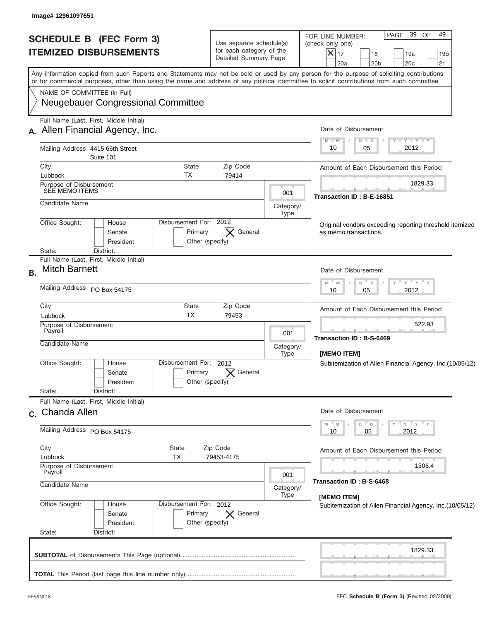| Any information copied from such Reports and Statements may not be sold or used by any person for the purpose of soliciting contributions<br>or for commercial purposes, other than using the name and address of any political committee to solicit contributions from such committee.<br>NAME OF COMMITTEE (In Full)<br><b>Neugebauer Congressional Committee</b><br>Full Name (Last, First, Middle Initial)<br>A. Allen Financial Agency, Inc.<br>Mailing Address 4415 66th Street<br>Suite 101<br>City<br>State<br>TX<br>Lubbock | Zip Code<br>79414                     |                                                           | Date of Disbursement<br><b>LYLYLY</b><br>$M - M$<br>$D$ $D$<br>2012<br>05<br>10<br>Amount of Each Disbursement this Period |  |  |  |
|--------------------------------------------------------------------------------------------------------------------------------------------------------------------------------------------------------------------------------------------------------------------------------------------------------------------------------------------------------------------------------------------------------------------------------------------------------------------------------------------------------------------------------------|---------------------------------------|-----------------------------------------------------------|----------------------------------------------------------------------------------------------------------------------------|--|--|--|
|                                                                                                                                                                                                                                                                                                                                                                                                                                                                                                                                      |                                       |                                                           |                                                                                                                            |  |  |  |
|                                                                                                                                                                                                                                                                                                                                                                                                                                                                                                                                      |                                       |                                                           |                                                                                                                            |  |  |  |
|                                                                                                                                                                                                                                                                                                                                                                                                                                                                                                                                      |                                       |                                                           |                                                                                                                            |  |  |  |
|                                                                                                                                                                                                                                                                                                                                                                                                                                                                                                                                      |                                       |                                                           |                                                                                                                            |  |  |  |
|                                                                                                                                                                                                                                                                                                                                                                                                                                                                                                                                      |                                       |                                                           |                                                                                                                            |  |  |  |
|                                                                                                                                                                                                                                                                                                                                                                                                                                                                                                                                      |                                       |                                                           | 1829.33                                                                                                                    |  |  |  |
| Purpose of Disbursement<br>SEE MEMO ITEMS                                                                                                                                                                                                                                                                                                                                                                                                                                                                                            |                                       | 001                                                       |                                                                                                                            |  |  |  |
| Candidate Name                                                                                                                                                                                                                                                                                                                                                                                                                                                                                                                       | Category/<br>Type                     | Transaction ID: B-E-16851                                 |                                                                                                                            |  |  |  |
| Disbursement For: 2012<br>Office Sought:<br>House<br>Original vendors exceeding reporting threshold itemized<br>General<br>Primary<br>as memo transactions.<br>Senate<br>President<br>Other (specify)                                                                                                                                                                                                                                                                                                                                |                                       |                                                           |                                                                                                                            |  |  |  |
| District:<br>State:<br>Full Name (Last, First, Middle Initial)                                                                                                                                                                                                                                                                                                                                                                                                                                                                       |                                       |                                                           |                                                                                                                            |  |  |  |
| <b>Mitch Barnett</b>                                                                                                                                                                                                                                                                                                                                                                                                                                                                                                                 |                                       |                                                           | Date of Disbursement                                                                                                       |  |  |  |
| Mailing Address PO Box 54175                                                                                                                                                                                                                                                                                                                                                                                                                                                                                                         |                                       | " γ " γ " γ<br>$M - M$<br>D<br>$\Box$<br>2012<br>10<br>05 |                                                                                                                            |  |  |  |
| City<br>State<br><b>TX</b><br>Lubbock                                                                                                                                                                                                                                                                                                                                                                                                                                                                                                | Zip Code<br>79453                     |                                                           | Amount of Each Disbursement this Period                                                                                    |  |  |  |
| Purpose of Disbursement                                                                                                                                                                                                                                                                                                                                                                                                                                                                                                              |                                       |                                                           | 522.93                                                                                                                     |  |  |  |
| Payroll                                                                                                                                                                                                                                                                                                                                                                                                                                                                                                                              |                                       | 001                                                       | Transaction ID: B-S-6469                                                                                                   |  |  |  |
| Candidate Name                                                                                                                                                                                                                                                                                                                                                                                                                                                                                                                       |                                       | Category/                                                 |                                                                                                                            |  |  |  |
| Disbursement For:<br>Office Sought:<br>House                                                                                                                                                                                                                                                                                                                                                                                                                                                                                         | 2012                                  | Type                                                      | [MEMO ITEM]<br>Subitemization of Allen Financial Agency, Inc.(10/05/12)                                                    |  |  |  |
| Primary<br>Senate<br>President<br>State:                                                                                                                                                                                                                                                                                                                                                                                                                                                                                             | General<br>Other (specify)            |                                                           |                                                                                                                            |  |  |  |
| District:<br>Full Name (Last, First, Middle Initial)                                                                                                                                                                                                                                                                                                                                                                                                                                                                                 |                                       |                                                           |                                                                                                                            |  |  |  |
| c. Chanda Allen                                                                                                                                                                                                                                                                                                                                                                                                                                                                                                                      | Date of Disbursement                  |                                                           |                                                                                                                            |  |  |  |
| Mailing Address PO Box 54175                                                                                                                                                                                                                                                                                                                                                                                                                                                                                                         |                                       | " γ " γ " γ<br>D<br>Υ<br>2012<br>10<br>05                 |                                                                                                                            |  |  |  |
| City<br>State                                                                                                                                                                                                                                                                                                                                                                                                                                                                                                                        | Zip Code                              |                                                           | Amount of Each Disbursement this Period                                                                                    |  |  |  |
| Lubbock<br>TX                                                                                                                                                                                                                                                                                                                                                                                                                                                                                                                        | 79453-4175                            |                                                           |                                                                                                                            |  |  |  |
| Purpose of Disbursement<br>Payroll                                                                                                                                                                                                                                                                                                                                                                                                                                                                                                   |                                       | 001                                                       | 1306.4                                                                                                                     |  |  |  |
| Candidate Name                                                                                                                                                                                                                                                                                                                                                                                                                                                                                                                       | Category/<br>Type                     | Transaction ID: B-S-6468                                  |                                                                                                                            |  |  |  |
| Office Sought:<br>Disbursement For: 2012<br>House<br>Primary<br>Senate<br>President                                                                                                                                                                                                                                                                                                                                                                                                                                                  | $ \times $ General<br>Other (specify) |                                                           | [MEMO ITEM]<br>Subitemization of Allen Financial Agency, Inc.(10/05/12)                                                    |  |  |  |
| State:<br>District:                                                                                                                                                                                                                                                                                                                                                                                                                                                                                                                  |                                       |                                                           |                                                                                                                            |  |  |  |
|                                                                                                                                                                                                                                                                                                                                                                                                                                                                                                                                      |                                       |                                                           | 1829.33                                                                                                                    |  |  |  |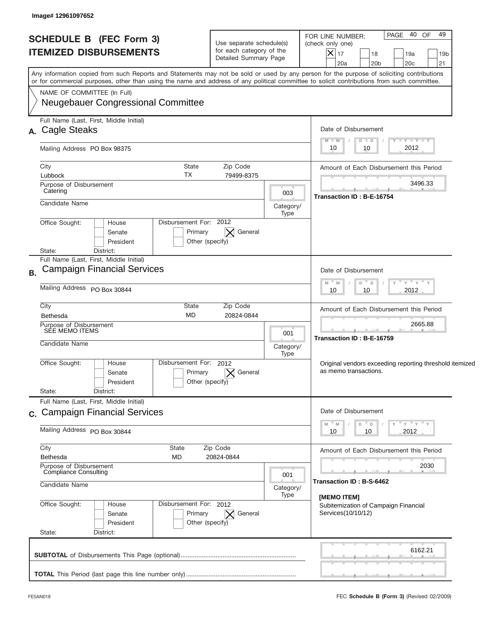| <b>SCHEDULE B (FEC Form 3)</b><br><b>ITEMIZED DISBURSEMENTS</b>                                                                                                                                                                                                                         | Use separate schedule(s)<br>for each category of the<br>Detailed Summary Page |                                                           | 40 OF<br>49<br>PAGE<br>FOR LINE NUMBER:<br>(check only one)<br>$X _{17}$<br>18<br>19a<br>19 <sub>b</sub><br>20a<br>20 <sub>b</sub><br>20 <sub>c</sub><br>21 |  |  |  |
|-----------------------------------------------------------------------------------------------------------------------------------------------------------------------------------------------------------------------------------------------------------------------------------------|-------------------------------------------------------------------------------|-----------------------------------------------------------|-------------------------------------------------------------------------------------------------------------------------------------------------------------|--|--|--|
| Any information copied from such Reports and Statements may not be sold or used by any person for the purpose of soliciting contributions<br>or for commercial purposes, other than using the name and address of any political committee to solicit contributions from such committee. |                                                                               |                                                           |                                                                                                                                                             |  |  |  |
| NAME OF COMMITTEE (In Full)<br><b>Neugebauer Congressional Committee</b>                                                                                                                                                                                                                |                                                                               |                                                           |                                                                                                                                                             |  |  |  |
| Full Name (Last, First, Middle Initial)<br>A. Cagle Steaks                                                                                                                                                                                                                              |                                                                               |                                                           |                                                                                                                                                             |  |  |  |
| Mailing Address PO Box 98375                                                                                                                                                                                                                                                            |                                                                               | $T - Y = T - Y$<br>$M - M$<br>$D$ $D$<br>2012<br>10<br>10 |                                                                                                                                                             |  |  |  |
| City<br><b>State</b><br>TX<br>Lubbock                                                                                                                                                                                                                                                   | Zip Code<br>79499-8375                                                        |                                                           | Amount of Each Disbursement this Period                                                                                                                     |  |  |  |
| Purpose of Disbursement<br>Catering                                                                                                                                                                                                                                                     | 003                                                                           | 3496.33<br>Transaction ID: B-E-16754                      |                                                                                                                                                             |  |  |  |
| Candidate Name                                                                                                                                                                                                                                                                          | Category/<br>Type                                                             |                                                           |                                                                                                                                                             |  |  |  |
| Disbursement For: 2012<br>Office Sought:<br>House<br>Primary<br>Senate<br>President<br>State:<br>District:                                                                                                                                                                              | General<br>Other (specify)                                                    |                                                           |                                                                                                                                                             |  |  |  |
| Full Name (Last, First, Middle Initial)<br><b>Campaign Financial Services</b>                                                                                                                                                                                                           |                                                                               |                                                           | Date of Disbursement                                                                                                                                        |  |  |  |
| Mailing Address PO Box 30844                                                                                                                                                                                                                                                            |                                                                               |                                                           | – ү – ү – ү<br>$-M$<br>M<br>D<br>$\Box$<br>2012<br>10<br>10                                                                                                 |  |  |  |
| City<br><b>State</b><br><b>MD</b><br><b>Bethesda</b>                                                                                                                                                                                                                                    | Zip Code<br>20824-0844                                                        |                                                           | Amount of Each Disbursement this Period                                                                                                                     |  |  |  |
| Purpose of Disbursement<br>SÉE MEMO ITEMS<br>Candidate Name                                                                                                                                                                                                                             |                                                                               | 001<br>Category/                                          | 2665.88<br>Transaction ID: B-E-16759                                                                                                                        |  |  |  |
| Disbursement For: 2012<br>Office Sought:<br>House<br>Primary<br>Senate<br>President<br>State:<br>District:                                                                                                                                                                              | General<br>Other (specify)                                                    | Type                                                      | Original vendors exceeding reporting threshold itemized<br>as memo transactions.                                                                            |  |  |  |
| Full Name (Last, First, Middle Initial)<br>c. Campaign Financial Services                                                                                                                                                                                                               |                                                                               |                                                           |                                                                                                                                                             |  |  |  |
| Mailing Address PO Box 30844                                                                                                                                                                                                                                                            |                                                                               | ≡ γ ≡ γ ≡ γ<br>D<br>D<br>Y<br>2012<br>10<br>10            |                                                                                                                                                             |  |  |  |
| City<br>State<br><b>Bethesda</b><br><b>MD</b>                                                                                                                                                                                                                                           | Zip Code<br>20824-0844                                                        |                                                           | Amount of Each Disbursement this Period                                                                                                                     |  |  |  |
| Purpose of Disbursement<br>Compliance Consulting<br>Candidate Name                                                                                                                                                                                                                      |                                                                               | 001<br>Category/                                          | 2030<br>Transaction ID: B-S-6462                                                                                                                            |  |  |  |
| Office Sought:<br>Disbursement For: 2012<br>House<br>Primary<br>Senate<br>President<br>State:<br>District:                                                                                                                                                                              | $\bm{\times}$<br>General<br>Other (specify)                                   | Type                                                      | [MEMO ITEM]<br>Subitemization of Campaign Financial<br>Services(10/10/12)                                                                                   |  |  |  |
|                                                                                                                                                                                                                                                                                         |                                                                               |                                                           | 6162.21                                                                                                                                                     |  |  |  |
|                                                                                                                                                                                                                                                                                         |                                                                               |                                                           |                                                                                                                                                             |  |  |  |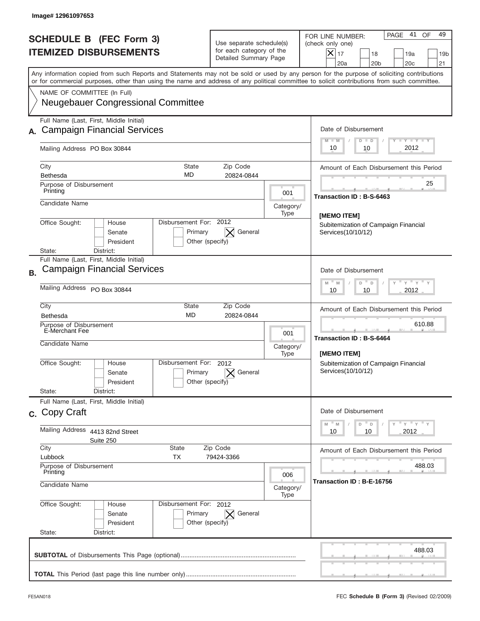|           | Image# 12961097653                                                       |                                                                |                                                                               |                   |                                                                                                                                                                                                                                                                                         |
|-----------|--------------------------------------------------------------------------|----------------------------------------------------------------|-------------------------------------------------------------------------------|-------------------|-----------------------------------------------------------------------------------------------------------------------------------------------------------------------------------------------------------------------------------------------------------------------------------------|
|           | <b>SCHEDULE B (FEC Form 3)</b><br><b>ITEMIZED DISBURSEMENTS</b>          |                                                                | Use separate schedule(s)<br>for each category of the<br>Detailed Summary Page |                   | 41<br>49<br>PAGE<br>OF<br>FOR LINE NUMBER:<br>(check only one)<br>$X _{17}$<br>18<br>19a<br>19 <sub>b</sub><br>20a<br>20 <sub>b</sub><br>20 <sub>c</sub><br>21                                                                                                                          |
|           |                                                                          |                                                                |                                                                               |                   | Any information copied from such Reports and Statements may not be sold or used by any person for the purpose of soliciting contributions<br>or for commercial purposes, other than using the name and address of any political committee to solicit contributions from such committee. |
|           | NAME OF COMMITTEE (In Full)<br><b>Neugebauer Congressional Committee</b> |                                                                |                                                                               |                   |                                                                                                                                                                                                                                                                                         |
|           | Full Name (Last, First, Middle Initial)                                  |                                                                |                                                                               |                   |                                                                                                                                                                                                                                                                                         |
|           | <b>Campaign Financial Services</b>                                       |                                                                |                                                                               |                   | Date of Disbursement<br>Y TY TY TY<br>$M - M$<br>$D$ $D$                                                                                                                                                                                                                                |
|           | Mailing Address PO Box 30844                                             | 2012<br>10<br>10                                               |                                                                               |                   |                                                                                                                                                                                                                                                                                         |
|           | City                                                                     | State<br>MD                                                    | Zip Code                                                                      |                   | Amount of Each Disbursement this Period                                                                                                                                                                                                                                                 |
|           | Bethesda<br>Purpose of Disbursement                                      |                                                                | 20824-0844                                                                    |                   | 25                                                                                                                                                                                                                                                                                      |
|           | Printing                                                                 |                                                                |                                                                               | 001               | Transaction ID: B-S-6463                                                                                                                                                                                                                                                                |
|           | Candidate Name                                                           |                                                                |                                                                               | Category/<br>Type |                                                                                                                                                                                                                                                                                         |
|           | Office Sought:<br>House<br>Senate<br>President                           | Disbursement For: 2012<br>Primary<br>Other (specify)           | General<br>$\times$                                                           |                   | [MEMO ITEM]<br>Subitemization of Campaign Financial<br>Services(10/10/12)                                                                                                                                                                                                               |
|           | District:<br>State:<br>Full Name (Last, First, Middle Initial)           |                                                                |                                                                               |                   |                                                                                                                                                                                                                                                                                         |
| <b>B.</b> | <b>Campaign Financial Services</b>                                       |                                                                |                                                                               |                   | Date of Disbursement                                                                                                                                                                                                                                                                    |
|           | Mailing Address PO Box 30844                                             | $Y$ $Y$ $Y$ $Y$ $Y$<br>$-M$<br>M<br>D<br>D<br>2012<br>10<br>10 |                                                                               |                   |                                                                                                                                                                                                                                                                                         |
|           | City<br>Bethesda                                                         | State<br><b>MD</b>                                             | Zip Code<br>20824-0844                                                        |                   | Amount of Each Disbursement this Period                                                                                                                                                                                                                                                 |
|           | Purpose of Disbursement<br>E-Merchant Fee<br>001                         |                                                                |                                                                               |                   | 610.88<br>Transaction ID: B-S-6464                                                                                                                                                                                                                                                      |
|           | Candidate Name                                                           |                                                                |                                                                               | Category/<br>Type | [MEMO ITEM]                                                                                                                                                                                                                                                                             |
|           | Office Sought:<br>House<br>Senate<br>President                           | Disbursement For:<br>Primary<br>Other (specify)                | 2012<br>General                                                               |                   | Subitemization of Campaign Financial<br>Services(10/10/12)                                                                                                                                                                                                                              |
|           | State:<br>District:                                                      |                                                                |                                                                               |                   |                                                                                                                                                                                                                                                                                         |
|           | Full Name (Last, First, Middle Initial)<br>c. Copy Craft                 | Date of Disbursement                                           |                                                                               |                   |                                                                                                                                                                                                                                                                                         |
|           | Mailing Address<br>4413 82nd Street<br>Suite 250                         | $Y$ $Y$ $Y$ $Y$ $Y$<br>M<br>$D$ $D$<br>M<br>2012<br>10<br>10   |                                                                               |                   |                                                                                                                                                                                                                                                                                         |
|           | City                                                                     | State<br>ТX                                                    | Zip Code<br>79424-3366                                                        |                   | Amount of Each Disbursement this Period                                                                                                                                                                                                                                                 |
|           | Lubbock<br>Purpose of Disbursement<br>Printing                           | 488.03                                                         |                                                                               |                   |                                                                                                                                                                                                                                                                                         |
|           | 006<br>Candidate Name<br>Category/<br>Type                               |                                                                |                                                                               |                   | Transaction ID: B-E-16756                                                                                                                                                                                                                                                               |
|           | Office Sought:<br>House<br>Senate<br>President<br>State:<br>District:    | Disbursement For: 2012<br>Primary<br>Other (specify)           | $\vert \times \vert$ General                                                  |                   |                                                                                                                                                                                                                                                                                         |
|           |                                                                          |                                                                |                                                                               |                   | 488.03                                                                                                                                                                                                                                                                                  |
|           |                                                                          |                                                                |                                                                               |                   |                                                                                                                                                                                                                                                                                         |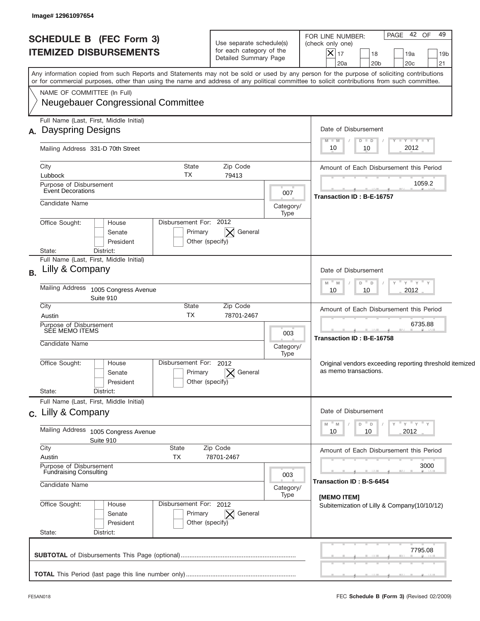| <b>SCHEDULE B (FEC Form 3)</b><br><b>ITEMIZED DISBURSEMENTS</b>                                                                                                                                                                                                                         | Use separate schedule(s)<br>for each category of the<br>Detailed Summary Page |                   | 42 OF<br>49<br>PAGE<br>FOR LINE NUMBER:<br>(check only one)<br>$ \mathsf{X} _{17}$<br>18<br>19a<br>19 <sub>b</sub><br>20a<br>20 <sub>b</sub><br>20c<br>21 |
|-----------------------------------------------------------------------------------------------------------------------------------------------------------------------------------------------------------------------------------------------------------------------------------------|-------------------------------------------------------------------------------|-------------------|-----------------------------------------------------------------------------------------------------------------------------------------------------------|
| Any information copied from such Reports and Statements may not be sold or used by any person for the purpose of soliciting contributions<br>or for commercial purposes, other than using the name and address of any political committee to solicit contributions from such committee. |                                                                               |                   |                                                                                                                                                           |
| NAME OF COMMITTEE (In Full)<br><b>Neugebauer Congressional Committee</b>                                                                                                                                                                                                                |                                                                               |                   |                                                                                                                                                           |
| Full Name (Last, First, Middle Initial)                                                                                                                                                                                                                                                 |                                                                               |                   |                                                                                                                                                           |
| A. Dayspring Designs                                                                                                                                                                                                                                                                    |                                                                               |                   | Date of Disbursement<br>$T - Y = T - Y$<br>$M - M$<br>$D$ $D$                                                                                             |
| Mailing Address 331-D 70th Street                                                                                                                                                                                                                                                       | 2012<br>10<br>10                                                              |                   |                                                                                                                                                           |
| City                                                                                                                                                                                                                                                                                    | State<br>Zip Code<br>79413                                                    |                   | Amount of Each Disbursement this Period                                                                                                                   |
| TX<br>Lubbock<br>Purpose of Disbursement                                                                                                                                                                                                                                                | 1059.2                                                                        |                   |                                                                                                                                                           |
| <b>Event Decorations</b>                                                                                                                                                                                                                                                                | Transaction ID: B-E-16757                                                     |                   |                                                                                                                                                           |
| Candidate Name                                                                                                                                                                                                                                                                          |                                                                               |                   |                                                                                                                                                           |
| Disbursement For: 2012<br>Office Sought:<br>House                                                                                                                                                                                                                                       | Type                                                                          |                   |                                                                                                                                                           |
| Senate                                                                                                                                                                                                                                                                                  | $\boldsymbol{\times}$<br>General<br>Primary                                   |                   |                                                                                                                                                           |
| President                                                                                                                                                                                                                                                                               | Other (specify)                                                               |                   |                                                                                                                                                           |
| State:<br>District:<br>Full Name (Last, First, Middle Initial)                                                                                                                                                                                                                          |                                                                               |                   |                                                                                                                                                           |
| Lilly & Company<br><b>B.</b>                                                                                                                                                                                                                                                            | Date of Disbursement                                                          |                   |                                                                                                                                                           |
| Mailing Address<br>1005 Congress Avenue                                                                                                                                                                                                                                                 | – ү – ү – ү<br>$- M$<br>M<br>D<br>$\Box$<br>2012<br>10<br>10                  |                   |                                                                                                                                                           |
| Suite 910                                                                                                                                                                                                                                                                               |                                                                               |                   |                                                                                                                                                           |
| City<br>Austin                                                                                                                                                                                                                                                                          | State<br>Zip Code<br><b>TX</b><br>78701-2467                                  |                   | Amount of Each Disbursement this Period                                                                                                                   |
| Purpose of Disbursement<br>SEE MEMO ITEMS                                                                                                                                                                                                                                               |                                                                               |                   | 6735.88                                                                                                                                                   |
|                                                                                                                                                                                                                                                                                         |                                                                               | 003               | Transaction ID: B-E-16758                                                                                                                                 |
| Candidate Name                                                                                                                                                                                                                                                                          |                                                                               | Category/         |                                                                                                                                                           |
| Office Sought:<br>House                                                                                                                                                                                                                                                                 | Disbursement For:<br>2012                                                     | Type              |                                                                                                                                                           |
| Senate                                                                                                                                                                                                                                                                                  | General<br>Primary                                                            |                   | Original vendors exceeding reporting threshold itemized<br>as memo transactions.                                                                          |
| President                                                                                                                                                                                                                                                                               | Other (specify)                                                               |                   |                                                                                                                                                           |
| State:<br>District:                                                                                                                                                                                                                                                                     |                                                                               |                   |                                                                                                                                                           |
| Full Name (Last, First, Middle Initial)<br>c. Lilly & Company                                                                                                                                                                                                                           |                                                                               |                   | Date of Disbursement                                                                                                                                      |
|                                                                                                                                                                                                                                                                                         |                                                                               |                   | ≡ γ ≡ γ ≡ γ<br>D<br>D<br>Y                                                                                                                                |
| Mailing Address 1005 Congress Avenue<br>Suite 910                                                                                                                                                                                                                                       |                                                                               | 2012<br>10<br>10  |                                                                                                                                                           |
| City<br>State                                                                                                                                                                                                                                                                           | Zip Code                                                                      |                   | Amount of Each Disbursement this Period                                                                                                                   |
| Austin<br>TX<br>Purpose of Disbursement                                                                                                                                                                                                                                                 | 78701-2467                                                                    |                   | 3000                                                                                                                                                      |
| <b>Fundraising Consulting</b>                                                                                                                                                                                                                                                           |                                                                               | 003               |                                                                                                                                                           |
| Candidate Name                                                                                                                                                                                                                                                                          |                                                                               | Category/<br>Type | Transaction ID: B-S-6454<br>[MEMO ITEM]                                                                                                                   |
| Office Sought:<br>House                                                                                                                                                                                                                                                                 | Disbursement For: 2012                                                        |                   | Subitemization of Lilly & Company(10/10/12)                                                                                                               |
| Senate                                                                                                                                                                                                                                                                                  | Primary<br>$ \times $ General                                                 |                   |                                                                                                                                                           |
| President<br>State:<br>District:                                                                                                                                                                                                                                                        | Other (specify)                                                               |                   |                                                                                                                                                           |
|                                                                                                                                                                                                                                                                                         |                                                                               |                   |                                                                                                                                                           |
|                                                                                                                                                                                                                                                                                         |                                                                               |                   | 7795.08                                                                                                                                                   |
|                                                                                                                                                                                                                                                                                         |                                                                               |                   |                                                                                                                                                           |
|                                                                                                                                                                                                                                                                                         |                                                                               |                   |                                                                                                                                                           |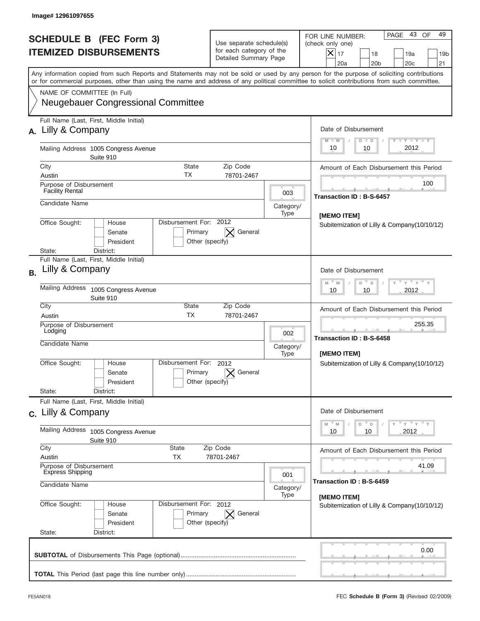|           | Image# 12961097655                                                                       |                                                                 |                                                      |                                                                               |                          |                                                                                                                                                                                                                                                                                         |
|-----------|------------------------------------------------------------------------------------------|-----------------------------------------------------------------|------------------------------------------------------|-------------------------------------------------------------------------------|--------------------------|-----------------------------------------------------------------------------------------------------------------------------------------------------------------------------------------------------------------------------------------------------------------------------------------|
|           |                                                                                          | <b>SCHEDULE B (FEC Form 3)</b><br><b>ITEMIZED DISBURSEMENTS</b> |                                                      | Use separate schedule(s)<br>for each category of the<br>Detailed Summary Page |                          | 43 OF<br>49<br>PAGE<br>FOR LINE NUMBER:<br>(check only one)<br>$\boldsymbol{\times}$<br>17<br>18<br>19a<br>19 <sub>b</sub><br>20a<br>20 <sub>b</sub><br>20 <sub>c</sub><br>21                                                                                                           |
|           |                                                                                          |                                                                 |                                                      |                                                                               |                          | Any information copied from such Reports and Statements may not be sold or used by any person for the purpose of soliciting contributions<br>or for commercial purposes, other than using the name and address of any political committee to solicit contributions from such committee. |
|           | NAME OF COMMITTEE (In Full)                                                              | Neugebauer Congressional Committee                              |                                                      |                                                                               |                          |                                                                                                                                                                                                                                                                                         |
|           | A. Lilly & Company                                                                       | Full Name (Last, First, Middle Initial)                         |                                                      |                                                                               |                          | Date of Disbursement<br>Y TY TY TY<br>$M - M$<br>$D$ $D$                                                                                                                                                                                                                                |
|           |                                                                                          | Mailing Address 1005 Congress Avenue<br>Suite 910               |                                                      |                                                                               |                          | 2012<br>10<br>10                                                                                                                                                                                                                                                                        |
|           | City<br>Austin                                                                           |                                                                 | <b>State</b><br>ТX                                   | Zip Code<br>78701-2467                                                        |                          | Amount of Each Disbursement this Period                                                                                                                                                                                                                                                 |
|           | Purpose of Disbursement<br><b>Facility Rental</b>                                        |                                                                 |                                                      |                                                                               | 003                      | 100<br><b>Transaction ID: B-S-6457</b>                                                                                                                                                                                                                                                  |
|           | Candidate Name                                                                           |                                                                 |                                                      |                                                                               | Category/<br>Type        |                                                                                                                                                                                                                                                                                         |
|           | Office Sought:<br>State:                                                                 | House<br>Senate<br>President<br>District:                       | Disbursement For: 2012<br>Primary<br>Other (specify) | General                                                                       |                          | [MEMO ITEM]<br>Subitemization of Lilly & Company (10/10/12)                                                                                                                                                                                                                             |
| <b>B.</b> | Lilly & Company                                                                          | Full Name (Last, First, Middle Initial)                         |                                                      |                                                                               |                          | Date of Disbursement                                                                                                                                                                                                                                                                    |
|           | <b>Mailing Address</b><br>1005 Congress Avenue<br>Suite 910                              |                                                                 |                                                      |                                                                               |                          | ү " ү " ү " ү<br>$M - M$<br>D<br>$\Box$<br>2012<br>10<br>10                                                                                                                                                                                                                             |
|           | City<br>Austin                                                                           |                                                                 | State<br><b>TX</b>                                   | Zip Code<br>78701-2467                                                        |                          | Amount of Each Disbursement this Period                                                                                                                                                                                                                                                 |
|           | Purpose of Disbursement<br>Lodging<br>Candidate Name                                     |                                                                 |                                                      |                                                                               | 002<br>Category/<br>Type | 255.35<br>Transaction ID: B-S-6458<br>[MEMO ITEM]                                                                                                                                                                                                                                       |
|           | Office Sought:<br>State:                                                                 | House<br>Senate<br>President<br>District:                       | Disbursement For:<br>Primary<br>Other (specify)      | 2012<br>General                                                               |                          | Subitemization of Lilly & Company(10/10/12)                                                                                                                                                                                                                                             |
|           |                                                                                          | Full Name (Last, First, Middle Initial)                         |                                                      |                                                                               |                          |                                                                                                                                                                                                                                                                                         |
|           | c. Lilly & Company                                                                       |                                                                 |                                                      |                                                                               |                          | Date of Disbursement<br>$Y$ $Y$ $Y$ $Y$ $Y$<br>$-M$<br>D<br>M<br>D                                                                                                                                                                                                                      |
|           | Mailing Address<br>1005 Congress Avenue<br>Suite 910                                     |                                                                 |                                                      |                                                                               |                          | 2012<br>10<br>10                                                                                                                                                                                                                                                                        |
|           | City<br>Austin                                                                           | State<br>ТX                                                     |                                                      | Zip Code<br>78701-2467                                                        |                          | Amount of Each Disbursement this Period                                                                                                                                                                                                                                                 |
|           | Purpose of Disbursement<br><b>Express Shipping</b><br>001<br>Candidate Name<br>Category/ |                                                                 |                                                      |                                                                               |                          | 41.09<br>Transaction ID: B-S-6459                                                                                                                                                                                                                                                       |
|           | Office Sought:<br>State:                                                                 | House<br>Senate<br>President<br>District:                       | Disbursement For: 2012<br>Primary<br>Other (specify) | $\mathsf{X}$ General                                                          | Type                     | [MEMO ITEM]<br>Subitemization of Lilly & Company(10/10/12)                                                                                                                                                                                                                              |
|           |                                                                                          |                                                                 |                                                      |                                                                               |                          | 0.00                                                                                                                                                                                                                                                                                    |
|           |                                                                                          |                                                                 |                                                      |                                                                               |                          |                                                                                                                                                                                                                                                                                         |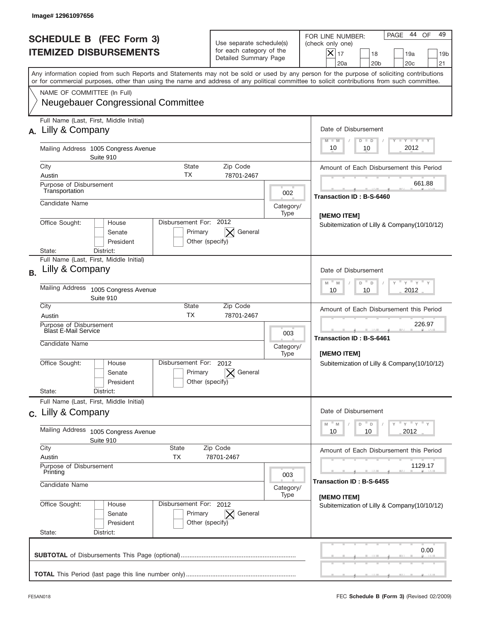|           | Image#12961097656                                                 |                                                                                |                                                                               |                          |                                                                                                                                                                                                                                                                                         |
|-----------|-------------------------------------------------------------------|--------------------------------------------------------------------------------|-------------------------------------------------------------------------------|--------------------------|-----------------------------------------------------------------------------------------------------------------------------------------------------------------------------------------------------------------------------------------------------------------------------------------|
|           |                                                                   | <b>SCHEDULE B (FEC Form 3)</b><br><b>ITEMIZED DISBURSEMENTS</b>                | Use separate schedule(s)<br>for each category of the<br>Detailed Summary Page |                          | 44 OF<br>49<br>PAGE<br>FOR LINE NUMBER:<br>(check only one)<br>$\boldsymbol{\times}$<br>17<br>18<br>19a<br>19 <sub>b</sub><br>20a<br>20 <sub>b</sub><br>20 <sub>c</sub><br>21                                                                                                           |
|           |                                                                   |                                                                                |                                                                               |                          | Any information copied from such Reports and Statements may not be sold or used by any person for the purpose of soliciting contributions<br>or for commercial purposes, other than using the name and address of any political committee to solicit contributions from such committee. |
|           | NAME OF COMMITTEE (In Full)                                       | <b>Neugebauer Congressional Committee</b>                                      |                                                                               |                          |                                                                                                                                                                                                                                                                                         |
| A.        | Lilly & Company                                                   | Full Name (Last, First, Middle Initial)                                        |                                                                               |                          | Date of Disbursement<br>Y TY TY TY<br>$M - M$<br>$D$ $D$                                                                                                                                                                                                                                |
|           |                                                                   | Mailing Address 1005 Congress Avenue<br>Suite 910                              |                                                                               |                          | 2012<br>10<br>10                                                                                                                                                                                                                                                                        |
|           | City<br>Austin                                                    | <b>State</b><br>ТX                                                             | Zip Code<br>78701-2467                                                        |                          | Amount of Each Disbursement this Period                                                                                                                                                                                                                                                 |
|           | Purpose of Disbursement<br>Transportation                         |                                                                                |                                                                               | 002                      | 661.88                                                                                                                                                                                                                                                                                  |
|           | Candidate Name                                                    |                                                                                |                                                                               | Category/<br>Type        | Transaction ID: B-S-6460                                                                                                                                                                                                                                                                |
|           | Office Sought:<br>State:                                          | Disbursement For: 2012<br>House<br>Primary<br>Senate<br>President<br>District: | General<br>Other (specify)                                                    |                          | [MEMO ITEM]<br>Subitemization of Lilly & Company (10/10/12)                                                                                                                                                                                                                             |
| <b>B.</b> | Lilly & Company<br><b>Mailing Address</b>                         | Full Name (Last, First, Middle Initial)                                        |                                                                               |                          | Date of Disbursement<br>$\cdots$ $\gamma$ $\cdots$ $\gamma$ $\cdots$ $\gamma$<br>$M - M$<br>D<br>$\Box$                                                                                                                                                                                 |
|           |                                                                   | 1005 Congress Avenue<br>Suite 910                                              | 2012<br>10<br>10                                                              |                          |                                                                                                                                                                                                                                                                                         |
|           | City<br>Austin                                                    | State<br><b>TX</b>                                                             | Zip Code<br>78701-2467                                                        |                          | Amount of Each Disbursement this Period                                                                                                                                                                                                                                                 |
|           | Purpose of Disbursement<br>Blast E-Mail Service<br>Candidate Name |                                                                                |                                                                               | 003<br>Category/<br>Type | 226.97<br>Transaction ID: B-S-6461<br>[MEMO ITEM]                                                                                                                                                                                                                                       |
|           | Office Sought:                                                    | Disbursement For:<br>House<br>Primary<br>Senate<br>President                   | 2012<br>General<br>Other (specify)                                            |                          | Subitemization of Lilly & Company(10/10/12)                                                                                                                                                                                                                                             |
|           | State:                                                            | District:<br>Full Name (Last, First, Middle Initial)                           |                                                                               |                          |                                                                                                                                                                                                                                                                                         |
|           | c. Lilly & Company                                                |                                                                                |                                                                               |                          | Date of Disbursement                                                                                                                                                                                                                                                                    |
|           |                                                                   | Mailing Address 1005 Congress Avenue<br>Suite 910                              | $Y$ $Y$ $Y$ $Y$ $Y$<br>$-M$<br>D<br>M<br>D<br>2012<br>10<br>10                |                          |                                                                                                                                                                                                                                                                                         |
|           | City<br>Austin                                                    | State<br>ТX                                                                    | Zip Code<br>78701-2467                                                        |                          | Amount of Each Disbursement this Period                                                                                                                                                                                                                                                 |
|           | Printing<br>Candidate Name                                        | Purpose of Disbursement                                                        |                                                                               | 003<br>Category/<br>Type | 1129.17<br>Transaction ID: B-S-6455                                                                                                                                                                                                                                                     |
|           | Office Sought:<br>State:                                          | Disbursement For: 2012<br>House<br>Senate<br>Primary<br>President<br>District: | $\mathsf{X}$ General<br>Other (specify)                                       |                          | [MEMO ITEM]<br>Subitemization of Lilly & Company(10/10/12)                                                                                                                                                                                                                              |
|           |                                                                   |                                                                                |                                                                               |                          | 0.00                                                                                                                                                                                                                                                                                    |
|           |                                                                   |                                                                                |                                                                               |                          |                                                                                                                                                                                                                                                                                         |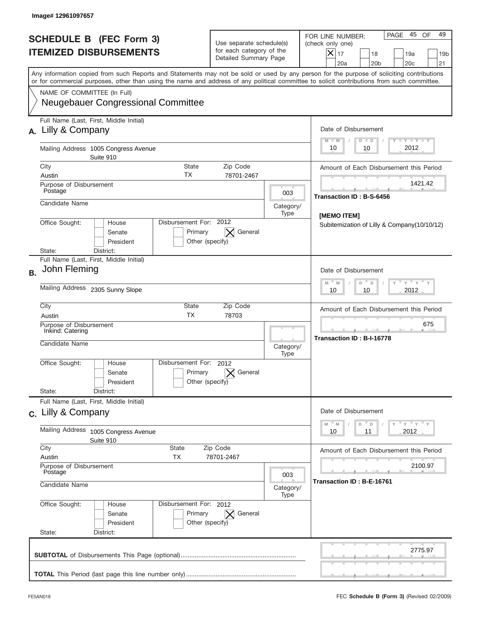|           | Image# 12961097657                                                                                                                       |                                                                 |                                                      |                                                                               |                                                                |                                                                                                                                                                                                                                                                                         |
|-----------|------------------------------------------------------------------------------------------------------------------------------------------|-----------------------------------------------------------------|------------------------------------------------------|-------------------------------------------------------------------------------|----------------------------------------------------------------|-----------------------------------------------------------------------------------------------------------------------------------------------------------------------------------------------------------------------------------------------------------------------------------------|
|           |                                                                                                                                          | <b>SCHEDULE B (FEC Form 3)</b><br><b>ITEMIZED DISBURSEMENTS</b> |                                                      | Use separate schedule(s)<br>for each category of the<br>Detailed Summary Page |                                                                | 45 OF<br>49<br>PAGE<br>FOR LINE NUMBER:<br>(check only one)<br>$X _{17}$<br>18<br>19a<br>19 <sub>b</sub><br>20a<br>20 <sub>b</sub><br>20 <sub>c</sub><br>21                                                                                                                             |
|           |                                                                                                                                          |                                                                 |                                                      |                                                                               |                                                                | Any information copied from such Reports and Statements may not be sold or used by any person for the purpose of soliciting contributions<br>or for commercial purposes, other than using the name and address of any political committee to solicit contributions from such committee. |
|           | NAME OF COMMITTEE (In Full)                                                                                                              | <b>Neugebauer Congressional Committee</b>                       |                                                      |                                                                               |                                                                |                                                                                                                                                                                                                                                                                         |
|           | A. Lilly & Company                                                                                                                       | Full Name (Last, First, Middle Initial)                         |                                                      |                                                                               |                                                                | Date of Disbursement<br>Y TY TY TY<br>$M - M$<br>$D$ $D$                                                                                                                                                                                                                                |
|           |                                                                                                                                          | Mailing Address 1005 Congress Avenue<br>Suite 910               | 2012<br>10<br>10                                     |                                                                               |                                                                |                                                                                                                                                                                                                                                                                         |
|           | City<br>Austin                                                                                                                           | ТX                                                              | <b>State</b>                                         | Zip Code<br>78701-2467                                                        |                                                                | Amount of Each Disbursement this Period                                                                                                                                                                                                                                                 |
|           | Purpose of Disbursement<br>Postage                                                                                                       |                                                                 |                                                      |                                                                               | 003                                                            | 1421.42                                                                                                                                                                                                                                                                                 |
|           | Candidate Name                                                                                                                           |                                                                 |                                                      |                                                                               | Category/<br>Type                                              | Transaction ID: B-S-6456                                                                                                                                                                                                                                                                |
|           | Disbursement For: 2012<br>Office Sought:<br>House<br>General<br>Senate<br>Primary<br>President<br>Other (specify)<br>District:<br>State: |                                                                 |                                                      |                                                                               |                                                                | [MEMO ITEM]<br>Subitemization of Lilly & Company(10/10/12)                                                                                                                                                                                                                              |
| <b>B.</b> | Full Name (Last, First, Middle Initial)<br>John Fleming                                                                                  |                                                                 |                                                      |                                                                               | Date of Disbursement<br>γ " γ " γ " γ<br>$M - M$<br>$D =$<br>D |                                                                                                                                                                                                                                                                                         |
|           | Mailing Address 2305 Sunny Slope                                                                                                         |                                                                 |                                                      |                                                                               |                                                                | 2012<br>10<br>10                                                                                                                                                                                                                                                                        |
|           | City<br>Austin                                                                                                                           |                                                                 | State<br><b>TX</b>                                   | Zip Code<br>78703                                                             |                                                                | Amount of Each Disbursement this Period                                                                                                                                                                                                                                                 |
|           | Purpose of Disbursement<br>Inkind: Catering<br>Candidate Name                                                                            |                                                                 |                                                      | Category/<br>Type                                                             | 675<br>Transaction ID: B-I-16778                               |                                                                                                                                                                                                                                                                                         |
|           | Office Sought:                                                                                                                           | Disbursement For:<br>House<br>Senate<br>President               | 2012<br>Primary<br>Other (specify)                   | General                                                                       |                                                                |                                                                                                                                                                                                                                                                                         |
|           | State:                                                                                                                                   | District:<br>Full Name (Last, First, Middle Initial)            |                                                      |                                                                               |                                                                |                                                                                                                                                                                                                                                                                         |
|           | c. Lilly & Company                                                                                                                       |                                                                 |                                                      |                                                                               |                                                                | Date of Disbursement<br>ү" ү" ү" ү<br>$-M$<br>D<br>$\mathsf D$<br>M                                                                                                                                                                                                                     |
|           | <b>Mailing Address</b><br>1005 Congress Avenue<br>Suite 910                                                                              |                                                                 |                                                      |                                                                               |                                                                | 2012<br>10<br>11                                                                                                                                                                                                                                                                        |
|           | City<br>Austin<br>Purpose of Disbursement                                                                                                | State<br>ТX                                                     | Amount of Each Disbursement this Period<br>2100.97   |                                                                               |                                                                |                                                                                                                                                                                                                                                                                         |
|           | Postage<br>003<br>Candidate Name<br>Category/<br>Type                                                                                    |                                                                 |                                                      |                                                                               |                                                                | Transaction ID: B-E-16761                                                                                                                                                                                                                                                               |
|           | Office Sought:<br>State:                                                                                                                 | House<br>Senate<br>President<br>District:                       | Disbursement For: 2012<br>Primary<br>Other (specify) | $\mathsf{X}$ General                                                          |                                                                |                                                                                                                                                                                                                                                                                         |
|           |                                                                                                                                          |                                                                 |                                                      |                                                                               |                                                                | 2775.97                                                                                                                                                                                                                                                                                 |
|           |                                                                                                                                          |                                                                 |                                                      |                                                                               |                                                                |                                                                                                                                                                                                                                                                                         |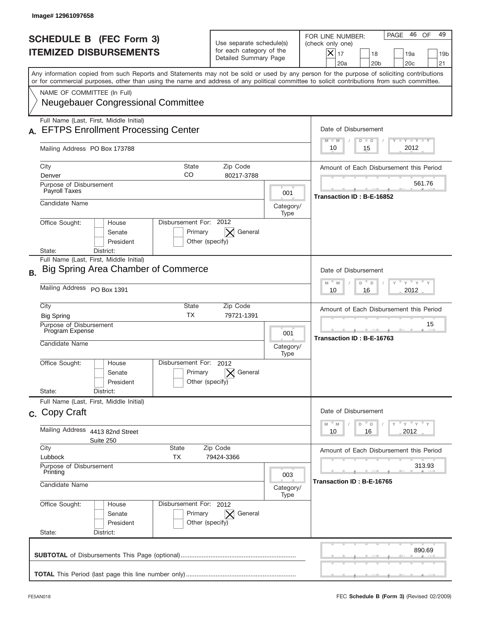|           | Image# 12961097658                                                                                                                                                                                                                                                                      |                                                                               |                          |                                                                                                                                                                                      |
|-----------|-----------------------------------------------------------------------------------------------------------------------------------------------------------------------------------------------------------------------------------------------------------------------------------------|-------------------------------------------------------------------------------|--------------------------|--------------------------------------------------------------------------------------------------------------------------------------------------------------------------------------|
|           | <b>SCHEDULE B (FEC Form 3)</b><br><b>ITEMIZED DISBURSEMENTS</b>                                                                                                                                                                                                                         | Use separate schedule(s)<br>for each category of the<br>Detailed Summary Page |                          | 46<br>49<br>PAGE<br>OF<br>FOR LINE NUMBER:<br>(check only one)<br>$\boldsymbol{\mathsf{X}}$<br>17<br>18<br>19a<br>19 <sub>b</sub><br>20a<br>20 <sub>b</sub><br>20 <sub>c</sub><br>21 |
|           | Any information copied from such Reports and Statements may not be sold or used by any person for the purpose of soliciting contributions<br>or for commercial purposes, other than using the name and address of any political committee to solicit contributions from such committee. |                                                                               |                          |                                                                                                                                                                                      |
|           | NAME OF COMMITTEE (In Full)<br><b>Neugebauer Congressional Committee</b>                                                                                                                                                                                                                |                                                                               |                          |                                                                                                                                                                                      |
|           | Full Name (Last, First, Middle Initial)<br><b>EFTPS Enrollment Processing Center</b>                                                                                                                                                                                                    |                                                                               |                          | Date of Disbursement<br><b>LYLYLY</b><br>$M - M$<br>$D$ $D$                                                                                                                          |
|           | Mailing Address PO Box 173788                                                                                                                                                                                                                                                           |                                                                               |                          | 2012<br>10<br>15                                                                                                                                                                     |
|           | City<br><b>State</b><br>CO<br>Denver                                                                                                                                                                                                                                                    | Zip Code<br>80217-3788                                                        |                          | Amount of Each Disbursement this Period                                                                                                                                              |
|           | Purpose of Disbursement<br>Payroll Taxes                                                                                                                                                                                                                                                |                                                                               | 001                      | 561.76                                                                                                                                                                               |
|           | Candidate Name                                                                                                                                                                                                                                                                          |                                                                               | Category/<br>Type        | Transaction ID: B-E-16852                                                                                                                                                            |
|           | Disbursement For: 2012<br>Office Sought:<br>House<br>Primary<br>Senate<br>President<br>Other (specify)<br>District:<br>State:                                                                                                                                                           | $\bm{\times}$<br>General                                                      |                          |                                                                                                                                                                                      |
| <b>B.</b> | Full Name (Last, First, Middle Initial)<br>Big Spring Area Chamber of Commerce                                                                                                                                                                                                          |                                                                               |                          | Date of Disbursement<br>$M - M$<br>≡ γ ≡ γ =<br>D<br>D                                                                                                                               |
|           | Mailing Address PO Box 1391                                                                                                                                                                                                                                                             | 2012<br>10<br>16                                                              |                          |                                                                                                                                                                                      |
|           | City<br><b>State</b><br><b>TX</b><br><b>Big Spring</b><br>Purpose of Disbursement                                                                                                                                                                                                       | Zip Code<br>79721-1391                                                        |                          | Amount of Each Disbursement this Period<br>15                                                                                                                                        |
|           | Program Expense<br>Candidate Name                                                                                                                                                                                                                                                       |                                                                               | 001<br>Category/<br>Type | Transaction ID: B-E-16763                                                                                                                                                            |
|           | Disbursement For: 2012<br>Office Sought:<br>House<br>Primary<br>Senate<br>Other (specify)<br>President                                                                                                                                                                                  | General                                                                       |                          |                                                                                                                                                                                      |
|           | State:<br>District:<br>Full Name (Last, First, Middle Initial)                                                                                                                                                                                                                          |                                                                               |                          |                                                                                                                                                                                      |
|           | c. Copy Craft                                                                                                                                                                                                                                                                           |                                                                               |                          | Date of Disbursement<br>ү" ү" ү" ү<br>$M$ $M$<br>D<br>D                                                                                                                              |
|           | Mailing Address<br>4413 82nd Street<br>Suite 250                                                                                                                                                                                                                                        | 2012<br>10<br>16                                                              |                          |                                                                                                                                                                                      |
|           | City<br><b>State</b><br>Zip Code<br>Lubbock<br>TX<br>79424-3366                                                                                                                                                                                                                         | Amount of Each Disbursement this Period                                       |                          |                                                                                                                                                                                      |
|           | Purpose of Disbursement<br>Printing<br>Candidate Name                                                                                                                                                                                                                                   |                                                                               | 003<br>Category/<br>Type | 313.93<br>Transaction ID: B-E-16765                                                                                                                                                  |
|           | Office Sought:<br>Disbursement For: 2012<br>House<br>Primary<br>Senate<br>President<br>Other (specify)<br>State:<br>District:                                                                                                                                                           | General<br>$\bm{\times}$                                                      |                          |                                                                                                                                                                                      |
|           |                                                                                                                                                                                                                                                                                         |                                                                               |                          | 890.69                                                                                                                                                                               |
|           |                                                                                                                                                                                                                                                                                         |                                                                               |                          |                                                                                                                                                                                      |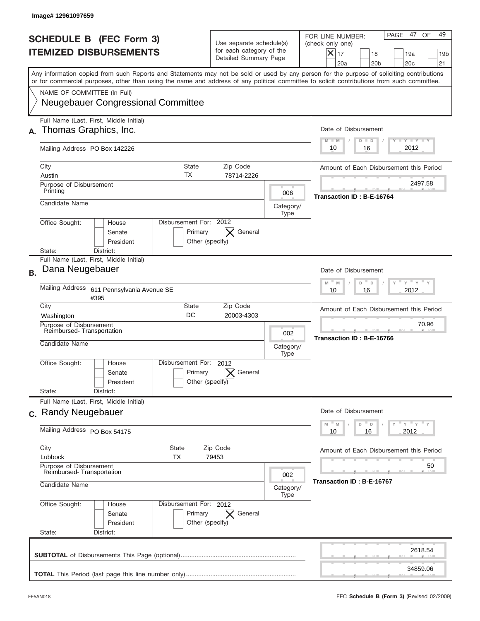|           | Image# 12961097659                                                                                                                                                                                                                                                                      |                                                                               |                                                             |                                                                                                                                                           |
|-----------|-----------------------------------------------------------------------------------------------------------------------------------------------------------------------------------------------------------------------------------------------------------------------------------------|-------------------------------------------------------------------------------|-------------------------------------------------------------|-----------------------------------------------------------------------------------------------------------------------------------------------------------|
|           | <b>SCHEDULE B (FEC Form 3)</b><br><b>ITEMIZED DISBURSEMENTS</b>                                                                                                                                                                                                                         | Use separate schedule(s)<br>for each category of the<br>Detailed Summary Page |                                                             | PAGE 47<br>49<br>OF<br>FOR LINE NUMBER:<br>(check only one)<br>X<br>17<br>18<br>19a<br>19 <sub>b</sub><br>20a<br>20 <sub>b</sub><br>20 <sub>c</sub><br>21 |
|           | Any information copied from such Reports and Statements may not be sold or used by any person for the purpose of soliciting contributions<br>or for commercial purposes, other than using the name and address of any political committee to solicit contributions from such committee. |                                                                               |                                                             |                                                                                                                                                           |
|           | NAME OF COMMITTEE (In Full)<br><b>Neugebauer Congressional Committee</b>                                                                                                                                                                                                                |                                                                               |                                                             |                                                                                                                                                           |
|           | Full Name (Last, First, Middle Initial)<br>Thomas Graphics, Inc.                                                                                                                                                                                                                        |                                                                               |                                                             | Date of Disbursement<br>$T - Y$ $T - Y$<br>$M - M$<br>$D$ $D$                                                                                             |
|           | Mailing Address PO Box 142226                                                                                                                                                                                                                                                           |                                                                               |                                                             | 2012<br>16<br>10                                                                                                                                          |
|           | City<br><b>State</b><br>ТX<br>Austin                                                                                                                                                                                                                                                    | Zip Code<br>78714-2226                                                        |                                                             | Amount of Each Disbursement this Period                                                                                                                   |
|           | Purpose of Disbursement<br>Printing                                                                                                                                                                                                                                                     |                                                                               | 006                                                         | 2497.58                                                                                                                                                   |
|           | Candidate Name                                                                                                                                                                                                                                                                          |                                                                               | Category/<br>Type                                           | Transaction ID: B-E-16764                                                                                                                                 |
|           | Disbursement For: 2012<br>Office Sought:<br>House<br>Primary<br>Senate<br>President<br>Other (specify)<br>District:<br>State:                                                                                                                                                           | $\bm{\times}$<br>General                                                      |                                                             |                                                                                                                                                           |
| <b>B.</b> | Full Name (Last, First, Middle Initial)<br>Dana Neugebauer                                                                                                                                                                                                                              |                                                                               |                                                             | Date of Disbursement<br>$M - M$<br>$Y = Y$<br>D<br>D                                                                                                      |
|           | Mailing Address<br>611 Pennsylvania Avenue SE<br>#395                                                                                                                                                                                                                                   | 2012<br>10<br>16                                                              |                                                             |                                                                                                                                                           |
|           | City<br><b>State</b><br>DC<br>Washington                                                                                                                                                                                                                                                | Zip Code<br>20003-4303                                                        |                                                             | Amount of Each Disbursement this Period                                                                                                                   |
|           | Purpose of Disbursement<br>Reimbursed-Transportation<br>Candidate Name                                                                                                                                                                                                                  |                                                                               | 002<br>Category/<br>Type                                    | 70.96<br>Transaction ID: B-E-16766                                                                                                                        |
|           | Disbursement For:<br>Office Sought:<br>House<br>Primary<br>Senate<br>Other (specify)<br>President                                                                                                                                                                                       | 2012<br>General                                                               |                                                             |                                                                                                                                                           |
|           | State:<br>District:<br>Full Name (Last, First, Middle Initial)                                                                                                                                                                                                                          |                                                                               |                                                             |                                                                                                                                                           |
|           | c. Randy Neugebauer                                                                                                                                                                                                                                                                     |                                                                               |                                                             | Date of Disbursement                                                                                                                                      |
|           | Mailing Address PO Box 54175                                                                                                                                                                                                                                                            |                                                                               | $Y$ $Y$ $Y$ $Y$ $Y$<br>M<br>D<br>M<br>D<br>2012<br>10<br>16 |                                                                                                                                                           |
|           | City<br><b>State</b><br>Zip Code<br>Lubbock<br>ТX<br>79453                                                                                                                                                                                                                              | Amount of Each Disbursement this Period                                       |                                                             |                                                                                                                                                           |
|           | Purpose of Disbursement<br>Reimbursed-Transportation<br>Candidate Name                                                                                                                                                                                                                  |                                                                               |                                                             | 50<br>Transaction ID: B-E-16767                                                                                                                           |
|           |                                                                                                                                                                                                                                                                                         | Category/<br>Type                                                             |                                                             |                                                                                                                                                           |
|           | Office Sought:<br>Disbursement For: 2012<br>House<br>Primary<br>Senate<br>President<br>Other (specify)<br>State:<br>District:                                                                                                                                                           | General<br>$\bm{\times}$                                                      |                                                             |                                                                                                                                                           |
|           |                                                                                                                                                                                                                                                                                         |                                                                               |                                                             | 2618.54                                                                                                                                                   |
|           |                                                                                                                                                                                                                                                                                         |                                                                               |                                                             | 34859.06                                                                                                                                                  |
|           |                                                                                                                                                                                                                                                                                         |                                                                               |                                                             |                                                                                                                                                           |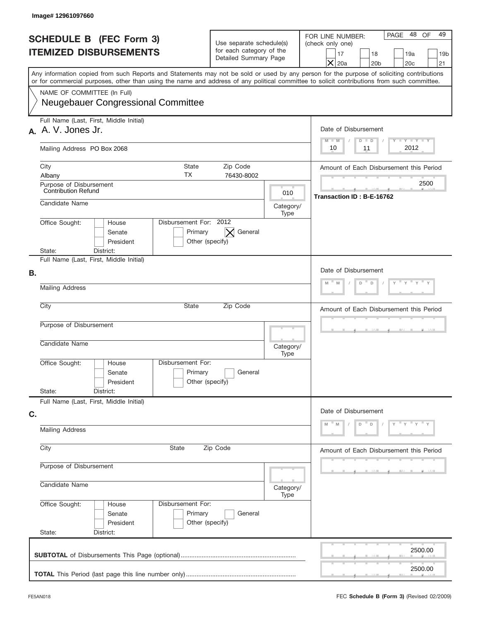| Image# 12961097660                                                                                                                                                                                                                                                                      |                                                                               |                                   |                                                                                                                                                                |  |
|-----------------------------------------------------------------------------------------------------------------------------------------------------------------------------------------------------------------------------------------------------------------------------------------|-------------------------------------------------------------------------------|-----------------------------------|----------------------------------------------------------------------------------------------------------------------------------------------------------------|--|
| <b>SCHEDULE B (FEC Form 3)</b><br><b>ITEMIZED DISBURSEMENTS</b>                                                                                                                                                                                                                         | Use separate schedule(s)<br>for each category of the<br>Detailed Summary Page |                                   | PAGE 48 OF<br>49<br>FOR LINE NUMBER:<br>(check only one)<br>17<br>18<br>19a<br>19 <sub>b</sub><br>$\boldsymbol{\times}$<br>20a<br>20 <sub>b</sub><br>20c<br>21 |  |
| Any information copied from such Reports and Statements may not be sold or used by any person for the purpose of soliciting contributions<br>or for commercial purposes, other than using the name and address of any political committee to solicit contributions from such committee. |                                                                               |                                   |                                                                                                                                                                |  |
| NAME OF COMMITTEE (In Full)<br>Neugebauer Congressional Committee                                                                                                                                                                                                                       |                                                                               |                                   |                                                                                                                                                                |  |
| Full Name (Last, First, Middle Initial)<br>A. A. V. Jones Jr.                                                                                                                                                                                                                           |                                                                               |                                   | Date of Disbursement                                                                                                                                           |  |
| Mailing Address PO Box 2068                                                                                                                                                                                                                                                             | Y TY TY TY<br>$M - M$<br>$D$ $D$<br>2012<br>10<br>11                          |                                   |                                                                                                                                                                |  |
| City<br><b>State</b><br>ТX<br>Albany                                                                                                                                                                                                                                                    | Zip Code<br>76430-8002                                                        |                                   | Amount of Each Disbursement this Period                                                                                                                        |  |
| Purpose of Disbursement<br>Contribution Refund                                                                                                                                                                                                                                          | 010                                                                           | 2500<br>Transaction ID: B-E-16762 |                                                                                                                                                                |  |
| Candidate Name                                                                                                                                                                                                                                                                          |                                                                               |                                   |                                                                                                                                                                |  |
| Disbursement For: 2012<br>Office Sought:<br>House<br>Senate<br>Primary<br>President<br>District:<br>State:                                                                                                                                                                              | General<br>$\times$<br>Other (specify)                                        |                                   |                                                                                                                                                                |  |
| Full Name (Last, First, Middle Initial)<br>В.                                                                                                                                                                                                                                           |                                                                               |                                   | Date of Disbursement<br>D                                                                                                                                      |  |
| Mailing Address                                                                                                                                                                                                                                                                         | M<br>M<br>D                                                                   |                                   |                                                                                                                                                                |  |
| City<br>State                                                                                                                                                                                                                                                                           | Amount of Each Disbursement this Period                                       |                                   |                                                                                                                                                                |  |
| Purpose of Disbursement<br>Candidate Name                                                                                                                                                                                                                                               |                                                                               | Category/<br>Type                 |                                                                                                                                                                |  |
| Disbursement For:<br>Office Sought:<br>House<br>Primary<br>Senate<br>President<br>State:<br>District:                                                                                                                                                                                   | General<br>Other (specify)                                                    |                                   |                                                                                                                                                                |  |
| Full Name (Last, First, Middle Initial)<br>C.                                                                                                                                                                                                                                           | Date of Disbursement                                                          |                                   |                                                                                                                                                                |  |
| <b>Mailing Address</b>                                                                                                                                                                                                                                                                  | $Y = Y + Y$<br>D<br>D                                                         |                                   |                                                                                                                                                                |  |
| City<br>State<br>Zip Code                                                                                                                                                                                                                                                               | Amount of Each Disbursement this Period                                       |                                   |                                                                                                                                                                |  |
| Purpose of Disbursement<br>Candidate Name                                                                                                                                                                                                                                               |                                                                               | Category/<br>Type                 |                                                                                                                                                                |  |
| Office Sought:<br>Disbursement For:<br>House<br>Primary<br>Senate<br>President<br>State:<br>District:                                                                                                                                                                                   | General<br>Other (specify)                                                    |                                   |                                                                                                                                                                |  |
|                                                                                                                                                                                                                                                                                         |                                                                               |                                   | 2500.00                                                                                                                                                        |  |
|                                                                                                                                                                                                                                                                                         |                                                                               |                                   | 2500.00                                                                                                                                                        |  |